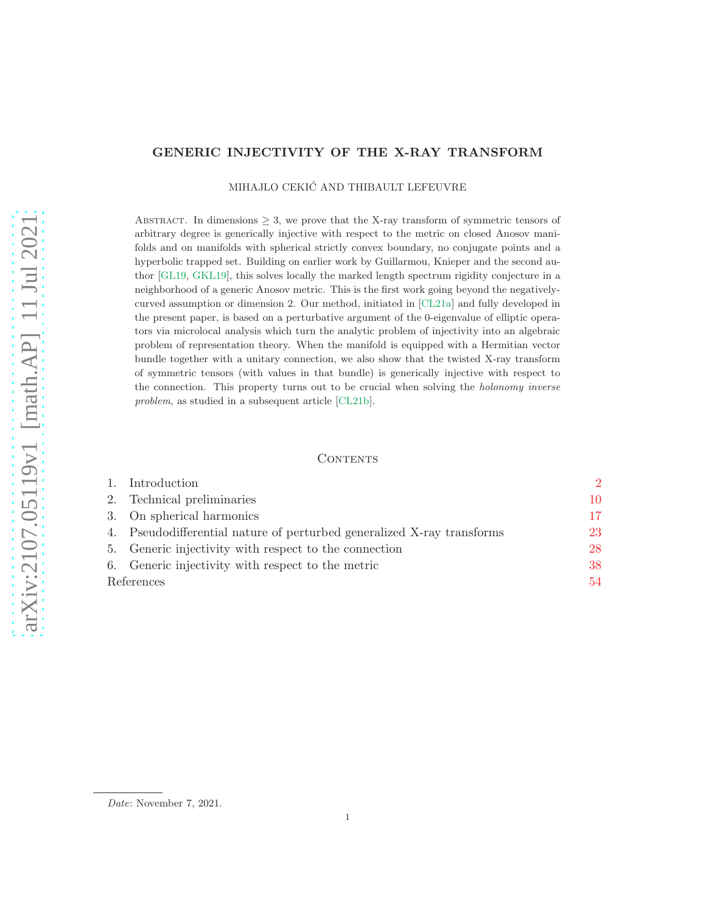# GENERIC INJECTIVITY OF THE X-RAY TRANSFORM

MIHAJLO CEKIĆ AND THIBAULT LEFEUVRE

ABSTRACT. In dimensions  $\geq 3$ , we prove that the X-ray transform of symmetric tensors of arbitrary degree is generically injective with respect to the metric on closed Anosov manifolds and on manifolds with spherical strictly convex boundary, no conjugate points and a hyperbolic trapped set. Building on earlier work by Guillarmou, Knieper and the second author [\[GL19,](#page-54-0) [GKL19\]](#page-54-1), this solves locally the marked length spectrum rigidity conjecture in a neighborhood of a generic Anosov metric. This is the first work going beyond the negativelycurved assumption or dimension 2. Our method, initiated in [\[CL21a\]](#page-53-0) and fully developed in the present paper, is based on a perturbative argument of the 0-eigenvalue of elliptic operators via microlocal analysis which turn the analytic problem of injectivity into an algebraic problem of representation theory. When the manifold is equipped with a Hermitian vector bundle together with a unitary connection, we also show that the twisted X-ray transform of symmetric tensors (with values in that bundle) is generically injective with respect to the connection. This property turns out to be crucial when solving the *holonomy inverse* problem, as studied in a subsequent article [\[CL21b\]](#page-53-1).

## CONTENTS

|            | Introduction                                                           | $\mathcal{D}$ |
|------------|------------------------------------------------------------------------|---------------|
| 2.         | Technical preliminaries                                                | 10            |
|            | 3. On spherical harmonics                                              | 17            |
|            | 4. Pseudodifferential nature of perturbed generalized X-ray transforms | 23            |
|            | 5. Generic injectivity with respect to the connection                  | 28            |
|            | 6. Generic injectivity with respect to the metric                      | 38            |
| References |                                                                        | 54            |
|            |                                                                        |               |

Date: November 7, 2021.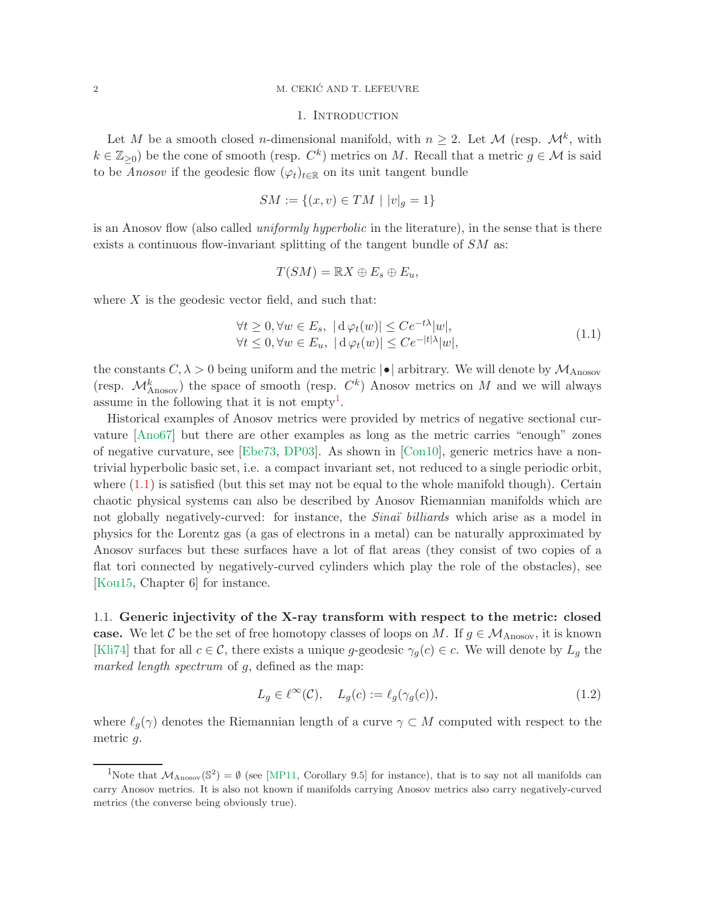## <span id="page-1-0"></span>2 M. CEKIC AND T. LEFEUVRE ´

## 1. INTRODUCTION

Let M be a smooth closed *n*-dimensional manifold, with  $n \geq 2$ . Let M (resp.  $\mathcal{M}^k$ , with  $k \in \mathbb{Z}_{\geq 0}$ ) be the cone of smooth (resp.  $C^k$ ) metrics on M. Recall that a metric  $g \in \mathcal{M}$  is said to be *Anosov* if the geodesic flow  $(\varphi_t)_{t\in\mathbb{R}}$  on its unit tangent bundle

$$
SM := \{(x, v) \in TM \mid |v|_g = 1\}
$$

is an Anosov flow (also called *uniformly hyperbolic* in the literature), in the sense that is there exists a continuous flow-invariant splitting of the tangent bundle of  $SM$  as:

$$
T(SM) = \mathbb{R}X \oplus E_s \oplus E_u,
$$

where  $X$  is the geodesic vector field, and such that:

<span id="page-1-2"></span>
$$
\forall t \ge 0, \forall w \in E_s, \ |d\varphi_t(w)| \le Ce^{-t\lambda}|w|, \forall t \le 0, \forall w \in E_u, \ |d\varphi_t(w)| \le Ce^{-|t|\lambda|}|w|,
$$
\n(1.1)

the constants  $C, \lambda > 0$  being uniform and the metric  $|\bullet|$  arbitrary. We will denote by  $\mathcal{M}_{\text{Anosov}}$ (resp.  $\mathcal{M}_{\text{Anosov}}^k$ ) the space of smooth (resp.  $C^k$ ) Anosov metrics on M and we will always assume in the following that it is not empty<sup>[1](#page-1-1)</sup>.

Historical examples of Anosov metrics were provided by metrics of negative sectional curvature [\[Ano67\]](#page-53-3) but there are other examples as long as the metric carries "enough" zones of negative curvature, see [\[Ebe73,](#page-54-2) [DP03\]](#page-53-4). As shown in [\[Con10\]](#page-53-5), generic metrics have a nontrivial hyperbolic basic set, i.e. a compact invariant set, not reduced to a single periodic orbit, where  $(1.1)$  is satisfied (but this set may not be equal to the whole manifold though). Certain chaotic physical systems can also be described by Anosov Riemannian manifolds which are not globally negatively-curved: for instance, the *Sinaï* billiards which arise as a model in physics for the Lorentz gas (a gas of electrons in a metal) can be naturally approximated by Anosov surfaces but these surfaces have a lot of flat areas (they consist of two copies of a flat tori connected by negatively-curved cylinders which play the role of the obstacles), see [\[Kou15,](#page-55-0) Chapter 6] for instance.

1.1. Generic injectivity of the X-ray transform with respect to the metric: closed case. We let C be the set of free homotopy classes of loops on M. If  $g \in \mathcal{M}_{\text{Anosov}}$ , it is known [\[Kli74\]](#page-55-1) that for all  $c \in \mathcal{C}$ , there exists a unique g-geodesic  $\gamma_g(c) \in c$ . We will denote by  $L_g$  the marked length spectrum of g, defined as the map:

<span id="page-1-3"></span>
$$
L_g \in \ell^{\infty}(\mathcal{C}), \quad L_g(c) := \ell_g(\gamma_g(c)), \tag{1.2}
$$

where  $\ell_q(\gamma)$  denotes the Riemannian length of a curve  $\gamma \subset M$  computed with respect to the metric g.

<span id="page-1-1"></span><sup>&</sup>lt;sup>1</sup>Note that  $M_{\text{Anosov}}(\mathbb{S}^2) = \emptyset$  (see [\[MP11,](#page-55-2) Corollary 9.5] for instance), that is to say not all manifolds can carry Anosov metrics. It is also not known if manifolds carrying Anosov metrics also carry negatively-curved metrics (the converse being obviously true).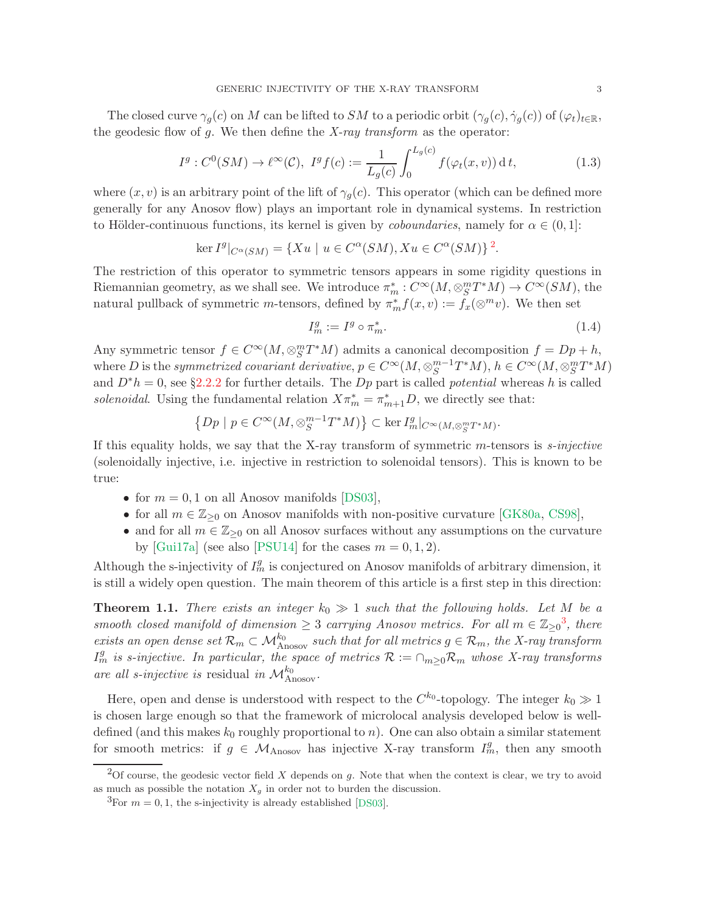The closed curve  $\gamma_q(c)$  on M can be lifted to SM to a periodic orbit  $(\gamma_q(c), \dot{\gamma}_q(c))$  of  $(\varphi_t)_{t \in \mathbb{R}}$ , the geodesic flow of  $g$ . We then define the  $X$ -ray transform as the operator:

<span id="page-2-3"></span>
$$
I^g: C^0(SM) \to \ell^\infty(\mathcal{C}), \ I^g f(c) := \frac{1}{L_g(c)} \int_0^{L_g(c)} f(\varphi_t(x, v)) \, \mathrm{d} \, t,\tag{1.3}
$$

where  $(x, v)$  is an arbitrary point of the lift of  $\gamma_q(c)$ . This operator (which can be defined more generally for any Anosov flow) plays an important role in dynamical systems. In restriction to Hölder-continuous functions, its kernel is given by *coboundaries*, namely for  $\alpha \in (0,1]$ :

$$
\ker I^g|_{C^{\alpha}(SM)} = \{ Xu \mid u \in C^{\alpha}(SM), Xu \in C^{\alpha}(SM) \}^2.
$$

The restriction of this operator to symmetric tensors appears in some rigidity questions in Riemannian geometry, as we shall see. We introduce  $\pi_m^*: C^\infty(M, \otimes_S^m T^*M) \to C^\infty(SM)$ , the natural pullback of symmetric *m*-tensors, defined by  $\pi_m^* f(x, v) := f_x(\otimes^m v)$ . We then set

$$
I_m^g := I^g \circ \pi_m^*.
$$
\n<sup>(1.4)</sup>

Any symmetric tensor  $f \in C^{\infty}(M, \otimes_S^m T^*M)$  admits a canonical decomposition  $f = Dp + h$ , where D is the symmetrized covariant derivative,  $p \in C^{\infty}(M, \otimes_S^{m-1}T^*M)$ ,  $h \in C^{\infty}(M, \otimes_S^m T^*M)$ and  $D^*h = 0$ , see §[2.2.2](#page-12-0) for further details. The Dp part is called potential whereas h is called solenoidal. Using the fundamental relation  $X\pi_m^* = \pi_{m+1}^*D$ , we directly see that:

$$
\left\{Dp \mid p \in C^{\infty}(M, \otimes_S^{m-1}T^*M)\right\} \subset \ker I^g_m|_{C^{\infty}(M, \otimes_S^m T^*M)}.
$$

If this equality holds, we say that the X-ray transform of symmetric  $m$ -tensors is  $s$ -injective (solenoidally injective, i.e. injective in restriction to solenoidal tensors). This is known to be true:

- for  $m = 0, 1$  on all Anosov manifolds [\[DS03\]](#page-54-3),
- for all  $m \in \mathbb{Z}_{\geq 0}$  on Anosov manifolds with non-positive curvature [\[GK80a,](#page-54-4) [CS98\]](#page-53-6),
- and for all  $m \in \mathbb{Z}_{\geq 0}$  on all Anosov surfaces without any assumptions on the curvature by [\[Gui17a\]](#page-54-5) (see also [\[PSU14\]](#page-55-3) for the cases  $m = 0, 1, 2$ ).

Although the s-injectivity of  $I_m^g$  is conjectured on Anosov manifolds of arbitrary dimension, it is still a widely open question. The main theorem of this article is a first step in this direction:

<span id="page-2-2"></span>**Theorem 1.1.** There exists an integer  $k_0 \gg 1$  such that the following holds. Let M be a smooth closed manifold of dimension  $\geq 3$  $\geq 3$  carrying Anosov metrics. For all  $m \in \mathbb{Z}_{\geq 0}^3$ , there exists an open dense set  $\mathcal{R}_m \subset \mathcal{M}_{\text{Anosov}}^{k_0}$  such that for all metrics  $g \in \mathcal{R}_m$ , the X-ray transform  $I_m^g$  is s-injective. In particular, the space of metrics  $\mathcal{R} := \cap_{m \geq 0} \mathcal{R}_m$  whose X-ray transforms are all s-injective is residual in  $\mathcal{M}^{k_0}_{\text{Anosov}}$ .

Here, open and dense is understood with respect to the  $C^{k_0}$ -topology. The integer  $k_0 \gg 1$ is chosen large enough so that the framework of microlocal analysis developed below is welldefined (and this makes  $k_0$  roughly proportional to n). One can also obtain a similar statement for smooth metrics: if  $g \in M_{\text{Anosov}}$  has injective X-ray transform  $I_m^g$ , then any smooth

<sup>&</sup>lt;sup>2</sup>Of course, the geodesic vector field X depends on g. Note that when the context is clear, we try to avoid as much as possible the notation  $X_q$  in order not to burden the discussion.

<span id="page-2-1"></span><span id="page-2-0"></span><sup>&</sup>lt;sup>3</sup>For  $m = 0, 1$ , the s-injectivity is already established [\[DS03\]](#page-54-3).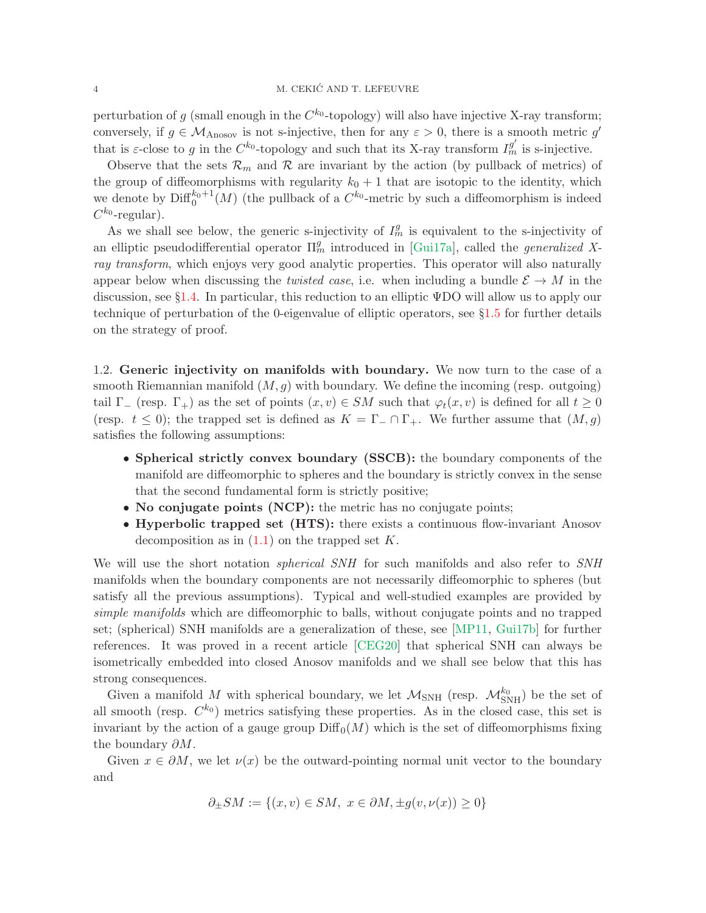perturbation of g (small enough in the  $C^{k_0}$ -topology) will also have injective X-ray transform; conversely, if  $g \in \mathcal{M}_{\text{Anosov}}$  is not s-injective, then for any  $\varepsilon > 0$ , there is a smooth metric g' that is  $\varepsilon$ -close to g in the C<sup>k<sub>0</sub></sup>-topology and such that its X-ray transform  $I_m^{g'}$  is s-injective.

Observe that the sets  $\mathcal{R}_m$  and  $\mathcal R$  are invariant by the action (by pullback of metrics) of the group of diffeomorphisms with regularity  $k_0 + 1$  that are isotopic to the identity, which we denote by  $\text{Diff}_0^{k_0+1}(M)$  (the pullback of a  $C^{k_0}$ -metric by such a diffeomorphism is indeed  $C^{k_0}$ -regular).

As we shall see below, the generic s-injectivity of  $I_m^g$  is equivalent to the s-injectivity of an elliptic pseudodifferential operator  $\Pi_m^g$  introduced in [\[Gui17a\]](#page-54-5), called the *generalized X*ray transform, which enjoys very good analytic properties. This operator will also naturally appear below when discussing the *twisted case*, i.e. when including a bundle  $\mathcal{E} \to M$  in the discussion, see §[1.4.](#page-6-0) In particular, this reduction to an elliptic ΨDO will allow us to apply our technique of perturbation of the 0-eigenvalue of elliptic operators, see §[1.5](#page-8-0) for further details on the strategy of proof.

1.2. Generic injectivity on manifolds with boundary. We now turn to the case of a smooth Riemannian manifold  $(M, g)$  with boundary. We define the incoming (resp. outgoing) tail  $\Gamma_{-}$  (resp.  $\Gamma_{+}$ ) as the set of points  $(x, v) \in SM$  such that  $\varphi_t(x, v)$  is defined for all  $t \geq 0$ (resp.  $t \leq 0$ ); the trapped set is defined as  $K = \Gamma_-\cap \Gamma_+$ . We further assume that  $(M, g)$ satisfies the following assumptions:

- Spherical strictly convex boundary (SSCB): the boundary components of the manifold are diffeomorphic to spheres and the boundary is strictly convex in the sense that the second fundamental form is strictly positive;
- No conjugate points (NCP): the metric has no conjugate points;
- Hyperbolic trapped set (HTS): there exists a continuous flow-invariant Anosov decomposition as in  $(1.1)$  on the trapped set K.

We will use the short notation *spherical SNH* for such manifolds and also refer to SNH manifolds when the boundary components are not necessarily diffeomorphic to spheres (but satisfy all the previous assumptions). Typical and well-studied examples are provided by simple manifolds which are diffeomorphic to balls, without conjugate points and no trapped set; (spherical) SNH manifolds are a generalization of these, see [\[MP11,](#page-55-2) [Gui17b\]](#page-54-6) for further references. It was proved in a recent article [\[CEG20\]](#page-53-7) that spherical SNH can always be isometrically embedded into closed Anosov manifolds and we shall see below that this has strong consequences.

Given a manifold M with spherical boundary, we let  $\mathcal{M}_{\rm SNH}$  (resp.  $\mathcal{M}_{\rm SNH}^{k_0}$ ) be the set of all smooth (resp.  $C^{k_0}$ ) metrics satisfying these properties. As in the closed case, this set is invariant by the action of a gauge group  $\text{Diff}_0(M)$  which is the set of diffeomorphisms fixing the boundary  $\partial M$ .

Given  $x \in \partial M$ , we let  $\nu(x)$  be the outward-pointing normal unit vector to the boundary and

$$
\partial_{\pm} SM := \{(x, v) \in SM, \ x \in \partial M, \pm g(v, \nu(x)) \ge 0\}
$$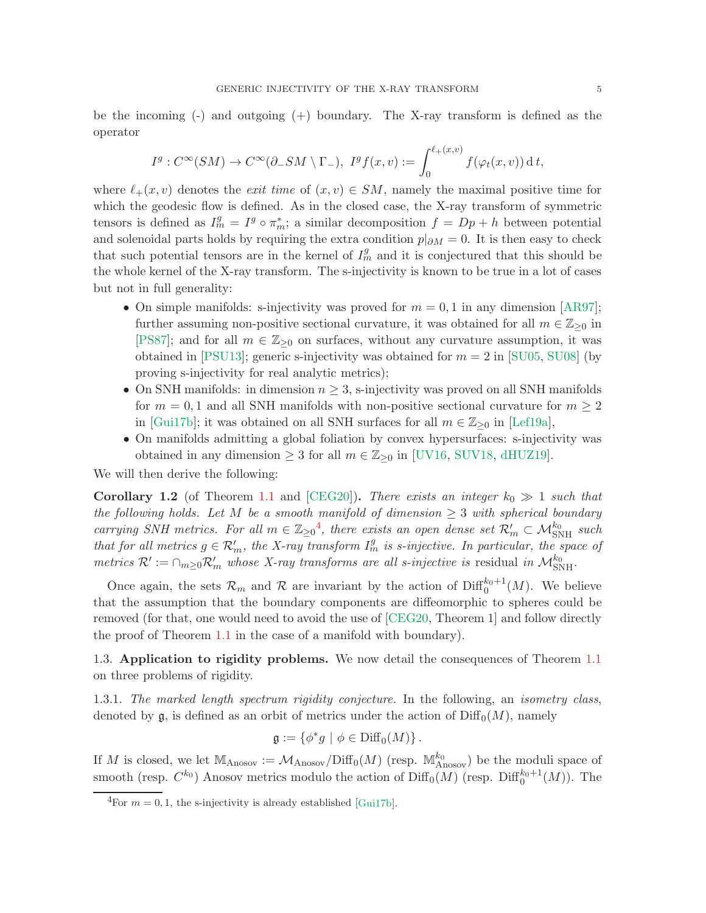be the incoming (-) and outgoing (+) boundary. The X-ray transform is defined as the operator

$$
I^g: C^{\infty}(SM) \to C^{\infty}(\partial_- SM \setminus \Gamma_-), \ I^g f(x,v) := \int_0^{\ell_+(x,v)} f(\varphi_t(x,v)) \, \mathrm{d} \, t,
$$

where  $\ell_+(x,v)$  denotes the *exit time* of  $(x,v) \in SM$ , namely the maximal positive time for which the geodesic flow is defined. As in the closed case, the X-ray transform of symmetric tensors is defined as  $I_m^g = I^g \circ \pi_m^*$ ; a similar decomposition  $f = Dp + h$  between potential and solenoidal parts holds by requiring the extra condition  $p|_{\partial M} = 0$ . It is then easy to check that such potential tensors are in the kernel of  $I_m^g$  and it is conjectured that this should be the whole kernel of the X-ray transform. The s-injectivity is known to be true in a lot of cases but not in full generality:

- On simple manifolds: s-injectivity was proved for  $m = 0, 1$  in any dimension [\[AR97\]](#page-53-8); further assuming non-positive sectional curvature, it was obtained for all  $m \in \mathbb{Z}_{\geq 0}$  in [\[PS87\]](#page-55-4); and for all  $m \in \mathbb{Z}_{\geq 0}$  on surfaces, without any curvature assumption, it was obtained in [\[PSU13\]](#page-55-5); generic s-injectivity was obtained for  $m = 2$  in [\[SU05,](#page-56-0) [SU08\]](#page-56-1) (by proving s-injectivity for real analytic metrics);
- On SNH manifolds: in dimension  $n \geq 3$ , s-injectivity was proved on all SNH manifolds for  $m = 0, 1$  and all SNH manifolds with non-positive sectional curvature for  $m \geq 2$ in [\[Gui17b\]](#page-54-6); it was obtained on all SNH surfaces for all  $m \in \mathbb{Z}_{\geq 0}$  in [\[Lef19a\]](#page-55-6),
- On manifolds admitting a global foliation by convex hypersurfaces: s-injectivity was obtained in any dimension  $\geq 3$  for all  $m \in \mathbb{Z}_{\geq 0}$  in [\[UV16,](#page-56-2) [SUV18,](#page-56-3) [dHUZ19\]](#page-53-9).

We will then derive the following:

<span id="page-4-1"></span>**Corollary 1.2** (of Theorem [1.1](#page-2-2) and [\[CEG20\]](#page-53-7)). There exists an integer  $k_0 \gg 1$  such that the following holds. Let M be a smooth manifold of dimension  $\geq 3$  with spherical boundary carrying SNH metrics. For all  $m \in \mathbb{Z}_{\geq 0}^4$  $m \in \mathbb{Z}_{\geq 0}^4$ , there exists an open dense set  $\mathcal{R}'_m \subset \mathcal{M}_{\text{SNH}}^{k_0}$  such that for all metrics  $g \in \mathcal{R}'_m$ , the X-ray transform  $I_m^g$  is s-injective. In particular, the space of metrics  $\mathcal{R}' := \bigcap_{m \geq 0} \mathcal{R}'_m$  whose X-ray transforms are all s-injective is residual in  $\mathcal{M}_{\text{SNH}}^{k_0}$ .

Once again, the sets  $\mathcal{R}_m$  and  $\mathcal R$  are invariant by the action of  $\text{Diff}_0^{k_0+1}(M)$ . We believe that the assumption that the boundary components are diffeomorphic to spheres could be removed (for that, one would need to avoid the use of [\[CEG20,](#page-53-7) Theorem 1] and follow directly the proof of Theorem [1.1](#page-2-2) in the case of a manifold with boundary).

1.3. Application to rigidity problems. We now detail the consequences of Theorem [1.1](#page-2-2) on three problems of rigidity.

1.3.1. The marked length spectrum rigidity conjecture. In the following, an isometry class, denoted by  $\mathfrak{g}$ , is defined as an orbit of metrics under the action of  $\text{Diff}_0(M)$ , namely

$$
\mathfrak{g}:=\{\phi^*g \mid \phi\in \text{Diff}_0(M)\}\,.
$$

If M is closed, we let  $\mathbb{M}_{\text{Anosov}} := \mathcal{M}_{\text{Anosov}} / \text{Diff}_0(M)$  (resp.  $\mathbb{M}_{\text{Anosov}}^{k_0}$ ) be the moduli space of smooth (resp.  $C^{k_0}$ ) Anosov metrics modulo the action of  $\text{Diff}_0(M)$  (resp.  $\text{Diff}_0^{k_0+1}(M)$ ). The

<span id="page-4-0"></span><sup>&</sup>lt;sup>4</sup>For  $m = 0, 1$ , the s-injectivity is already established [\[Gui17b\]](#page-54-6).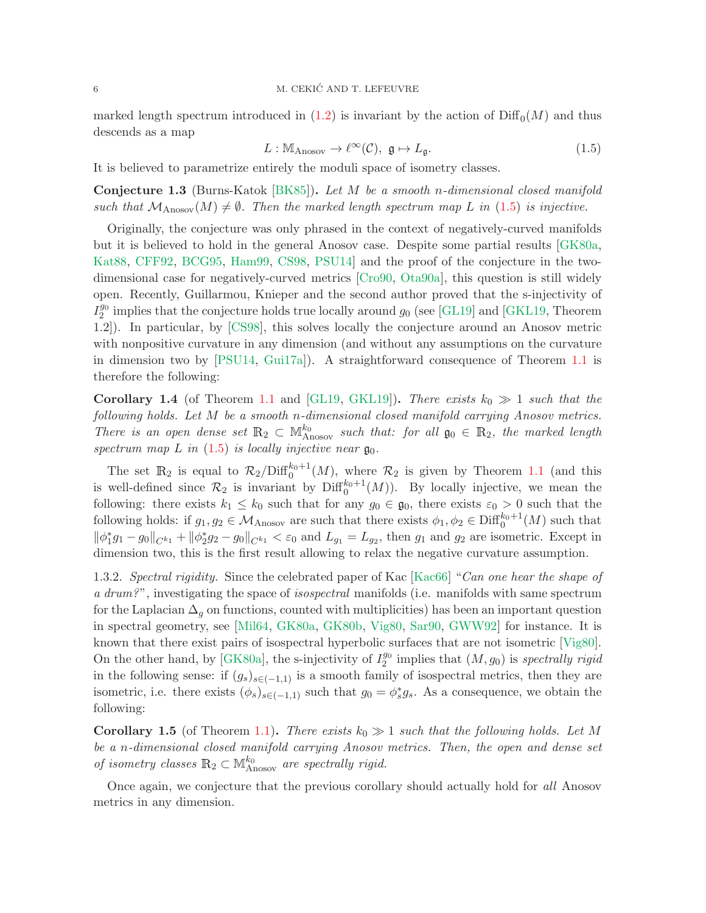marked length spectrum introduced in  $(1.2)$  is invariant by the action of  $\text{Diff}_0(M)$  and thus descends as a map

<span id="page-5-0"></span>
$$
L: \mathbb{M}_{\text{Anosov}} \to \ell^{\infty}(\mathcal{C}), \ \mathfrak{g} \mapsto L_{\mathfrak{g}}.\tag{1.5}
$$

It is believed to parametrize entirely the moduli space of isometry classes.

**Conjecture 1.3** (Burns-Katok [\[BK85\]](#page-53-10)). Let M be a smooth n-dimensional closed manifold such that  $\mathcal{M}_{\text{Anosov}}(M) \neq \emptyset$ . Then the marked length spectrum map L in [\(1.5\)](#page-5-0) is injective.

Originally, the conjecture was only phrased in the context of negatively-curved manifolds but it is believed to hold in the general Anosov case. Despite some partial results [\[GK80a,](#page-54-4) [Kat88,](#page-54-7) [CFF92,](#page-53-11) [BCG95,](#page-53-12) [Ham99,](#page-54-8) [CS98,](#page-53-6) [PSU14\]](#page-55-3) and the proof of the conjecture in the twodimensional case for negatively-curved metrics [\[Cro90,](#page-53-13) [Ota90a\]](#page-55-7), this question is still widely open. Recently, Guillarmou, Knieper and the second author proved that the s-injectivity of  $I_2^{g_0}$  implies that the conjecture holds true locally around  $g_0$  (see [\[GL19\]](#page-54-0) and [\[GKL19,](#page-54-1) Theorem 1.2]). In particular, by [\[CS98\]](#page-53-6), this solves locally the conjecture around an Anosov metric with nonpositive curvature in any dimension (and without any assumptions on the curvature in dimension two by [\[PSU14,](#page-55-3) [Gui17a\]](#page-54-5)). A straightforward consequence of Theorem [1.1](#page-2-2) is therefore the following:

**Corollary 1.4** (of Theorem [1.1](#page-2-2) and [\[GL19,](#page-54-0) [GKL19\]](#page-54-1)). There exists  $k_0 \gg 1$  such that the following holds. Let M be a smooth n-dimensional closed manifold carrying Anosov metrics. There is an open dense set  $\mathbb{R}_2 \subset \mathbb{M}_{\text{Anosov}}^{k_0}$  such that: for all  $\mathfrak{g}_0 \in \mathbb{R}_2$ , the marked length spectrum map  $L$  in [\(1.5\)](#page-5-0) is locally injective near  $\mathfrak{g}_0$ .

The set  $\mathbb{R}_2$  is equal to  $\mathcal{R}_2/\text{Diff}_0^{k_0+1}(M)$ , where  $\mathcal{R}_2$  is given by Theorem [1.1](#page-2-2) (and this is well-defined since  $\mathcal{R}_2$  is invariant by  $\text{Diff}_0^{k_0+1}(M)$ ). By locally injective, we mean the following: there exists  $k_1 \leq k_0$  such that for any  $g_0 \in \mathfrak{g}_0$ , there exists  $\varepsilon_0 > 0$  such that the following holds: if  $g_1, g_2 \in M_{\text{Anosov}}$  are such that there exists  $\phi_1, \phi_2 \in \text{Diff}_0^{k_0+1}(M)$  such that  $\|\phi_1^* g_1 - g_0\|_{C^{k_1}} + \|\phi_2^* g_2 - g_0\|_{C^{k_1}} < \varepsilon_0$  and  $L_{g_1} = L_{g_2}$ , then  $g_1$  and  $g_2$  are isometric. Except in dimension two, this is the first result allowing to relax the negative curvature assumption.

1.3.2. Spectral rigidity. Since the celebrated paper of Kac [\[Kac66\]](#page-54-9) "Can one hear the shape of a drum?", investigating the space of *isospectral* manifolds (i.e. manifolds with same spectrum for the Laplacian  $\Delta_q$  on functions, counted with multiplicities) has been an important question in spectral geometry, see [\[Mil64,](#page-55-8) [GK80a,](#page-54-4) [GK80b,](#page-54-10) [Vig80,](#page-56-4) [Sar90,](#page-55-9) [GWW92\]](#page-54-11) for instance. It is known that there exist pairs of isospectral hyperbolic surfaces that are not isometric [\[Vig80\]](#page-56-4). On the other hand, by [\[GK80a\]](#page-54-4), the s-injectivity of  $I_2^{g_0}$  implies that  $(M, g_0)$  is spectrally rigid in the following sense: if  $(g_s)_{s\in(-1,1)}$  is a smooth family of isospectral metrics, then they are isometric, i.e. there exists  $(\phi_s)_{s\in(-1,1)}$  such that  $g_0 = \phi_s^* g_s$ . As a consequence, we obtain the following:

**Corollary 1.5** (of Theorem [1.1\)](#page-2-2). There exists  $k_0 \gg 1$  such that the following holds. Let M be a n-dimensional closed manifold carrying Anosov metrics. Then, the open and dense set of isometry classes  $\mathbb{R}_2 \subset \mathbb{M}_{\text{Anosov}}^{k_0}$  are spectrally rigid.

Once again, we conjecture that the previous corollary should actually hold for all Anosov metrics in any dimension.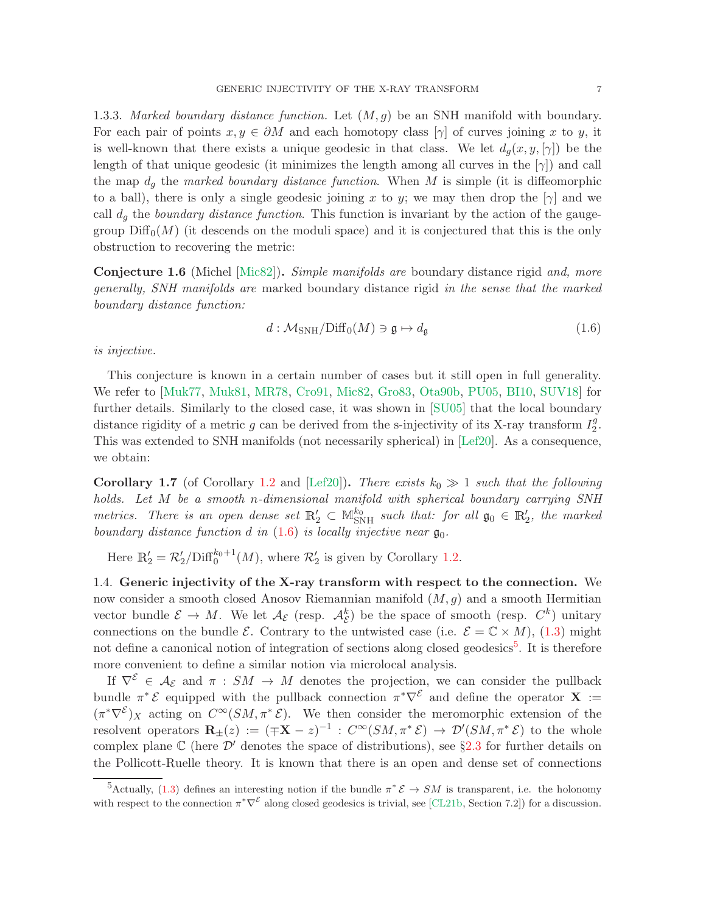1.3.3. Marked boundary distance function. Let  $(M, g)$  be an SNH manifold with boundary. For each pair of points  $x, y \in \partial M$  and each homotopy class  $[\gamma]$  of curves joining x to y, it is well-known that there exists a unique geodesic in that class. We let  $d_g(x, y, [\gamma])$  be the length of that unique geodesic (it minimizes the length among all curves in the  $[\gamma]$ ) and call the map  $d_q$  the marked boundary distance function. When M is simple (it is diffeomorphic to a ball), there is only a single geodesic joining x to y; we may then drop the  $[\gamma]$  and we call  $d_g$  the boundary distance function. This function is invariant by the action of the gaugegroup  $\text{Diff}_0(M)$  (it descends on the moduli space) and it is conjectured that this is the only obstruction to recovering the metric:

Conjecture 1.6 (Michel [\[Mic82\]](#page-55-10)). Simple manifolds are boundary distance rigid and, more generally, SNH manifolds are marked boundary distance rigid in the sense that the marked boundary distance function:

<span id="page-6-1"></span>
$$
d: \mathcal{M}_{\text{SNH}} / \text{Diff}_0(M) \ni \mathfrak{g} \mapsto d_{\mathfrak{g}} \tag{1.6}
$$

is injective.

This conjecture is known in a certain number of cases but it still open in full generality. We refer to [\[Muk77,](#page-55-11) [Muk81,](#page-55-12) [MR78,](#page-55-13) [Cro91,](#page-53-14) [Mic82,](#page-55-10) [Gro83,](#page-54-12) [Ota90b,](#page-55-14) [PU05,](#page-55-15) [BI10,](#page-53-15) [SUV18\]](#page-56-3) for further details. Similarly to the closed case, it was shown in [\[SU05\]](#page-56-0) that the local boundary distance rigidity of a metric g can be derived from the s-injectivity of its X-ray transform  $I_2^g$  $\frac{g}{2}$ . This was extended to SNH manifolds (not necessarily spherical) in [\[Lef20\]](#page-55-16). As a consequence, we obtain:

**Corollary 1.7** (of Corollary [1.2](#page-4-1) and [\[Lef20\]](#page-55-16)). There exists  $k_0 \gg 1$  such that the following holds. Let M be a smooth n-dimensional manifold with spherical boundary carrying SNH metrics. There is an open dense set  $\mathbb{R}'_2 \subset \mathbb{M}_{\text{SNH}}^{k_0}$  such that: for all  $\mathfrak{g}_0 \in \mathbb{R}'_2$ , the marked boundary distance function d in  $(1.6)$  is locally injective near  $\mathfrak{g}_0$ .

Here  $\mathbb{R}'_2 = \mathcal{R}'_2 / \text{Diff}_0^{k_0+1}(M)$ , where  $\mathcal{R}'_2$  is given by Corollary [1.2.](#page-4-1)

<span id="page-6-0"></span>1.4. Generic injectivity of the X-ray transform with respect to the connection. We now consider a smooth closed Anosov Riemannian manifold  $(M, g)$  and a smooth Hermitian vector bundle  $\mathcal{E} \to M$ . We let  $\mathcal{A}_{\mathcal{E}}$  (resp.  $\mathcal{A}_{\mathcal{E}}^k$ ) be the space of smooth (resp.  $C^k$ ) unitary connections on the bundle  $\mathcal{E}$ . Contrary to the untwisted case (i.e.  $\mathcal{E} = \mathbb{C} \times M$ ), [\(1.3\)](#page-2-3) might not define a canonical notion of integration of sections along closed geodesics<sup>[5](#page-6-2)</sup>. It is therefore more convenient to define a similar notion via microlocal analysis.

If  $\nabla^{\mathcal{E}} \in \mathcal{A}_{\mathcal{E}}$  and  $\pi : SM \to M$  denotes the projection, we can consider the pullback bundle  $\pi^* \mathcal{E}$  equipped with the pullback connection  $\pi^* \nabla^{\mathcal{E}}$  and define the operator **X** :=  $(\pi^*\nabla^{\mathcal{E}})_X$  acting on  $C^{\infty}(SM, \pi^*\mathcal{E})$ . We then consider the meromorphic extension of the resolvent operators  $\mathbf{R}_{\pm}(z) := (\mp \mathbf{X} - z)^{-1} : C^{\infty}(SM, \pi^* \mathcal{E}) \to \mathcal{D}'(SM, \pi^* \mathcal{E})$  to the whole complex plane  $\mathbb C$  (here  $\mathcal D'$  denotes the space of distributions), see §[2.3](#page-13-0) for further details on the Pollicott-Ruelle theory. It is known that there is an open and dense set of connections

<span id="page-6-2"></span><sup>&</sup>lt;sup>5</sup>Actually, [\(1.3\)](#page-2-3) defines an interesting notion if the bundle  $\pi^* \mathcal{E} \to SM$  is transparent, i.e. the holonomy with respect to the connection  $\pi^*\nabla^{\varepsilon}$  along closed geodesics is trivial, see [\[CL21b,](#page-53-1) Section 7.2]) for a discussion.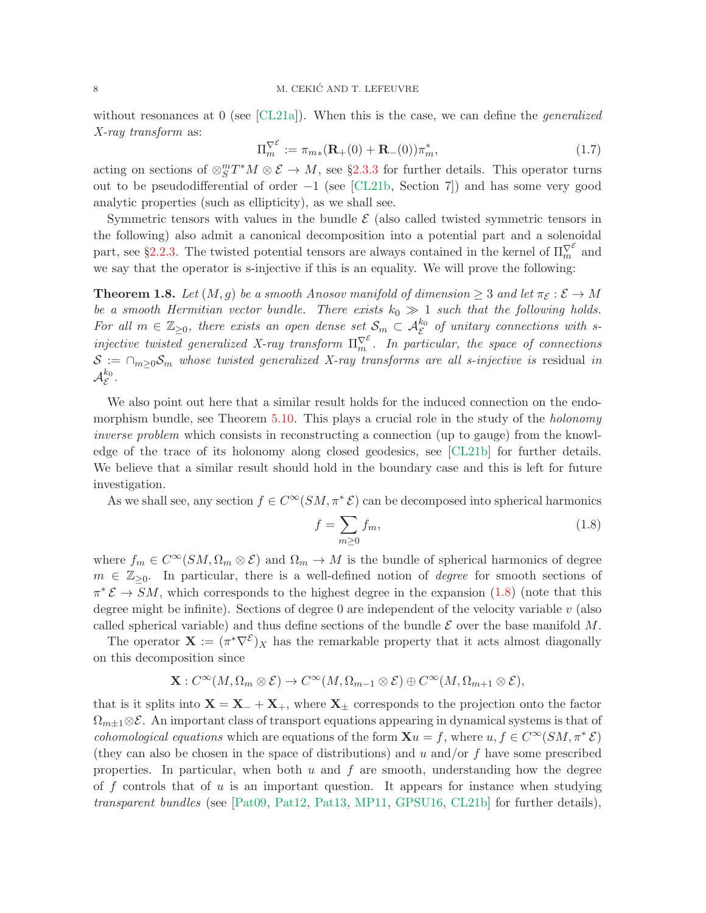without resonances at 0 (see  $\lbrack CL21a \rbrack$ ). When this is the case, we can define the *generalized* X-ray transform as:

$$
\Pi_m^{\nabla^{\mathcal{E}}} := \pi_{m*}(\mathbf{R}_+(0) + \mathbf{R}_-(0))\pi_m^*,
$$
\n(1.7)

acting on sections of  $\otimes_S^m T^*M \otimes \mathcal{E} \to M$ , see §[2.3.3](#page-15-0) for further details. This operator turns out to be pseudodifferential of order  $-1$  (see [\[CL21b,](#page-53-1) Section 7]) and has some very good analytic properties (such as ellipticity), as we shall see.

Symmetric tensors with values in the bundle  $\mathcal E$  (also called twisted symmetric tensors in the following) also admit a canonical decomposition into a potential part and a solenoidal part, see §[2.2.3.](#page-13-1) The twisted potential tensors are always contained in the kernel of  $\Pi_m^{\nabla^{\varepsilon}}$  and we say that the operator is s-injective if this is an equality. We will prove the following:

<span id="page-7-1"></span>**Theorem 1.8.** Let  $(M, q)$  be a smooth Anosov manifold of dimension  $\geq 3$  and let  $\pi_{\mathcal{E}} : \mathcal{E} \to M$ be a smooth Hermitian vector bundle. There exists  $k_0 \gg 1$  such that the following holds. For all  $m \in \mathbb{Z}_{\geq 0}$ , there exists an open dense set  $S_m \subset \mathcal{A}_{\mathcal{E}}^{k_0}$  of unitary connections with sinjective twisted generalized X-ray transform  $\Pi_m^{\nabla^{\mathcal{E}}}$ . In particular, the space of connections  $S := \bigcap_{m>0} S_m$  whose twisted generalized X-ray transforms are all s-injective is residual in  $\mathcal{A}^{k_0}_{\mathcal{E}}.$ 

We also point out here that a similar result holds for the induced connection on the endo-morphism bundle, see Theorem [5.10.](#page-36-0) This plays a crucial role in the study of the *holonomy* inverse problem which consists in reconstructing a connection (up to gauge) from the knowledge of the trace of its holonomy along closed geodesics, see [\[CL21b\]](#page-53-1) for further details. We believe that a similar result should hold in the boundary case and this is left for future investigation.

As we shall see, any section  $f \in C^{\infty}(SM, \pi^*\mathcal{E})$  can be decomposed into spherical harmonics

<span id="page-7-0"></span>
$$
f = \sum_{m \ge 0} f_m,\tag{1.8}
$$

where  $f_m \in C^{\infty}(SM, \Omega_m \otimes \mathcal{E})$  and  $\Omega_m \to M$  is the bundle of spherical harmonics of degree  $m \in \mathbb{Z}_{\geq 0}$ . In particular, there is a well-defined notion of *degree* for smooth sections of  $\pi^* \mathcal{E} \to SM$ , which corresponds to the highest degree in the expansion [\(1.8\)](#page-7-0) (note that this degree might be infinite). Sections of degree  $0$  are independent of the velocity variable  $v$  (also called spherical variable) and thus define sections of the bundle  $\mathcal E$  over the base manifold  $M$ .

The operator  $\mathbf{X} := (\pi^* \nabla^{\mathcal{E}})X$  has the remarkable property that it acts almost diagonally on this decomposition since

$$
\mathbf{X}: C^{\infty}(M, \Omega_m \otimes \mathcal{E}) \to C^{\infty}(M, \Omega_{m-1} \otimes \mathcal{E}) \oplus C^{\infty}(M, \Omega_{m+1} \otimes \mathcal{E}),
$$

that is it splits into  $X = X_+ + X_+$ , where  $X_{\pm}$  corresponds to the projection onto the factor  $\Omega_{m\pm1}\otimes\mathcal{E}$ . An important class of transport equations appearing in dynamical systems is that of cohomological equations which are equations of the form  $\mathbf{X}u = f$ , where  $u, f \in C^{\infty}(SM, \pi^*\mathcal{E})$ (they can also be chosen in the space of distributions) and u and/or  $f$  have some prescribed properties. In particular, when both  $u$  and  $f$  are smooth, understanding how the degree of  $f$  controls that of  $u$  is an important question. It appears for instance when studying transparent bundles (see [\[Pat09,](#page-55-17) [Pat12,](#page-55-18) [Pat13,](#page-55-19) [MP11,](#page-55-2) [GPSU16,](#page-54-13) [CL21b\]](#page-53-1) for further details),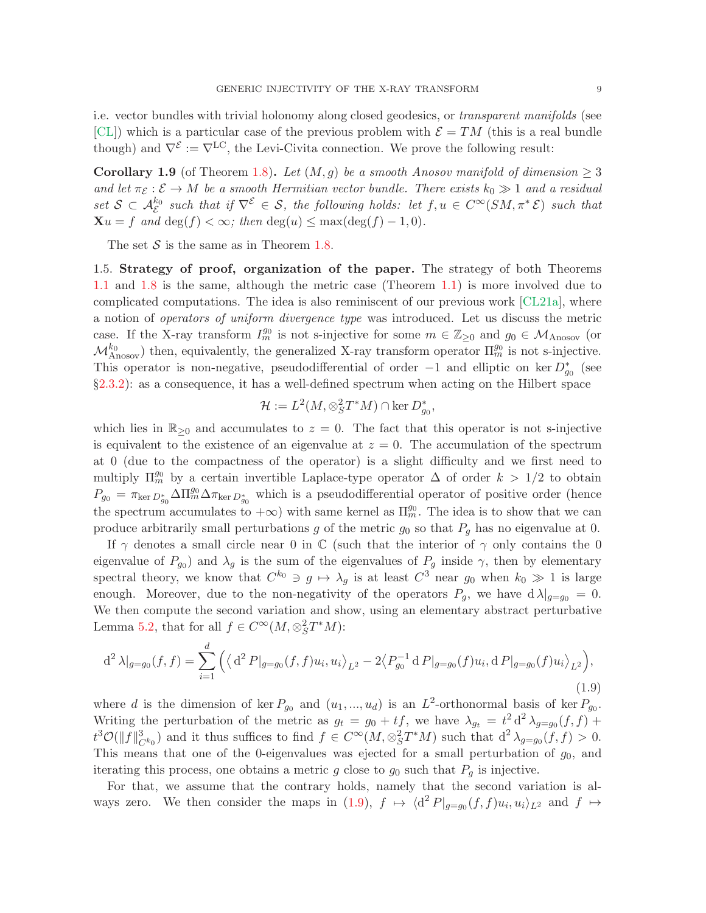**Corollary 1.9** (of Theorem [1.8\)](#page-7-1). Let  $(M, g)$  be a smooth Anosov manifold of dimension  $\geq 3$ and let  $\pi_{\mathcal{E}} : \mathcal{E} \to M$  be a smooth Hermitian vector bundle. There exists  $k_0 \gg 1$  and a residual set  $S \subset \mathcal{A}_{\mathcal{E}}^{k_0}$  such that if  $\nabla^{\mathcal{E}} \in S$ , the following holds: let  $f, u \in C^{\infty}(SM, \pi^* \mathcal{E})$  such that  $\mathbf{X}u = f$  and  $\deg(f) < \infty$ ; then  $\deg(u) \leq \max(\deg(f) - 1, 0)$ .

<span id="page-8-0"></span>The set  $S$  is the same as in Theorem [1.8.](#page-7-1)

1.5. Strategy of proof, organization of the paper. The strategy of both Theorems [1.1](#page-2-2) and [1.8](#page-7-1) is the same, although the metric case (Theorem [1.1\)](#page-2-2) is more involved due to complicated computations. The idea is also reminiscent of our previous work [\[CL21a\]](#page-53-0), where a notion of operators of uniform divergence type was introduced. Let us discuss the metric case. If the X-ray transform  $I_m^{g_0}$  is not s-injective for some  $m \in \mathbb{Z}_{\geq 0}$  and  $g_0 \in \mathcal{M}_{\text{Anosov}}$  (or  $\mathcal{M}_{\text{Anosov}}^{k_0}$ ) then, equivalently, the generalized X-ray transform operator  $\Pi_m^{g_0}$  is not s-injective. This operator is non-negative, pseudodifferential of order  $-1$  and elliptic on ker  $D_{g_0}^*$  (see §[2.3.2\)](#page-14-0): as a consequence, it has a well-defined spectrum when acting on the Hilbert space

$$
\mathcal{H} := L^2(M, \otimes_S^2 T^*M) \cap \ker D_{g_0}^*,
$$

which lies in  $\mathbb{R}_{\geq 0}$  and accumulates to  $z = 0$ . The fact that this operator is not s-injective is equivalent to the existence of an eigenvalue at  $z = 0$ . The accumulation of the spectrum at 0 (due to the compactness of the operator) is a slight difficulty and we first need to multiply  $\Pi_m^{g_0}$  by a certain invertible Laplace-type operator  $\Delta$  of order  $k > 1/2$  to obtain  $P_{g_0} = \pi_{\ker D_{g_0}^*} \Delta \Pi_m^{g_0} \Delta \pi_{\ker D_{g_0}^*}$  which is a pseudodifferential operator of positive order (hence the spectrum accumulates to  $+\infty$ ) with same kernel as  $\Pi_m^{g_0}$ . The idea is to show that we can produce arbitrarily small perturbations g of the metric  $g_0$  so that  $P<sub>q</sub>$  has no eigenvalue at 0.

If  $\gamma$  denotes a small circle near 0 in  $\mathbb C$  (such that the interior of  $\gamma$  only contains the 0 eigenvalue of  $P_{g_0}$ ) and  $\lambda_g$  is the sum of the eigenvalues of  $P_g$  inside  $\gamma$ , then by elementary spectral theory, we know that  $C^{k_0} \ni g \mapsto \lambda_g$  is at least  $C^3$  near  $g_0$  when  $k_0 \gg 1$  is large enough. Moreover, due to the non-negativity of the operators  $P_q$ , we have  $d \lambda |_{q=q_0} = 0$ . We then compute the second variation and show, using an elementary abstract perturbative Lemma [5.2,](#page-31-0) that for all  $f \in C^{\infty}(M, \otimes_S^2 T^*M)$ :

<span id="page-8-1"></span>
$$
d^{2} \lambda |_{g=g_{0}}(f,f) = \sum_{i=1}^{d} \left( \langle d^{2} P |_{g=g_{0}}(f,f) u_{i}, u_{i} \rangle_{L^{2}} - 2 \langle P_{g_{0}}^{-1} d P |_{g=g_{0}}(f) u_{i}, d P |_{g=g_{0}}(f) u_{i} \rangle_{L^{2}} \right),
$$
\n(1.9)

where d is the dimension of ker  $P_{g_0}$  and  $(u_1, ..., u_d)$  is an  $L^2$ -orthonormal basis of ker  $P_{g_0}$ . Writing the perturbation of the metric as  $g_t = g_0 + tf$ , we have  $\lambda_{g_t} = t^2 d^2 \lambda_{g=g_0}(f, f) +$  $t^3\mathcal{O}(\|f\|_{C^{k_0}}^3)$  and it thus suffices to find  $f \in C^\infty(M, \otimes_S^2 T^*M)$  such that  $d^2\lambda_{g=g_0}(f,f) > 0$ . This means that one of the 0-eigenvalues was ejected for a small perturbation of  $g_0$ , and iterating this process, one obtains a metric g close to  $g_0$  such that  $P_q$  is injective.

For that, we assume that the contrary holds, namely that the second variation is al-ways zero. We then consider the maps in [\(1.9\)](#page-8-1),  $f \mapsto \langle d^2 P |_{g=g_0}(f, f) u_i, u_i \rangle_{L^2}$  and  $f \mapsto$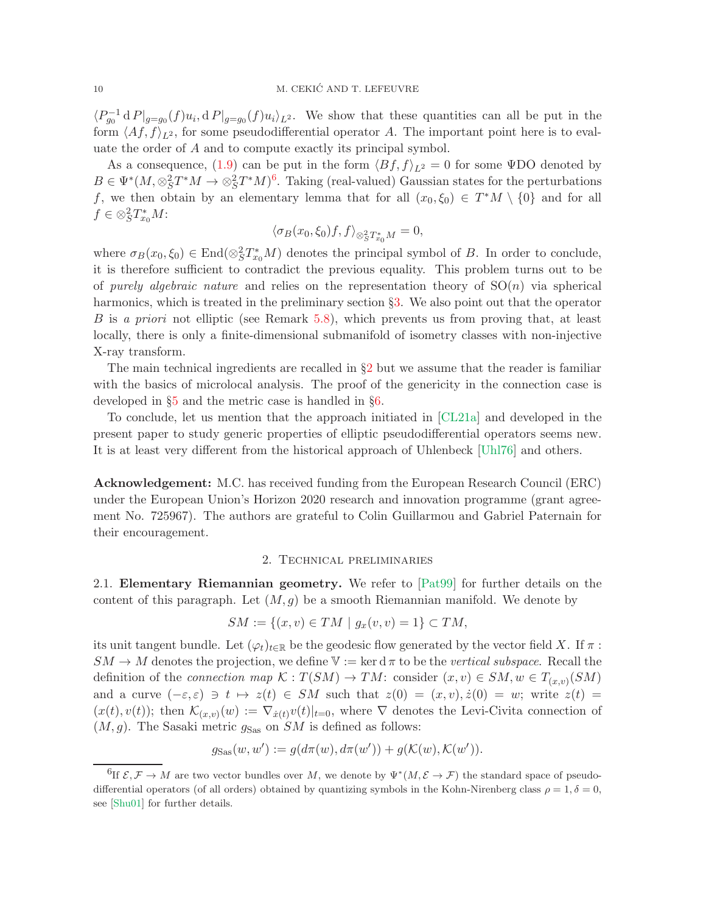$\langle P_{g_0}^{-1} d P |_{g=g_0}(f) u_i, d P |_{g=g_0}(f) u_i \rangle_{L^2}$ . We show that these quantities can all be put in the form  $\langle Af, f \rangle_{L^2}$ , for some pseudodifferential operator A. The important point here is to evaluate the order of A and to compute exactly its principal symbol.

As a consequence, [\(1.9\)](#page-8-1) can be put in the form  $\langle Bf, f \rangle_{L^2} = 0$  for some ΨDO denoted by  $B \in \Psi^*(M, \otimes_S^2 T^*M \to \otimes_S^2 T^*M)^6$  $B \in \Psi^*(M, \otimes_S^2 T^*M \to \otimes_S^2 T^*M)^6$ . Taking (real-valued) Gaussian states for the perturbations f, we then obtain by an elementary lemma that for all  $(x_0, \xi_0) \in T^*M \setminus \{0\}$  and for all  $f \in \otimes_S^2 T_{x_0}^* M$ :

$$
\langle \sigma_B(x_0, \xi_0)f, f \rangle_{\otimes^2_{S}T^*_{x_0}M} = 0,
$$

where  $\sigma_B(x_0, \xi_0) \in \text{End}(\otimes_S^2 T_{x_0}^* M)$  denotes the principal symbol of B. In order to conclude, it is therefore sufficient to contradict the previous equality. This problem turns out to be of purely algebraic nature and relies on the representation theory of  $SO(n)$  via spherical harmonics, which is treated in the preliminary section §[3.](#page-16-0) We also point out that the operator B is a priori not elliptic (see Remark [5.8\)](#page-35-0), which prevents us from proving that, at least locally, there is only a finite-dimensional submanifold of isometry classes with non-injective X-ray transform.

The main technical ingredients are recalled in  $\S2$  $\S2$  but we assume that the reader is familiar with the basics of microlocal analysis. The proof of the genericity in the connection case is developed in §[5](#page-27-0) and the metric case is handled in §[6.](#page-37-0)

To conclude, let us mention that the approach initiated in [\[CL21a\]](#page-53-0) and developed in the present paper to study generic properties of elliptic pseudodifferential operators seems new. It is at least very different from the historical approach of Uhlenbeck [\[Uhl76\]](#page-56-5) and others.

Acknowledgement: M.C. has received funding from the European Research Council (ERC) under the European Union's Horizon 2020 research and innovation programme (grant agreement No. 725967). The authors are grateful to Colin Guillarmou and Gabriel Paternain for their encouragement.

## 2. Technical preliminaries

<span id="page-9-2"></span><span id="page-9-0"></span>2.1. Elementary Riemannian geometry. We refer to [\[Pat99\]](#page-55-20) for further details on the content of this paragraph. Let  $(M, g)$  be a smooth Riemannian manifold. We denote by

$$
SM := \{(x, v) \in TM \mid g_x(v, v) = 1\} \subset TM,
$$

its unit tangent bundle. Let  $(\varphi_t)_{t\in\mathbb{R}}$  be the geodesic flow generated by the vector field X. If  $\pi$ :  $SM \to M$  denotes the projection, we define  $\mathbb{V} := \ker \mathrm{d} \pi$  to be the *vertical subspace*. Recall the definition of the *connection map*  $\mathcal{K}: T(SM) \to TM$ : consider  $(x, v) \in SM, w \in T_{(x,v)}(SM)$ and a curve  $(-\varepsilon, \varepsilon) \ni t \mapsto z(t) \in SM$  such that  $z(0) = (x, v), \dot{z}(0) = w$ ; write  $z(t) =$  $(x(t), v(t))$ ; then  $\mathcal{K}_{(x,v)}(w) := \nabla_{\dot{x}(t)} v(t)|_{t=0}$ , where  $\nabla$  denotes the Levi-Civita connection of  $(M, g)$ . The Sasaki metric  $g_{\text{Sas}}$  on SM is defined as follows:

$$
g_{\text{Sas}}(w, w') := g(d\pi(w), d\pi(w')) + g(\mathcal{K}(w), \mathcal{K}(w')).
$$

<span id="page-9-1"></span><sup>&</sup>lt;sup>6</sup>If  $\mathcal{E}, \mathcal{F} \to M$  are two vector bundles over M, we denote by  $\Psi^*(M, \mathcal{E} \to \mathcal{F})$  the standard space of pseudodifferential operators (of all orders) obtained by quantizing symbols in the Kohn-Nirenberg class  $\rho = 1, \delta = 0$ , see [\[Shu01\]](#page-56-6) for further details.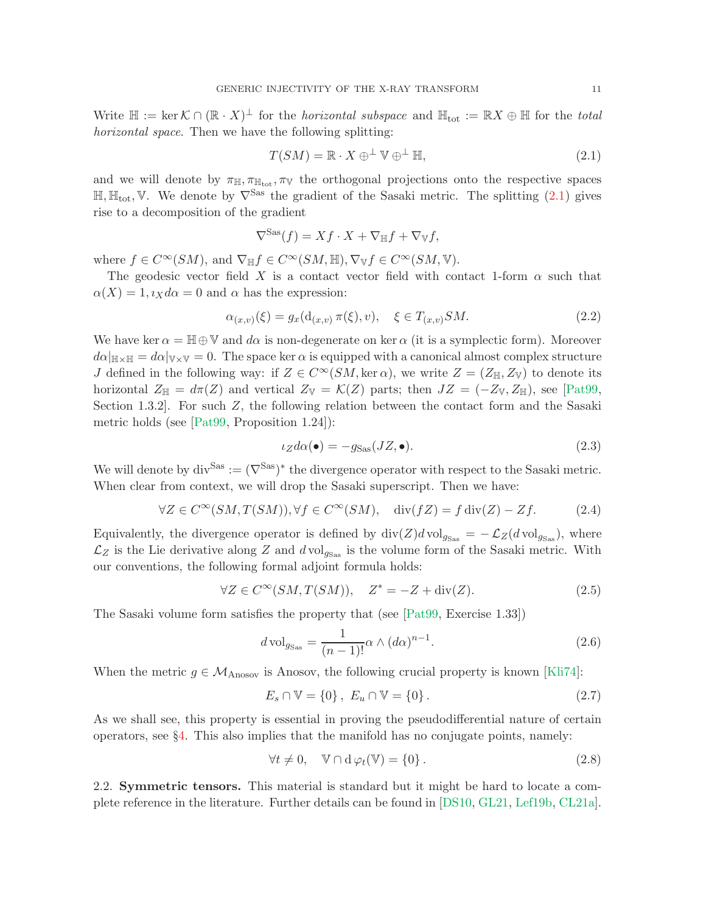Write  $\mathbb{H} := \ker \mathcal{K} \cap (\mathbb{R} \cdot X)^{\perp}$  for the *horizontal subspace* and  $\mathbb{H}_{\text{tot}} := \mathbb{R}X \oplus \mathbb{H}$  for the *total* horizontal space. Then we have the following splitting:

<span id="page-10-0"></span>
$$
T(SM) = \mathbb{R} \cdot X \oplus^{\perp} \mathbb{V} \oplus^{\perp} \mathbb{H},\tag{2.1}
$$

and we will denote by  $\pi_{\mathbb{H}}, \pi_{\mathbb{H}_{tot}}, \pi_{\mathbb{V}}$  the orthogonal projections onto the respective spaces  $\mathbb{H}, \mathbb{H}_{\text{tot}}, \mathbb{V}$ . We denote by  $\nabla^{\text{Sas}}$  the gradient of the Sasaki metric. The splitting [\(2.1\)](#page-10-0) gives rise to a decomposition of the gradient

$$
\nabla^{\text{Sas}}(f) = Xf \cdot X + \nabla_{\mathbb{H}} f + \nabla_{\mathbb{V}} f,
$$

where  $f \in C^{\infty}(SM)$ , and  $\nabla_{\mathbb{H}} f \in C^{\infty}(SM, \mathbb{H})$ ,  $\nabla_{\mathbb{V}} f \in C^{\infty}(SM, \mathbb{V})$ .

The geodesic vector field X is a contact vector field with contact 1-form  $\alpha$  such that  $\alpha(X) = 1, \iota_X d\alpha = 0$  and  $\alpha$  has the expression:

$$
\alpha_{(x,v)}(\xi) = g_x(\mathbf{d}_{(x,v)} \,\pi(\xi), v), \quad \xi \in T_{(x,v)} SM.
$$
\n(2.2)

We have ker  $\alpha = \mathbb{H} \oplus \mathbb{V}$  and  $d\alpha$  is non-degenerate on ker  $\alpha$  (it is a symplectic form). Moreover  $d\alpha|_{\mathbb{H}\times\mathbb{H}} = d\alpha|_{\mathbb{V}\times\mathbb{V}} = 0$ . The space ker  $\alpha$  is equipped with a canonical almost complex structure J defined in the following way: if  $Z \in C^{\infty}(SM, \ker \alpha)$ , we write  $Z = (Z_{\mathbb{H}}, Z_{\mathbb{V}})$  to denote its horizontal  $Z_{\mathbb{H}} = d\pi(Z)$  and vertical  $Z_{\mathbb{V}} = \mathcal{K}(Z)$  parts; then  $JZ = (-Z_{\mathbb{V}}, Z_{\mathbb{H}})$ , see [\[Pat99,](#page-55-20) Section 1.3.2. For such  $Z$ , the following relation between the contact form and the Sasaki metric holds (see [\[Pat99,](#page-55-20) Proposition 1.24]):

<span id="page-10-3"></span>
$$
\iota_Z d\alpha(\bullet) = -g_{\text{Sas}}(JZ, \bullet). \tag{2.3}
$$

We will denote by  $\text{div}^{\text{Sas}} := (\nabla^{\text{Sas}})^*$  the divergence operator with respect to the Sasaki metric. When clear from context, we will drop the Sasaki superscript. Then we have:

$$
\forall Z \in C^{\infty}(SM, T(SM)), \forall f \in C^{\infty}(SM), \quad \text{div}(fZ) = f \,\text{div}(Z) - Zf. \tag{2.4}
$$

Equivalently, the divergence operator is defined by  $div(Z)dvol_{g_{\text{Sas}}} = -\mathcal{L}_Z(dvol_{g_{\text{Sas}}})$ , where  $\mathcal{L}_Z$  is the Lie derivative along Z and  $d \text{vol}_{g_{\text{Sas}}}$  is the volume form of the Sasaki metric. With our conventions, the following formal adjoint formula holds:

<span id="page-10-4"></span>
$$
\forall Z \in C^{\infty}(SM, T(SM)), \quad Z^* = -Z + \text{div}(Z). \tag{2.5}
$$

The Sasaki volume form satisfies the property that (see [\[Pat99,](#page-55-20) Exercise 1.33])

$$
d\operatorname{vol}_{g_{\operatorname{Sas}}} = \frac{1}{(n-1)!} \alpha \wedge (d\alpha)^{n-1}.
$$
 (2.6)

When the metric  $g \in \mathcal{M}_{\text{Anosov}}$  is Anosov, the following crucial property is known [\[Kli74\]](#page-55-1):

<span id="page-10-1"></span>
$$
E_s \cap \mathbb{V} = \{0\}, \ E_u \cap \mathbb{V} = \{0\}.
$$
 (2.7)

As we shall see, this property is essential in proving the pseudodifferential nature of certain operators, see §[4.](#page-22-0) This also implies that the manifold has no conjugate points, namely:

<span id="page-10-2"></span>
$$
\forall t \neq 0, \quad \mathbb{V} \cap \mathbf{d} \varphi_t(\mathbb{V}) = \{0\}.
$$
 (2.8)

2.2. Symmetric tensors. This material is standard but it might be hard to locate a complete reference in the literature. Further details can be found in [\[DS10,](#page-54-14) [GL21,](#page-54-15) [Lef19b,](#page-55-21) [CL21a\]](#page-53-0).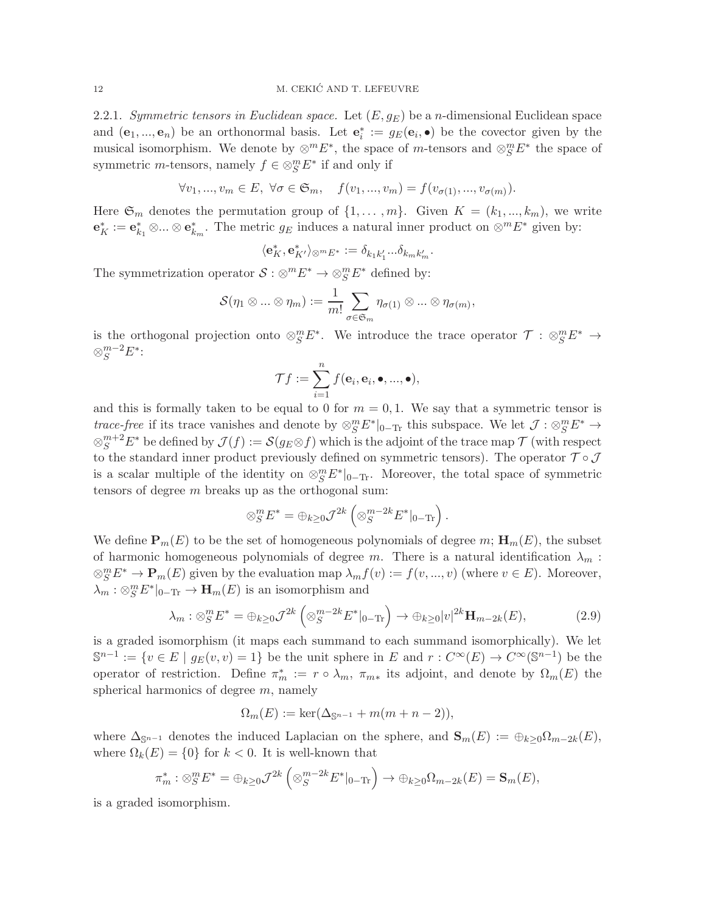<span id="page-11-0"></span>2.2.1. Symmetric tensors in Euclidean space. Let  $(E, g_E)$  be a n-dimensional Euclidean space and  $(e_1, ..., e_n)$  be an orthonormal basis. Let  $e_i^* := g_E(e_i, \bullet)$  be the covector given by the musical isomorphism. We denote by  $\otimes^m E^*$ , the space of m-tensors and  $\otimes^m_S E^*$  the space of symmetric *m*-tensors, namely  $f \in \otimes_S^m E^*$  if and only if

 $\forall v_1, ..., v_m \in E, \ \forall \sigma \in \mathfrak{S}_m, \quad f(v_1, ..., v_m) = f(v_{\sigma(1)}, ..., v_{\sigma(m)}).$ 

Here  $\mathfrak{S}_m$  denotes the permutation group of  $\{1, \ldots, m\}$ . Given  $K = (k_1, \ldots, k_m)$ , we write  $\mathbf{e}_K^* := \mathbf{e}_{k_1}^* \otimes \ldots \otimes \mathbf{e}_{k_m}^*$ . The metric  $g_E$  induces a natural inner product on  $\otimes^m E^*$  given by:

$$
\langle \mathbf{e}_K^*,\mathbf{e}_{K'}^* \rangle_{\otimes^m E^*} := \delta_{k_1k_1'}...\delta_{k_mk_m'}.
$$

The symmetrization operator  $S: \otimes^m E^* \to \otimes^m_S E^*$  defined by:

$$
\mathcal{S}(\eta_1 \otimes \ldots \otimes \eta_m) := \frac{1}{m!} \sum_{\sigma \in \mathfrak{S}_m} \eta_{\sigma(1)} \otimes \ldots \otimes \eta_{\sigma(m)},
$$

is the orthogonal projection onto  $\otimes_S^m E^*$ . We introduce the trace operator  $\mathcal{T}: \otimes_S^m E^* \to$  $\otimes^{m-2}_S E^*$ :

$$
\mathcal{T}f := \sum_{i=1}^n f(\mathbf{e}_i, \mathbf{e}_i, \bullet, ..., \bullet),
$$

and this is formally taken to be equal to 0 for  $m = 0, 1$ . We say that a symmetric tensor is trace-free if its trace vanishes and denote by  $\otimes_S^m E^*|_{0-T_r}$  this subspace. We let  $\mathcal{J}: \otimes_S^m E^* \to$  $\otimes^{m+2}_S E^*$  be defined by  $\mathcal{J}(f) := \mathcal{S}(g_E \otimes f)$  which is the adjoint of the trace map  $\mathcal{T}$  (with respect to the standard inner product previously defined on symmetric tensors). The operator  $\mathcal{T} \circ \mathcal{J}$ is a scalar multiple of the identity on  $\otimes_S^m E^*|_{0-\text{Tr}}$ . Moreover, the total space of symmetric tensors of degree m breaks up as the orthogonal sum:

$$
\otimes_S^m E^* = \bigoplus_{k \geq 0} \mathcal{J}^{2k} \left( \otimes_S^{m-2k} E^*|_{0-\text{Tr}} \right).
$$

We define  $\mathbf{P}_m(E)$  to be the set of homogeneous polynomials of degree  $m; \mathbf{H}_m(E)$ , the subset of harmonic homogeneous polynomials of degree m. There is a natural identification  $\lambda_m$ :  $\otimes_S^m E^* \to \mathbf{P}_m(E)$  given by the evaluation map  $\lambda_m f(v) := f(v, ..., v)$  (where  $v \in E$ ). Moreover,  $\lambda_m : \otimes_S^m E^*|_{0-\text{Tr}} \to \mathbf{H}_m(E)$  is an isomorphism and

<span id="page-11-1"></span>
$$
\lambda_m : \otimes_S^m E^* = \oplus_{k \ge 0} \mathcal{J}^{2k} \left( \otimes_S^{m-2k} E^* \middle|_{0-\text{Tr}} \right) \to \oplus_{k \ge 0} |v|^{2k} \mathbf{H}_{m-2k}(E),\tag{2.9}
$$

is a graded isomorphism (it maps each summand to each summand isomorphically). We let  $\mathbb{S}^{n-1} := \{v \in E \mid g_E(v, v) = 1\}$  be the unit sphere in E and  $r : C^{\infty}(E) \to C^{\infty}(\mathbb{S}^{n-1})$  be the operator of restriction. Define  $\pi_m^* := r \circ \lambda_m$ ,  $\pi_{m*}$  its adjoint, and denote by  $\Omega_m(E)$  the spherical harmonics of degree  $m$ , namely

$$
\Omega_m(E) := \ker(\Delta_{\mathbb{S}^{n-1}} + m(m+n-2)),
$$

where  $\Delta_{\mathbb{S}^{n-1}}$  denotes the induced Laplacian on the sphere, and  $\mathbf{S}_m(E) := \bigoplus_{k>0} \Omega_{m-2k}(E)$ , where  $\Omega_k(E) = \{0\}$  for  $k < 0$ . It is well-known that

$$
\pi_m^* : \otimes_S^m E^* = \oplus_{k \geq 0} \mathcal{J}^{2k} \left( \otimes_S^{m-2k} E^*|_{0-\text{Tr}} \right) \to \oplus_{k \geq 0} \Omega_{m-2k}(E) = \mathbf{S}_m(E),
$$

is a graded isomorphism.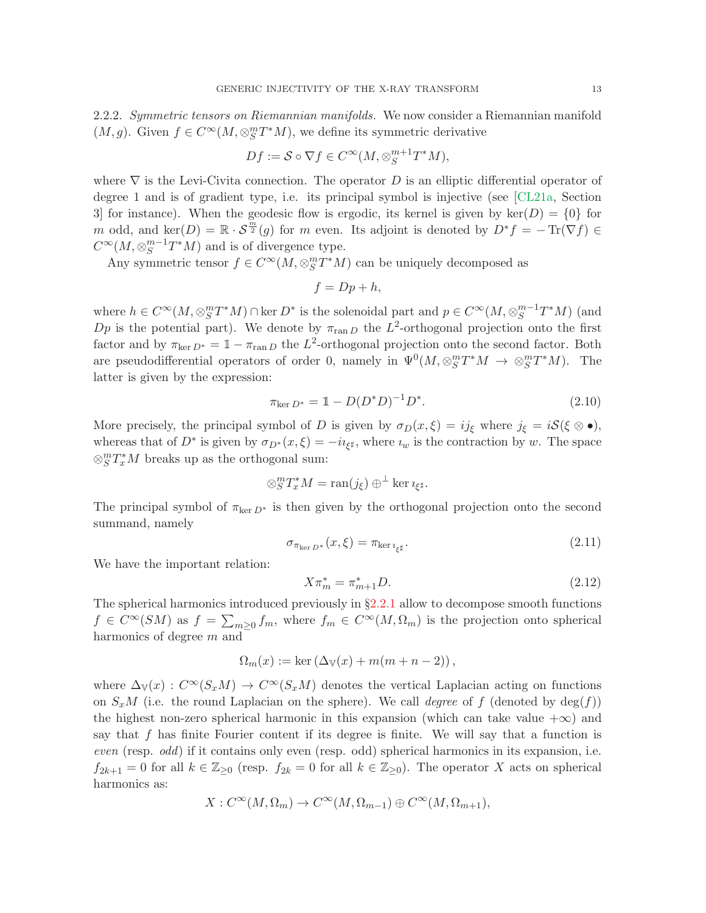<span id="page-12-0"></span>2.2.2. Symmetric tensors on Riemannian manifolds. We now consider a Riemannian manifold  $(M, g)$ . Given  $f \in C^{\infty}(M, \otimes_S^m T^*M)$ , we define its symmetric derivative

$$
Df := \mathcal{S} \circ \nabla f \in C^{\infty}(M, \otimes_S^{m+1}T^*M),
$$

where  $\nabla$  is the Levi-Civita connection. The operator D is an elliptic differential operator of degree 1 and is of gradient type, i.e. its principal symbol is injective (see [\[CL21a,](#page-53-0) Section 3 for instance). When the geodesic flow is ergodic, its kernel is given by  $\text{ker}(D) = \{0\}$  for m odd, and  $\ker(D) = \mathbb{R} \cdot \mathcal{S}^{\frac{m}{2}}(g)$  for m even. Its adjoint is denoted by  $D^*f = -\operatorname{Tr}(\nabla f) \in$  $C^{\infty}(M,\otimes_S^{m-1})$  ${}^{m-1}_{S}T^*M$ ) and is of divergence type.

Any symmetric tensor  $f \in C^{\infty}(M, \otimes^m_S T^*M)$  can be uniquely decomposed as

$$
f = Dp + h,
$$

where  $h \in C^{\infty}(M, \otimes_S^m T^*M) \cap \text{ker } D^*$  is the solenoidal part and  $p \in C^{\infty}(M, \otimes_S^{m-1}$  $_S^{m-1}T^*M$ ) (and Dp is the potential part). We denote by  $\pi_{\text{ran }D}$  the  $L^2$ -orthogonal projection onto the first factor and by  $\pi_{\ker D^*} = 1 - \pi_{\operatorname{ran} D}$  the  $L^2$ -orthogonal projection onto the second factor. Both are pseudodifferential operators of order 0, namely in  $\Psi^0(M, \otimes_S^m T^*M \to \otimes_S^m T^*M)$ . The latter is given by the expression:

<span id="page-12-1"></span>
$$
\pi_{\ker D^*} = \mathbb{1} - D(D^*D)^{-1}D^*.
$$
\n(2.10)

More precisely, the principal symbol of D is given by  $\sigma_D(x,\xi) = ij_\xi$  where  $j_\xi = iS(\xi \otimes \bullet)$ , whereas that of  $D^*$  is given by  $\sigma_{D^*}(x,\xi) = -i\imath_{\xi^\sharp}$ , where  $\imath_w$  is the contraction by w. The space  $\otimes_S^m T_x^*M$  breaks up as the orthogonal sum:

$$
\otimes_S^m T_x^* M = \operatorname{ran}(j_\xi) \oplus^{\perp} \ker \imath_{\xi^\sharp}.
$$

The principal symbol of  $\pi_{\text{ker }D^*}$  is then given by the orthogonal projection onto the second summand, namely

<span id="page-12-2"></span>
$$
\sigma_{\pi_{\ker D^*}}(x,\xi) = \pi_{\ker i_{\xi^\sharp}}.\tag{2.11}
$$

We have the important relation:

<span id="page-12-3"></span>
$$
X\pi_m^* = \pi_{m+1}^* D. \tag{2.12}
$$

The spherical harmonics introduced previously in  $\S2.2.1$  $\S2.2.1$  allow to decompose smooth functions  $f \in C^{\infty}(SM)$  as  $f = \sum_{m \geq 0} f_m$ , where  $f_m \in C^{\infty}(M, \Omega_m)$  is the projection onto spherical harmonics of degree m and

$$
\Omega_m(x) := \ker \left( \Delta_{\mathbb{V}}(x) + m(m+n-2) \right),
$$

where  $\Delta_{\mathbb{V}}(x): C^{\infty}(S_xM) \to C^{\infty}(S_xM)$  denotes the vertical Laplacian acting on functions on  $S_xM$  (i.e. the round Laplacian on the sphere). We call *degree* of f (denoted by  $\deg(f)$ ) the highest non-zero spherical harmonic in this expansion (which can take value  $+\infty$ ) and say that  $f$  has finite Fourier content if its degree is finite. We will say that a function is even (resp. odd) if it contains only even (resp. odd) spherical harmonics in its expansion, i.e.  $f_{2k+1} = 0$  for all  $k \in \mathbb{Z}_{\geq 0}$  (resp.  $f_{2k} = 0$  for all  $k \in \mathbb{Z}_{\geq 0}$ ). The operator X acts on spherical harmonics as:

$$
X: C^{\infty}(M, \Omega_m) \to C^{\infty}(M, \Omega_{m-1}) \oplus C^{\infty}(M, \Omega_{m+1}),
$$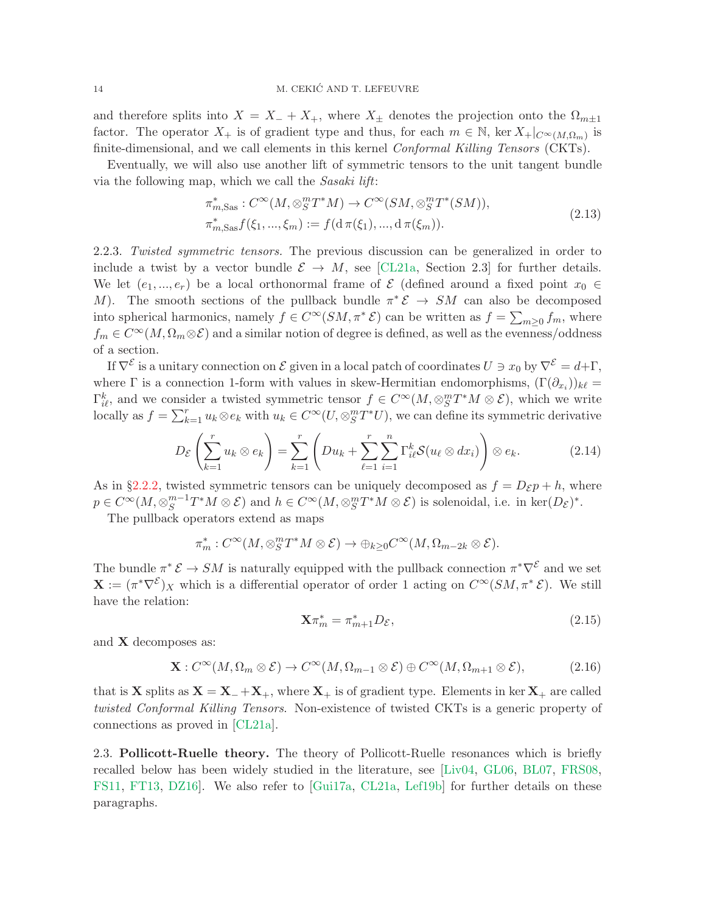and therefore splits into  $X = X_+ + X_+$ , where  $X_{\pm}$  denotes the projection onto the  $\Omega_{m\pm 1}$ factor. The operator  $X_+$  is of gradient type and thus, for each  $m \in \mathbb{N}$ , ker  $X_+|_{C^{\infty}(M,\Omega_m)}$  is finite-dimensional, and we call elements in this kernel *Conformal Killing Tensors* (CKTs).

Eventually, we will also use another lift of symmetric tensors to the unit tangent bundle via the following map, which we call the Sasaki lift:

$$
\pi_{m,\text{Sas}}^* : C^\infty(M, \otimes_S^m T^*M) \to C^\infty(SM, \otimes_S^m T^*(SM)),
$$
  
\n
$$
\pi_{m,\text{Sas}}^* f(\xi_1, ..., \xi_m) := f(\mathrm{d}\,\pi(\xi_1), ..., \mathrm{d}\,\pi(\xi_m)).
$$
\n(2.13)

<span id="page-13-2"></span><span id="page-13-1"></span>2.2.3. Twisted symmetric tensors. The previous discussion can be generalized in order to include a twist by a vector bundle  $\mathcal{E} \to M$ , see [\[CL21a,](#page-53-0) Section 2.3] for further details. We let  $(e_1, ..., e_r)$  be a local orthonormal frame of  $\mathcal E$  (defined around a fixed point  $x_0 \in$ M). The smooth sections of the pullback bundle  $\pi^* \mathcal{E} \to SM$  can also be decomposed into spherical harmonics, namely  $f \in C^{\infty}(SM, \pi^* \mathcal{E})$  can be written as  $f = \sum_{m \geq 0} f_m$ , where  $f_m \in C^{\infty}(M, \Omega_m \otimes \mathcal{E})$  and a similar notion of degree is defined, as well as the evenness/oddness of a section.

If  $\nabla^{\mathcal{E}}$  is a unitary connection on  $\mathcal{E}$  given in a local patch of coordinates  $U \ni x_0$  by  $\nabla^{\mathcal{E}} = d + \Gamma$ , where  $\Gamma$  is a connection 1-form with values in skew-Hermitian endomorphisms,  $(\Gamma(\partial_{x_i}))_{k\ell} =$  $\Gamma^k_{i\ell}$ , and we consider a twisted symmetric tensor  $f \in C^\infty(M, \otimes_S^m T^*M \otimes \mathcal{E})$ , which we write locally as  $f = \sum_{k=1}^r u_k \otimes e_k$  with  $u_k \in C^\infty(U, \otimes_S^m T^*U)$ , we can define its symmetric derivative

$$
D_{\mathcal{E}}\left(\sum_{k=1}^{r} u_k \otimes e_k\right) = \sum_{k=1}^{r} \left(Du_k + \sum_{\ell=1}^{r} \sum_{i=1}^{n} \Gamma_{i\ell}^k \mathcal{S}(u_\ell \otimes dx_i)\right) \otimes e_k.
$$
 (2.14)

As in §[2.2.2,](#page-12-0) twisted symmetric tensors can be uniquely decomposed as  $f = D_{\mathcal{E}} p + h$ , where  $p \in C^{\infty}(M,\otimes_S^{m-1})$  ${}_{S}^{m-1}T^{*}M\otimes \mathcal{E}$  and  $h\in C^{\infty}(M,\otimes_{S}^{m}T^{*}M\otimes \mathcal{E})$  is solenoidal, i.e. in ker $(D_{\mathcal{E}})^{*}$ .

The pullback operators extend as maps

$$
\pi_m^*: C^\infty(M,\otimes_S^m T^*M\otimes \mathcal{E})\to \oplus_{k\geq 0}C^\infty(M,\Omega_{m-2k}\otimes \mathcal{E}).
$$

The bundle  $\pi^* \mathcal{E} \to SM$  is naturally equipped with the pullback connection  $\pi^* \nabla^{\mathcal{E}}$  and we set  $\mathbf{X} := (\pi^* \nabla^{\mathcal{E}})_{X}$  which is a differential operator of order 1 acting on  $C^{\infty}(SM, \pi^* \mathcal{E})$ . We still have the relation:

<span id="page-13-3"></span>
$$
\mathbf{X}\pi_m^* = \pi_{m+1}^* D_{\mathcal{E}},\tag{2.15}
$$

and X decomposes as:

<span id="page-13-4"></span>
$$
\mathbf{X}: C^{\infty}(M, \Omega_m \otimes \mathcal{E}) \to C^{\infty}(M, \Omega_{m-1} \otimes \mathcal{E}) \oplus C^{\infty}(M, \Omega_{m+1} \otimes \mathcal{E}), \tag{2.16}
$$

that is **X** splits as  $X = X_+ + X_+$ , where  $X_+$  is of gradient type. Elements in ker  $X_+$  are called twisted Conformal Killing Tensors. Non-existence of twisted CKTs is a generic property of connections as proved in [\[CL21a\]](#page-53-0).

<span id="page-13-0"></span>2.3. Pollicott-Ruelle theory. The theory of Pollicott-Ruelle resonances which is briefly recalled below has been widely studied in the literature, see [\[Liv04,](#page-55-22) [GL06,](#page-54-16) [BL07,](#page-53-17) [FRS08,](#page-54-17) [FS11,](#page-54-18) [FT13,](#page-54-19) [DZ16\]](#page-54-20). We also refer to [\[Gui17a,](#page-54-5) [CL21a,](#page-53-0) [Lef19b\]](#page-55-21) for further details on these paragraphs.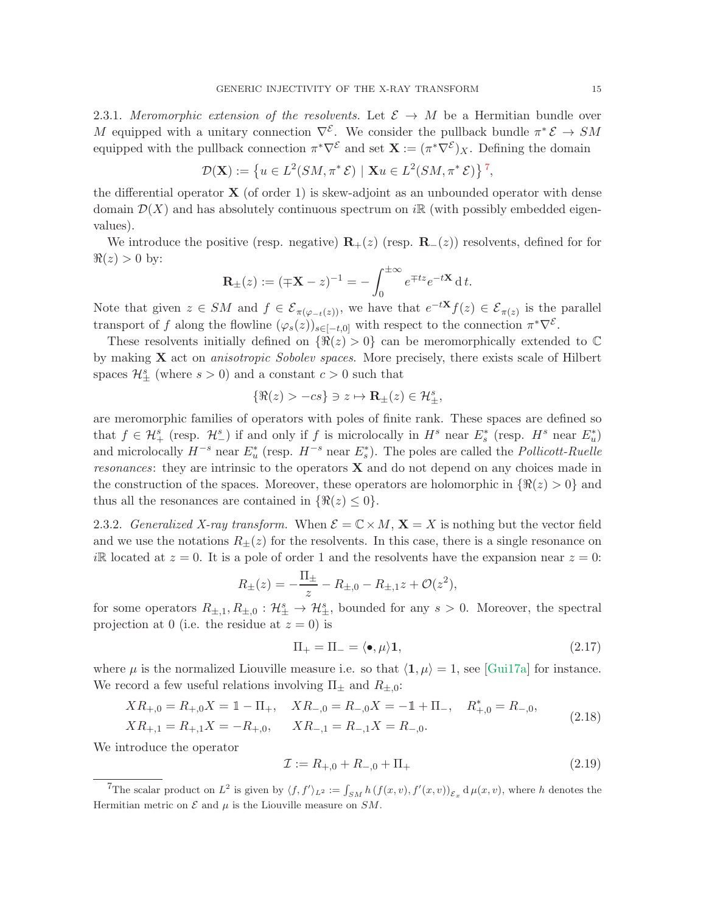2.3.1. Meromorphic extension of the resolvents. Let  $\mathcal{E} \to M$  be a Hermitian bundle over M equipped with a unitary connection  $\nabla^{\mathcal{E}}$ . We consider the pullback bundle  $\pi^* \mathcal{E} \to SM$ equipped with the pullback connection  $\pi^* \nabla^{\mathcal{E}}$  and set  $\mathbf{X} := (\pi^* \nabla^{\mathcal{E}})X$ . Defining the domain

$$
\mathcal{D}(\mathbf{X}) := \left\{ u \in L^2(SM, \pi^* \mathcal{E}) \mid \mathbf{X} u \in L^2(SM, \pi^* \mathcal{E}) \right\}^7,
$$

the differential operator  $\bf{X}$  (of order 1) is skew-adjoint as an unbounded operator with dense domain  $\mathcal{D}(X)$  and has absolutely continuous spectrum on i $\mathbb{R}$  (with possibly embedded eigenvalues).

We introduce the positive (resp. negative)  $\mathbf{R}_+(z)$  (resp.  $\mathbf{R}_-(z)$ ) resolvents, defined for for  $\Re(z) > 0$  by:

$$
\mathbf{R}_{\pm}(z) := (\mp \mathbf{X} - z)^{-1} = -\int_0^{\pm \infty} e^{\mp tz} e^{-t\mathbf{X}} dt.
$$

Note that given  $z \in SM$  and  $f \in \mathcal{E}_{\pi(\varphi_{-t}(z))}$ , we have that  $e^{-tX}f(z) \in \mathcal{E}_{\pi(z)}$  is the parallel transport of f along the flowline  $(\varphi_s(z))_{s \in [-t,0]}$  with respect to the connection  $\pi^* \nabla^{\mathcal{E}}$ .

These resolvents initially defined on  $\{\Re(z) > 0\}$  can be meromorphically extended to  $\mathbb C$ by making  $X$  act on *anisotropic Sobolev spaces*. More precisely, there exists scale of Hilbert spaces  $\mathcal{H}^s_{\pm}$  (where  $s > 0$ ) and a constant  $c > 0$  such that

$$
\{\Re(z) > -cs\} \ni z \mapsto \mathbf{R}_{\pm}(z) \in \mathcal{H}_{\pm}^s,
$$

are meromorphic families of operators with poles of finite rank. These spaces are defined so that  $f \in \mathcal{H}^s_+$  (resp.  $\mathcal{H}^s_-$ ) if and only if f is microlocally in  $H^s$  near  $E^*_s$  (resp.  $H^s$  near  $E^*_u$ ) and microlocally  $H^{-s}$  near  $E_u^*$  (resp.  $H^{-s}$  near  $E_s^*$ ). The poles are called the *Pollicott-Ruelle resonances*: they are intrinsic to the operators  $X$  and do not depend on any choices made in the construction of the spaces. Moreover, these operators are holomorphic in  $\Re(z) > 0$  and thus all the resonances are contained in  $\{\Re(z)\leq 0\}.$ 

<span id="page-14-0"></span>2.3.2. Generalized X-ray transform. When  $\mathcal{E} = \mathbb{C} \times M$ ,  $\mathbf{X} = X$  is nothing but the vector field and we use the notations  $R_{\pm}(z)$  for the resolvents. In this case, there is a single resonance on iR located at  $z = 0$ . It is a pole of order 1 and the resolvents have the expansion near  $z = 0$ :

$$
R_{\pm}(z) = -\frac{\Pi_{\pm}}{z} - R_{\pm,0} - R_{\pm,1}z + \mathcal{O}(z^2),
$$

for some operators  $R_{\pm,1}, R_{\pm,0} : \mathcal{H}_{\pm}^s \to \mathcal{H}_{\pm}^s$ , bounded for any  $s > 0$ . Moreover, the spectral projection at 0 (i.e. the residue at  $z = 0$ ) is

<span id="page-14-3"></span><span id="page-14-2"></span>
$$
\Pi_{+} = \Pi_{-} = \langle \bullet, \mu \rangle \mathbf{1},\tag{2.17}
$$

where  $\mu$  is the normalized Liouville measure i.e. so that  $\langle 1, \mu \rangle = 1$ , see [\[Gui17a\]](#page-54-5) for instance. We record a few useful relations involving  $\Pi_{\pm}$  and  $R_{\pm,0}$ :

$$
XR_{+,0} = R_{+,0}X = \mathbb{1} - \Pi_{+}, \quad XR_{-,0} = R_{-,0}X = -\mathbb{1} + \Pi_{-}, \quad R_{+,0}^{*} = R_{-,0},
$$
  

$$
XR_{+,1} = R_{+,1}X = -R_{+,0}, \quad XR_{-,1} = R_{-,1}X = R_{-,0}.
$$
 (2.18)

We introduce the operator

$$
\mathcal{I} := R_{+,0} + R_{-,0} + \Pi_+ \tag{2.19}
$$

<span id="page-14-1"></span><sup>&</sup>lt;sup>7</sup>The scalar product on  $L^2$  is given by  $\langle f, f' \rangle_{L^2} := \int_{SM} h(f(x, v), f'(x, v))_{\mathcal{E}_x} d\mu(x, v)$ , where h denotes the Hermitian metric on  $\mathcal E$  and  $\mu$  is the Liouville measure on  $SM$ .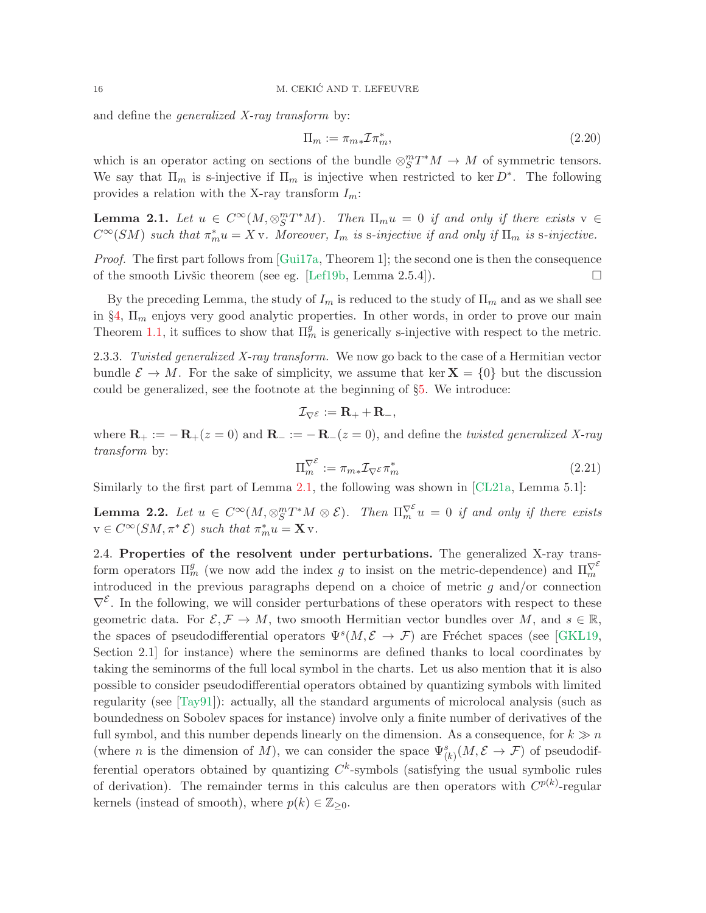and define the *generalized X-ray transform* by:

$$
\Pi_m := \pi_{m*} \mathcal{I} \pi_m^*,\tag{2.20}
$$

which is an operator acting on sections of the bundle  $\otimes_S^m T^*M \to M$  of symmetric tensors. We say that  $\Pi_m$  is s-injective if  $\Pi_m$  is injective when restricted to ker  $D^*$ . The following provides a relation with the X-ray transform  $I_m$ :

<span id="page-15-1"></span>**Lemma 2.1.** Let  $u \in C^{\infty}(M, \otimes^m_S T^*M)$ . Then  $\Pi_m u = 0$  if and only if there exists  $v \in$  $C^{\infty}(SM)$  such that  $\pi_m^*u = Xv$ . Moreover,  $I_m$  is s-injective if and only if  $\Pi_m$  is s-injective.

*Proof.* The first part follows from  $[Gui17a, Theorem 1]$ ; the second one is then the consequence of the smooth Livšic theorem (see eg. [\[Lef19b,](#page-55-21) Lemma 2.5.4]).  $\Box$ 

By the preceding Lemma, the study of  $I_m$  is reduced to the study of  $\Pi_m$  and as we shall see in  $\S4$ ,  $\Pi_m$  enjoys very good analytic properties. In other words, in order to prove our main Theorem [1.1,](#page-2-2) it suffices to show that  $\Pi_m^g$  is generically s-injective with respect to the metric.

<span id="page-15-0"></span>2.3.3. Twisted generalized X-ray transform. We now go back to the case of a Hermitian vector bundle  $\mathcal{E} \to M$ . For the sake of simplicity, we assume that ker  $\mathbf{X} = \{0\}$  but the discussion could be generalized, see the footnote at the beginning of §[5.](#page-27-0) We introduce:

$$
\mathcal{I}_{\nabla^{\mathcal{E}}} := \mathbf{R}_{+} + \mathbf{R}_{-},
$$

where  $\mathbf{R}_{+} := -\mathbf{R}_{+}(z=0)$  and  $\mathbf{R}_{-} := -\mathbf{R}_{-}(z=0)$ , and define the *twisted generalized* X-ray transform by:

$$
\Pi_m^{\nabla^{\mathcal{E}}} := \pi_{m*} \mathcal{I}_{\nabla^{\mathcal{E}}} \pi_m^* \tag{2.21}
$$

Similarly to the first part of Lemma [2.1,](#page-15-1) the following was shown in [\[CL21a,](#page-53-0) Lemma 5.1]:

<span id="page-15-3"></span>**Lemma 2.2.** Let  $u \in C^{\infty}(M, \otimes_S^m T^*M \otimes \mathcal{E})$ . Then  $\Pi_m^{\nabla^{\mathcal{E}}} u = 0$  if and only if there exists  $v \in C^{\infty}(SM, \pi^* \mathcal{E})$  such that  $\pi_m^* u = \mathbf{X} v$ .

<span id="page-15-2"></span>2.4. Properties of the resolvent under perturbations. The generalized X-ray transform operators  $\Pi_m^g$  (we now add the index g to insist on the metric-dependence) and  $\Pi_m^{\nabla^{\mathcal{E}}}\n$ introduced in the previous paragraphs depend on a choice of metric  $g$  and/or connection  $\nabla^{\mathcal{E}}$ . In the following, we will consider perturbations of these operators with respect to these geometric data. For  $\mathcal{E}, \mathcal{F} \to M$ , two smooth Hermitian vector bundles over M, and  $s \in \mathbb{R}$ , the spaces of pseudodifferential operators  $\Psi^s(M, \mathcal{E} \to \mathcal{F})$  are Fréchet spaces (see [\[GKL19,](#page-54-1) Section 2.1] for instance) where the seminorms are defined thanks to local coordinates by taking the seminorms of the full local symbol in the charts. Let us also mention that it is also possible to consider pseudodifferential operators obtained by quantizing symbols with limited regularity (see [\[Tay91\]](#page-56-7)): actually, all the standard arguments of microlocal analysis (such as boundedness on Sobolev spaces for instance) involve only a finite number of derivatives of the full symbol, and this number depends linearly on the dimension. As a consequence, for  $k \gg n$ (where *n* is the dimension of M), we can consider the space  $\Psi^s_{(k)}(M, \mathcal{E} \to \mathcal{F})$  of pseudodifferential operators obtained by quantizing  $C<sup>k</sup>$ -symbols (satisfying the usual symbolic rules of derivation). The remainder terms in this calculus are then operators with  $C^{p(k)}$ -regular kernels (instead of smooth), where  $p(k) \in \mathbb{Z}_{\geq 0}$ .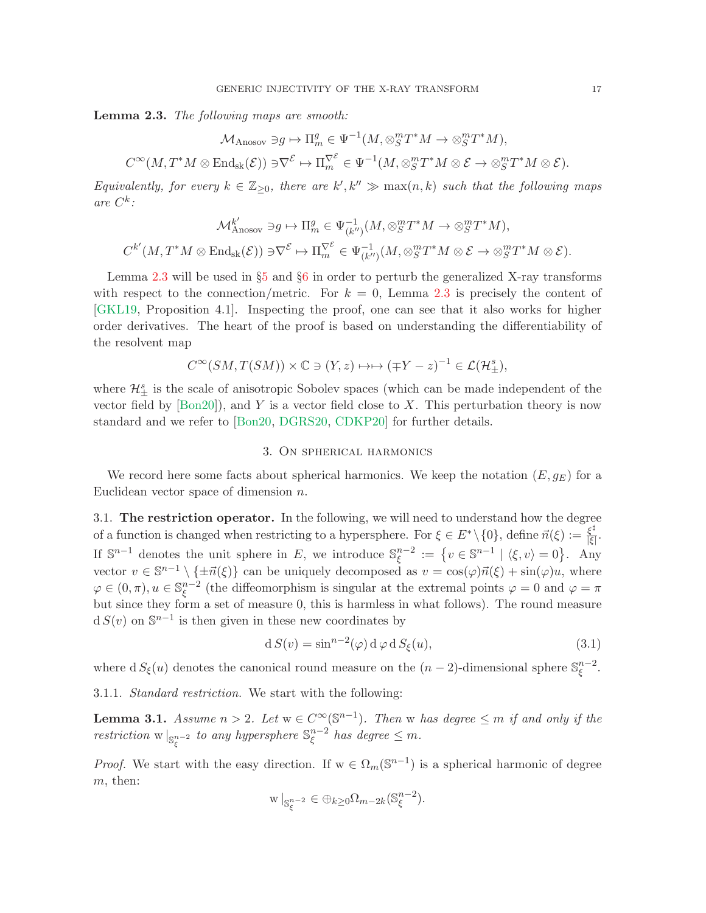<span id="page-16-1"></span>Lemma 2.3. The following maps are smooth:

$$
\mathcal{M}_{\text{Anosov}} \ni g \mapsto \Pi_m^g \in \Psi^{-1}(M, \otimes_S^m T^*M \to \otimes_S^m T^*M),
$$
  

$$
C^{\infty}(M, T^*M \otimes \text{End}_{\text{sk}}(\mathcal{E})) \ni \nabla^{\mathcal{E}} \mapsto \Pi_m^{\nabla^{\mathcal{E}}} \in \Psi^{-1}(M, \otimes_S^m T^*M \otimes \mathcal{E} \to \otimes_S^m T^*M \otimes \mathcal{E}).
$$

Equivalently, for every  $k \in \mathbb{Z}_{\geq 0}$ , there are  $k', k'' \gg \max(n, k)$  such that the following maps are  $C^k$ :

$$
\mathcal{M}_{\mathrm{Anosov}}^{k'} \ni g \mapsto \Pi_m^g \in \Psi_{(k'')}^{-1}(M, \otimes_S^m T^*M \to \otimes_S^m T^*M),
$$
  

$$
C^{k'}(M, T^*M \otimes \mathrm{End}_{\mathrm{sk}}(\mathcal{E})) \ni \nabla^{\mathcal{E}} \mapsto \Pi_m^{\nabla^{\mathcal{E}}} \in \Psi_{(k'')}^{-1}(M, \otimes_S^m T^*M \otimes \mathcal{E} \to \otimes_S^m T^*M \otimes \mathcal{E}).
$$

Lemma [2.3](#page-16-1) will be used in §[5](#page-27-0) and §[6](#page-37-0) in order to perturb the generalized X-ray transforms with respect to the connection/metric. For  $k = 0$ , Lemma [2.3](#page-16-1) is precisely the content of [\[GKL19,](#page-54-1) Proposition 4.1]. Inspecting the proof, one can see that it also works for higher order derivatives. The heart of the proof is based on understanding the differentiability of the resolvent map

$$
C^{\infty}(SM, T(SM)) \times \mathbb{C} \ni (Y, z) \mapsto (\mp Y - z)^{-1} \in \mathcal{L}(\mathcal{H}_{\pm}^{s}),
$$

where  $\mathcal{H}^s_{\pm}$  is the scale of anisotropic Sobolev spaces (which can be made independent of the vector field by  $[Bon20]$ , and Y is a vector field close to X. This perturbation theory is now standard and we refer to [\[Bon20,](#page-53-18) [DGRS20,](#page-53-19) [CDKP20\]](#page-53-20) for further details.

## 3. On spherical harmonics

<span id="page-16-0"></span>We record here some facts about spherical harmonics. We keep the notation  $(E, g_E)$  for a Euclidean vector space of dimension  $n$ .

<span id="page-16-3"></span>3.1. The restriction operator. In the following, we will need to understand how the degree of a function is changed when restricting to a hypersphere. For  $\xi \in E^* \setminus \{0\}$ , define  $\vec{n}(\xi) := \frac{\xi^{\sharp}}{|\xi|}$ <sub>ξ"</sub><br>|ξ| If  $\mathbb{S}^{n-1}$  denotes the unit sphere in E, we introduce  $\mathbb{S}^{n-2}_{\epsilon}$  $\mathcal{L}_{\xi}^{n-2} := \{ v \in \mathbb{S}^{n-1} \mid \langle \xi, v \rangle = 0 \}.$  Any vector  $v \in \mathbb{S}^{n-1} \setminus \{\pm \vec{n}(\xi)\}\)$  can be uniquely decomposed as  $v = \cos(\varphi)\vec{n}(\xi) + \sin(\varphi)u$ , where  $\varphi \in (0, \pi), u \in \mathbb{S}^{n-2}_{\xi}$  $\zeta^{n-2}$  (the diffeomorphism is singular at the extremal points  $\varphi = 0$  and  $\varphi = \pi$ but since they form a set of measure 0, this is harmless in what follows). The round measure  $d S(v)$  on  $\mathbb{S}^{n-1}$  is then given in these new coordinates by

<span id="page-16-2"></span>
$$
d S(v) = \sin^{n-2}(\varphi) d \varphi d S_{\xi}(u), \qquad (3.1)
$$

where  $dS_{\xi}(u)$  denotes the canonical round measure on the  $(n-2)$ -dimensional sphere  $\mathbb{S}_{\xi}^{n-2}$ ξ .

3.1.1. Standard restriction. We start with the following:

<span id="page-16-4"></span>**Lemma 3.1.** Assume  $n > 2$ . Let  $w \in C^{\infty}(\mathbb{S}^{n-1})$ . Then w has degree  $\leq m$  if and only if the restriction  $\mathbf{w} \mid_{\mathbb{S}_{\xi}^{n-2}}$  to any hypersphere  $\mathbb{S}_{\xi}^{n-2}$  $\int_{\xi}^{n-2}$  has degree  $\leq m$ .

*Proof.* We start with the easy direction. If  $w \in \Omega_m(\mathbb{S}^{n-1})$  is a spherical harmonic of degree m, then:

$$
\le|{\mathbf{v}}|_{\mathbb S^{n-2}_\xi}\in \oplus_{k\ge 0} \Omega_{m-2k}(\mathbb S^{n-2}_\xi).
$$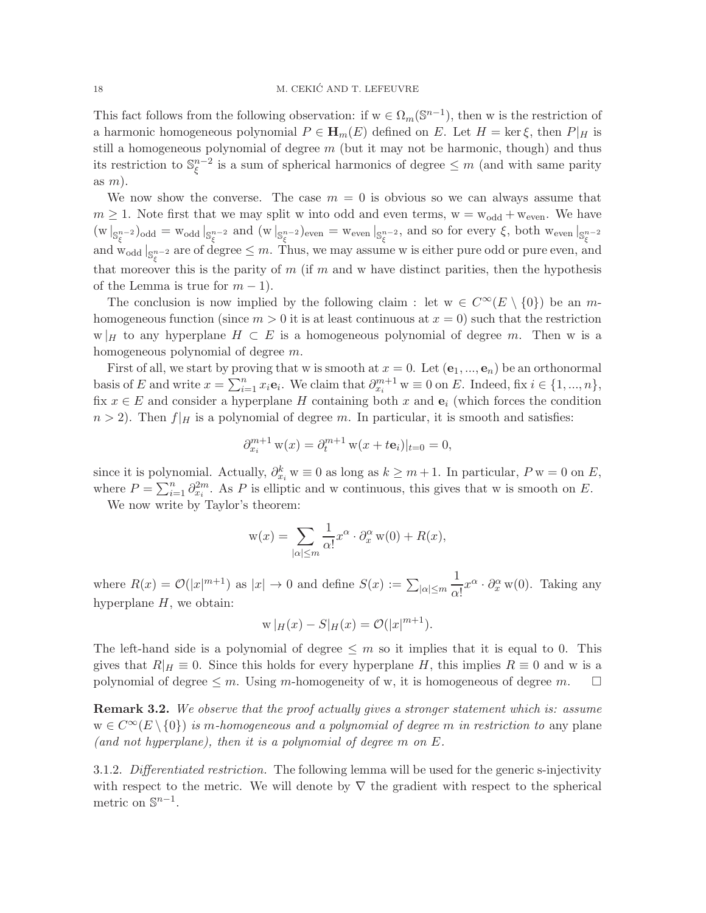This fact follows from the following observation: if  $w \in \Omega_m(\mathbb{S}^{n-1})$ , then w is the restriction of a harmonic homogeneous polynomial  $P \in \mathbf{H}_m(E)$  defined on E. Let  $H = \text{ker } \xi$ , then  $P|_H$  is still a homogeneous polynomial of degree  $m$  (but it may not be harmonic, though) and thus its restriction to  $\mathbb{S}_{\xi}^{n-2}$  $\sum_{\xi}^{n-2}$  is a sum of spherical harmonics of degree  $\leq m$  (and with same parity as  $m$ ).

We now show the converse. The case  $m = 0$  is obvious so we can always assume that  $m \geq 1$ . Note first that we may split w into odd and even terms,  $w = w_{odd} + w_{even}$ . We have  $\begin{aligned} \n\left(\text{w}\right)_{\mathbb{S}_{\xi}^{n-2}}\right)_{\text{odd}} &= \text{w}_{\text{odd}}\big|_{\mathbb{S}_{\xi}^{n-2}} \text{ and } \left(\text{w}\right)_{\mathbb{S}_{\xi}^{n-2}}\big|_{\text{even}} &= \text{w}_{\text{even}}\big|_{\mathbb{S}_{\xi}^{n-2}}$ , and so for every  $\xi$ , both  $\text{w}_{\text{even}}\big|_{\mathbb{S}_{\xi}^{n-2}}$ <br>and  $\text{w}_{\text{odd}}\big|_{\mathbb$ that moreover this is the parity of m (if m and w have distinct parities, then the hypothesis of the Lemma is true for  $m-1$ ).

The conclusion is now implied by the following claim : let  $w \in C^{\infty}(E \setminus \{0\})$  be an mhomogeneous function (since  $m > 0$  it is at least continuous at  $x = 0$ ) such that the restriction  $w|_H$  to any hyperplane  $H \subset E$  is a homogeneous polynomial of degree m. Then w is a homogeneous polynomial of degree m.

First of all, we start by proving that w is smooth at  $x = 0$ . Let  $(e_1, ..., e_n)$  be an orthonormal basis of E and write  $x = \sum_{i=1}^n x_i \mathbf{e}_i$ . We claim that  $\partial_{x_i}^{m+1}$  w  $\equiv 0$  on E. Indeed, fix  $i \in \{1, ..., n\}$ , fix  $x \in E$  and consider a hyperplane H containing both x and  $e_i$  (which forces the condition  $n > 2$ ). Then  $f|_H$  is a polynomial of degree m. In particular, it is smooth and satisfies:

$$
\partial_{x_i}^{m+1} w(x) = \partial_t^{m+1} w(x + t \mathbf{e}_i)|_{t=0} = 0,
$$

since it is polynomial. Actually,  $\partial_{x_i}^k w \equiv 0$  as long as  $k \geq m+1$ . In particular,  $P w = 0$  on  $E$ , where  $P = \sum_{i=1}^{n} \partial_{x_i}^{2m}$ . As P is elliptic and w continuous, this gives that w is smooth on E.

We now write by Taylor's theorem:

$$
\mathbf{w}(x) = \sum_{|\alpha| \le m} \frac{1}{\alpha!} x^{\alpha} \cdot \partial_x^{\alpha} \mathbf{w}(0) + R(x),
$$

where  $R(x) = \mathcal{O}(|x|^{m+1})$  as  $|x| \to 0$  and define  $S(x) := \sum_{|\alpha| \le m}$ 1  $\frac{1}{\alpha!}x^{\alpha} \cdot \partial_x^{\alpha}$  w(0). Taking any hyperplane  $H$ , we obtain:

$$
w|_H(x) - S|_H(x) = \mathcal{O}(|x|^{m+1}).
$$

The left-hand side is a polynomial of degree  $\leq m$  so it implies that it is equal to 0. This gives that  $R|_H \equiv 0$ . Since this holds for every hyperplane H, this implies  $R \equiv 0$  and w is a polynomial of degree  $\leq m$ . Using m-homogeneity of w, it is homogeneous of degree m.  $\square$ 

**Remark 3.2.** We observe that the proof actually gives a stronger statement which is: assume  $w \in C^{\infty}(E \setminus \{0\})$  is m-homogeneous and a polynomial of degree m in restriction to any plane (and not hyperplane), then it is a polynomial of degree  $m$  on  $E$ .

3.1.2. Differentiated restriction. The following lemma will be used for the generic s-injectivity with respect to the metric. We will denote by  $\nabla$  the gradient with respect to the spherical metric on  $\mathbb{S}^{n-1}$ .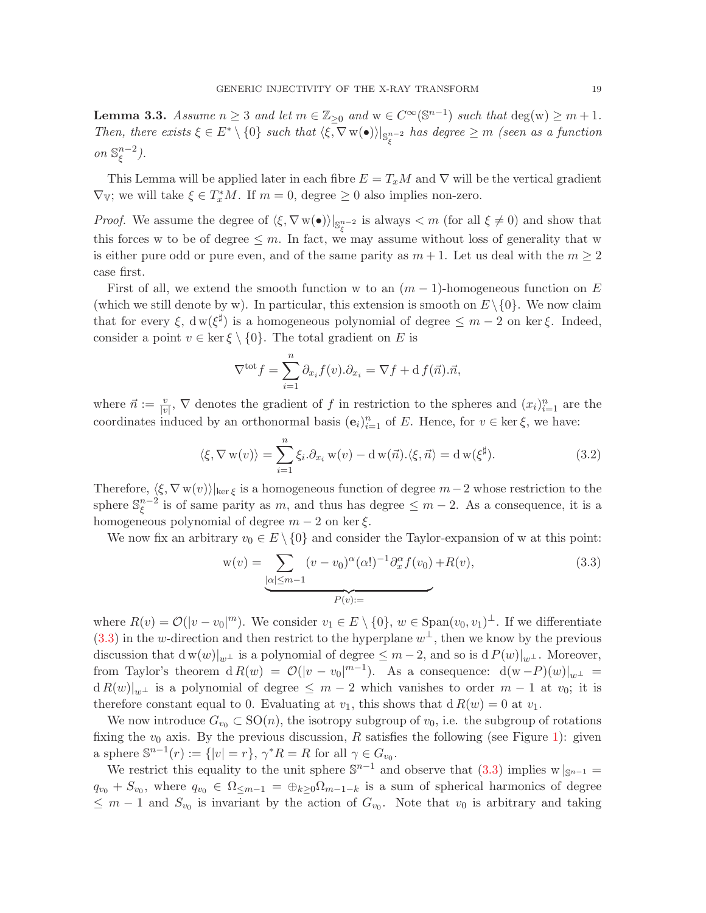<span id="page-18-2"></span>**Lemma 3.3.** Assume  $n \geq 3$  and let  $m \in \mathbb{Z}_{\geq 0}$  and  $w \in C^{\infty}(\mathbb{S}^{n-1})$  such that  $\deg(w) \geq m+1$ . Then, there exists  $\xi \in E^* \setminus \{0\}$  such that  $\langle \xi, \nabla \mathbf{w}(\bullet) \rangle|_{\mathbb{S}^{n-2}_{\xi}}$  has degree  $\geq m$  (seen as a function *on*  $\mathbb{S}_{\epsilon}^{n-2}$  $\frac{n-2}{\xi}$ ).

This Lemma will be applied later in each fibre  $E = T_xM$  and  $\nabla$  will be the vertical gradient  $\nabla_{\mathbb{V}}$ ; we will take  $\xi \in T_x^*M$ . If  $m = 0$ , degree  $\geq 0$  also implies non-zero.

*Proof.* We assume the degree of  $\langle \xi, \nabla w(\bullet) \rangle|_{\mathbb{S}^{n-2}_{\xi}}$  is always  $\langle m \rangle$  (for all  $\xi \neq 0$ ) and show that this forces w to be of degree  $\leq m$ . In fact, we may assume without loss of generality that w is either pure odd or pure even, and of the same parity as  $m + 1$ . Let us deal with the  $m \geq 2$ case first.

First of all, we extend the smooth function w to an  $(m-1)$ -homogeneous function on E (which we still denote by w). In particular, this extension is smooth on  $E\setminus\{0\}$ . We now claim that for every  $\xi$ ,  $dw(\xi^{\sharp})$  is a homogeneous polynomial of degree  $\leq m-2$  on ker  $\xi$ . Indeed, consider a point  $v \in \ker \xi \setminus \{0\}$ . The total gradient on E is

$$
\nabla^{\text{tot}} f = \sum_{i=1}^{n} \partial_{x_i} f(v) \cdot \partial_{x_i} = \nabla f + \mathrm{d} f(\vec{n}) \cdot \vec{n},
$$

where  $\vec{n} := \frac{v}{|v|}$ ,  $\nabla$  denotes the gradient of f in restriction to the spheres and  $(x_i)_{i=1}^n$  are the coordinates induced by an orthonormal basis  $(e_i)_{i=1}^n$  of E. Hence, for  $v \in \text{ker } \xi$ , we have:

<span id="page-18-1"></span>
$$
\langle \xi, \nabla \mathbf{w}(v) \rangle = \sum_{i=1}^{n} \xi_i \cdot \partial_{x_i} \mathbf{w}(v) - \mathbf{d} \mathbf{w}(\vec{n}). \langle \xi, \vec{n} \rangle = \mathbf{d} \mathbf{w}(\xi^{\sharp}). \tag{3.2}
$$

Therefore,  $\langle \xi, \nabla w(v) \rangle|_{\text{ker } \xi}$  is a homogeneous function of degree  $m-2$  whose restriction to the sphere  $\mathbb{S}_{\epsilon}^{n-2}$  $\sum_{\xi}^{n-2}$  is of same parity as m, and thus has degree  $\leq m-2$ . As a consequence, it is a homogeneous polynomial of degree  $m-2$  on ker  $\xi$ .

We now fix an arbitrary  $v_0 \in E \setminus \{0\}$  and consider the Taylor-expansion of w at this point:

<span id="page-18-0"></span>
$$
\mathbf{w}(v) = \underbrace{\sum_{|\alpha| \le m-1} (v - v_0)^{\alpha} (\alpha!)^{-1} \partial_x^{\alpha} f(v_0)}_{P(v):=} + R(v),\tag{3.3}
$$

where  $R(v) = \mathcal{O}(|v - v_0|^m)$ . We consider  $v_1 \in E \setminus \{0\}$ ,  $w \in \text{Span}(v_0, v_1)^\perp$ . If we differentiate  $(3.3)$  in the w-direction and then restrict to the hyperplane  $w^{\perp}$ , then we know by the previous discussion that  $d w(w)|_{w^{\perp}}$  is a polynomial of degree  $\leq m-2$ , and so is  $d P(w)|_{w^{\perp}}$ . Moreover, from Taylor's theorem  $dR(w) = \mathcal{O}(|v - v_0|^{m-1})$ . As a consequence:  $d(w - P)(w)|_{w^{\perp}} =$  $d R(w)|_{w^{\perp}}$  is a polynomial of degree  $\leq m-2$  which vanishes to order  $m-1$  at  $v_0$ ; it is therefore constant equal to 0. Evaluating at  $v_1$ , this shows that  $d R(w) = 0$  at  $v_1$ .

We now introduce  $G_{v_0} \subset SO(n)$ , the isotropy subgroup of  $v_0$ , i.e. the subgroup of rotations fixing the  $v_0$  axis. By the previous discussion, R satisfies the following (see Figure [1\)](#page-19-0): given a sphere  $\mathbb{S}^{n-1}(r) := \{ |v| = r \}, \, \gamma^* R = R$  for all  $\gamma \in G_{v_0}$ .

We restrict this equality to the unit sphere  $\mathbb{S}^{n-1}$  and observe that  $(3.3)$  implies w  $|_{\mathbb{S}^{n-1}} =$  $q_{v_0} + S_{v_0}$ , where  $q_{v_0} \in \Omega_{\leq m-1} = \bigoplus_{k \geq 0} \Omega_{m-1-k}$  is a sum of spherical harmonics of degree  $\leq m-1$  and  $S_{v_0}$  is invariant by the action of  $G_{v_0}$ . Note that  $v_0$  is arbitrary and taking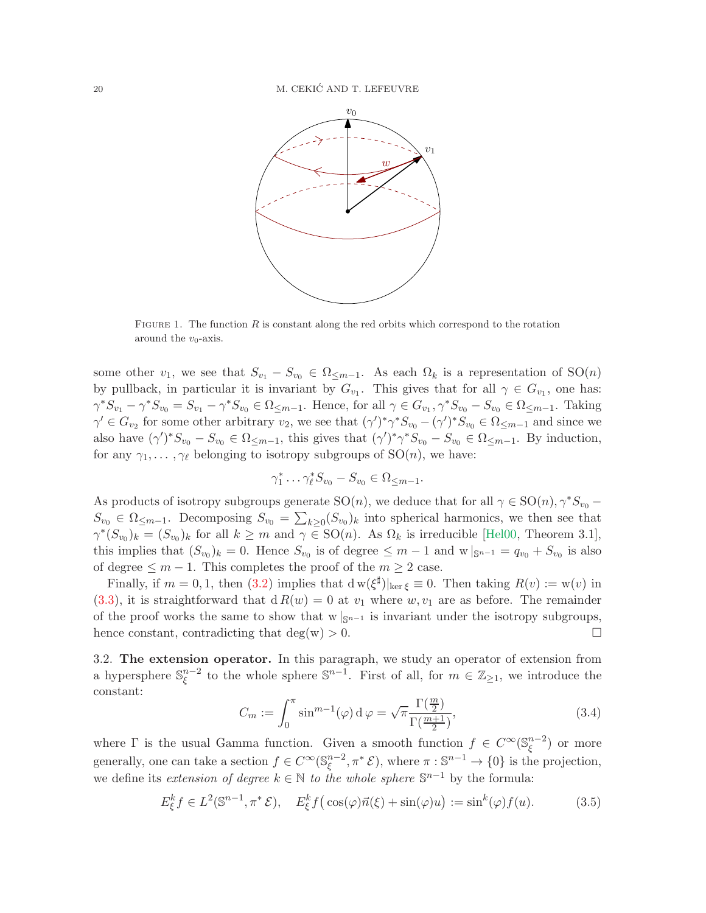<span id="page-19-0"></span>

FIGURE 1. The function  $R$  is constant along the red orbits which correspond to the rotation around the  $v_0$ -axis.

some other  $v_1$ , we see that  $S_{v_1} - S_{v_0} \in \Omega_{\leq m-1}$ . As each  $\Omega_k$  is a representation of  $SO(n)$ by pullback, in particular it is invariant by  $G_{v_1}$ . This gives that for all  $\gamma \in G_{v_1}$ , one has:  $\gamma^* S_{v_1} - \gamma^* S_{v_0} = S_{v_1} - \gamma^* S_{v_0} \in \Omega_{\leq m-1}$ . Hence, for all  $\gamma \in G_{v_1}, \gamma^* S_{v_0} - S_{v_0} \in \Omega_{\leq m-1}$ . Taking  $\gamma' \in G_{v_2}$  for some other arbitrary  $v_2$ , we see that  $(\gamma')^* \gamma^* S_{v_0} - (\gamma')^* S_{v_0} \in \Omega_{\leq m-1}$  and since we also have  $(\gamma')^* S_{v_0} - S_{v_0} \in \Omega_{\leq m-1}$ , this gives that  $(\gamma')^* \gamma^* S_{v_0} - S_{v_0} \in \Omega_{\leq m-1}$ . By induction, for any  $\gamma_1, \ldots, \gamma_\ell$  belonging to isotropy subgroups of  $SO(n)$ , we have:

$$
\gamma_1^* \dots \gamma_\ell^* S_{v_0} - S_{v_0} \in \Omega_{\leq m-1}.
$$

As products of isotropy subgroups generate  $SO(n)$ , we deduce that for all  $\gamma \in SO(n)$ ,  $\gamma^* S_{v_0}$  –  $S_{v_0}$  ∈  $\Omega$ <sub>≤m−1</sub>. Decomposing  $S_{v_0} = \sum_{k>0} (S_{v_0})_k$  into spherical harmonics, we then see that  $\gamma^*(S_{v_0})_k = (S_{v_0})_k$  for all  $k \geq m$  and  $\gamma \in SO(n)$ . As  $\Omega_k$  is irreducible [\[Hel00,](#page-54-21) Theorem 3.1], this implies that  $(S_{v_0})_k = 0$ . Hence  $S_{v_0}$  is of degree  $\leq m-1$  and  $w|_{S^{n-1}} = q_{v_0} + S_{v_0}$  is also of degree  $≤ m - 1$ . This completes the proof of the  $m ≥ 2$  case.

Finally, if  $m = 0, 1$ , then  $(3.2)$  implies that  $\frac{d}{dx}$   $\left| \ker \xi \equiv 0$ . Then taking  $R(v) := w(v)$  in  $(3.3)$ , it is straightforward that  $d R(w) = 0$  at  $v_1$  where  $w, v_1$  are as before. The remainder of the proof works the same to show that w  $|_{\mathbb{S}^{n-1}}$  is invariant under the isotropy subgroups, hence constant, contradicting that deg(w) > 0. □ hence constant, contradicting that  $deg(w) > 0$ .

3.2. The extension operator. In this paragraph, we study an operator of extension from a hypersphere  $\mathbb{S}_{\zeta}^{n-2}$  $\zeta^{n-2}$  to the whole sphere  $\mathbb{S}^{n-1}$ . First of all, for  $m \in \mathbb{Z}_{\geq 1}$ , we introduce the constant:

<span id="page-19-1"></span>
$$
C_m := \int_0^\pi \sin^{m-1}(\varphi) \, d\varphi = \sqrt{\pi} \frac{\Gamma(\frac{m}{2})}{\Gamma(\frac{m+1}{2})},\tag{3.4}
$$

where  $\Gamma$  is the usual Gamma function. Given a smooth function  $f \in C^{\infty}(\mathbb{S}_{\xi}^{n-2})$  $\binom{n-2}{\xi}$  or more generally, one can take a section  $f \in C^{\infty}(\mathbb{S}_{\xi}^{n-2})$  $_{\xi}^{n-2}, \pi^* \mathcal{E}$ , where  $\pi : \mathbb{S}^{n-1} \to \{0\}$  is the projection, we define its *extension of degree*  $k \in \mathbb{N}$  to the whole sphere  $\mathbb{S}^{n-1}$  by the formula:

$$
E_{\xi}^{k} f \in L^{2}(\mathbb{S}^{n-1}, \pi^{*} \mathcal{E}), \quad E_{\xi}^{k} f(\cos(\varphi)\vec{n}(\xi) + \sin(\varphi)u) := \sin^{k}(\varphi)f(u). \tag{3.5}
$$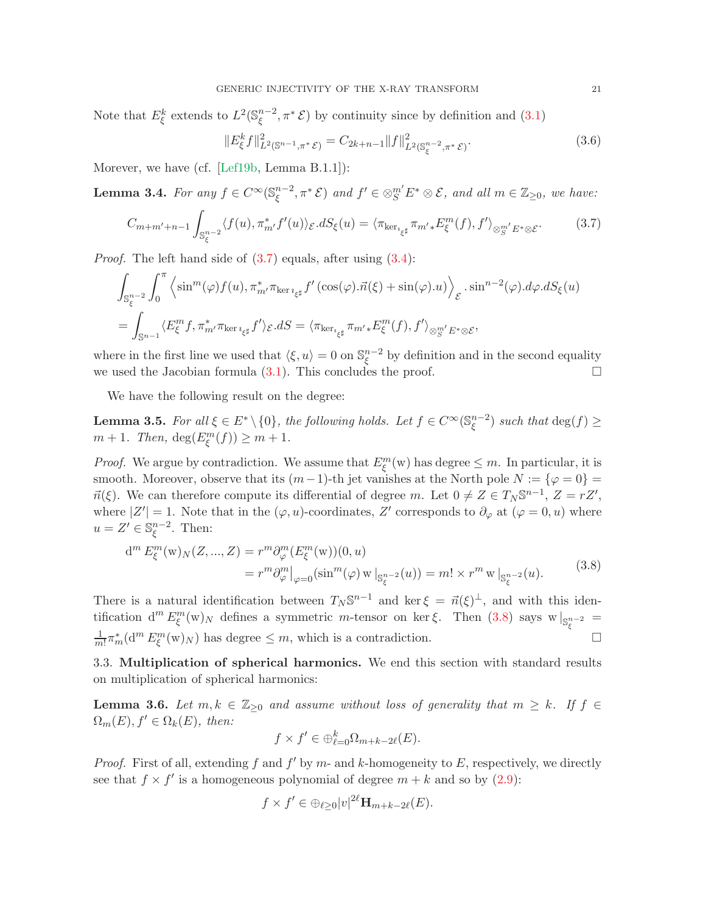Note that  $E_{\xi}^{k}$  extends to  $L^{2}(\mathbb{S}_{\xi}^{n-2})$  $\mathbb{R}^{n-2}$ ,  $\pi^*$  E) by continuity since by definition and  $(3.1)$ 

<span id="page-20-4"></span>
$$
||E_{\xi}^{k}f||_{L^{2}(\mathbb{S}^{n-1},\pi^{*}\mathcal{E})}^{2} = C_{2k+n-1}||f||_{L^{2}(\mathbb{S}_{\xi}^{n-2},\pi^{*}\mathcal{E})}^{2}.
$$
\n(3.6)

Morever, we have (cf. [\[Lef19b,](#page-55-21) Lemma B.1.1]):

<span id="page-20-2"></span>Lemma 3.4. For any  $f \in C^{\infty}(\mathbb{S}_{\xi}^{n-2})$  $(\xi^{n-2}, \pi^* \mathcal{E})$  and  $f' \in \otimes^{m'}_{S} E^* \otimes \mathcal{E}$ , and all  $m \in \mathbb{Z}_{\geq 0}$ , we have:

<span id="page-20-0"></span>
$$
C_{m+m'+n-1} \int_{\mathbb{S}_{\xi}^{n-2}} \langle f(u), \pi_{m'}^* f'(u) \rangle_{\mathcal{E}} dS_{\xi}(u) = \langle \pi_{\ker_{i_{\xi}^{\sharp}}} \pi_{m'}^* E_{\xi}^m(f), f' \rangle_{\otimes_{S}^{m'} E^* \otimes \mathcal{E}}.
$$
 (3.7)

*Proof.* The left hand side of  $(3.7)$  equals, after using  $(3.4)$ :

$$
\int_{\mathbb{S}_{\xi}^{n-2}} \int_{0}^{\pi} \left\langle \sin^{m}(\varphi) f(u), \pi_{m'}^{*} \pi_{\ker i_{\xi^{\sharp}}} f'(\cos(\varphi). \vec{n}(\xi) + \sin(\varphi). u) \right\rangle_{\mathcal{E}} \cdot \sin^{n-2}(\varphi). d\varphi. dS_{\xi}(u)
$$

$$
= \int_{\mathbb{S}^{n-1}} \langle E_{\xi}^{m} f, \pi_{m'}^{*} \pi_{\ker i_{\xi^{\sharp}}} f' \rangle_{\mathcal{E}}. dS = \langle \pi_{\ker i_{\xi^{\sharp}}} \pi_{m'} \ast E_{\xi}^{m}(f), f' \rangle_{\otimes_{S}^{m'} E^{*} \otimes \mathcal{E}},
$$

where in the first line we used that  $\langle \xi, u \rangle = 0$  on  $\mathbb{S}_{\xi}^{n-2}$  $\int_{\xi}^{n-2}$  by definition and in the second equality we used the Jacobian formula  $(3.1)$ . This concludes the proof.  $\Box$ 

We have the following result on the degree:

<span id="page-20-3"></span>**Lemma 3.5.** For all  $\xi \in E^* \setminus \{0\}$ , the following holds. Let  $f \in C^{\infty}(\mathbb{S}_{\xi}^{n-2})$  $\binom{n-2}{\xi}$  such that  $\deg(f) \ge$  $m + 1$ . Then,  $deg(E_{\xi}^{m}(f)) \geq m + 1$ .

*Proof.* We argue by contradiction. We assume that  $E^m_{\xi}(w)$  has degree  $\leq m$ . In particular, it is smooth. Moreover, observe that its  $(m-1)$ -th jet vanishes at the North pole  $N := \{ \varphi = 0 \} =$  $\vec{n}(\xi)$ . We can therefore compute its differential of degree m. Let  $0 \neq Z \in T_N \mathbb{S}^{n-1}$ ,  $Z = rZ'$ , where  $|Z'| = 1$ . Note that in the  $(\varphi, u)$ -coordinates, Z' corresponds to  $\partial_{\varphi}$  at  $(\varphi = 0, u)$  where  $u = Z' \in \mathbb{S}^{n-2}_{\xi}$  $\zeta^{n-2}$ . Then:

<span id="page-20-1"></span>
$$
d^{m} E_{\xi}^{m}(w)_{N}(Z, ..., Z) = r^{m} \partial_{\varphi}^{m}(E_{\xi}^{m}(w))(0, u)
$$
  
=  $r^{m} \partial_{\varphi}^{m}|_{\varphi=0} (\sin^{m}(\varphi) w|_{\mathbb{S}_{\xi}^{n-2}}(u)) = m! \times r^{m} w|_{\mathbb{S}_{\xi}^{n-2}}(u).$  (3.8)

There is a natural identification between  $T_N \mathbb{S}^{n-1}$  and ker  $\xi = \vec{n}(\xi)^{\perp}$ , and with this identification  $d^m E^m_{\xi}(w)_N$  defines a symmetric m-tensor on ker  $\xi$ . Then [\(3.8\)](#page-20-1) says  $w|_{S_{\xi}^{n-2}} =$ 1  $\frac{1}{m!} \pi_m^* (\mathbf{d}^m E_{\xi}^m(\mathbf{w})_N)$  has degree  $\leq m$ , which is a contradiction.

3.3. Multiplication of spherical harmonics. We end this section with standard results on multiplication of spherical harmonics:

**Lemma 3.6.** Let  $m, k \in \mathbb{Z}_{\geq 0}$  and assume without loss of generality that  $m \geq k$ . If  $f \in$  $\Omega_m(E), f' \in \Omega_k(E)$ , then:

$$
f \times f' \in \bigoplus_{\ell=0}^k \Omega_{m+k-2\ell}(E).
$$

*Proof.* First of all, extending f and  $f'$  by m- and k-homogeneity to E, respectively, we directly see that  $f \times f'$  is a homogeneous polynomial of degree  $m + k$  and so by [\(2.9\)](#page-11-1):

$$
f \times f' \in \bigoplus_{\ell \ge 0} |v|^{2\ell} \mathbf{H}_{m+k-2\ell}(E).
$$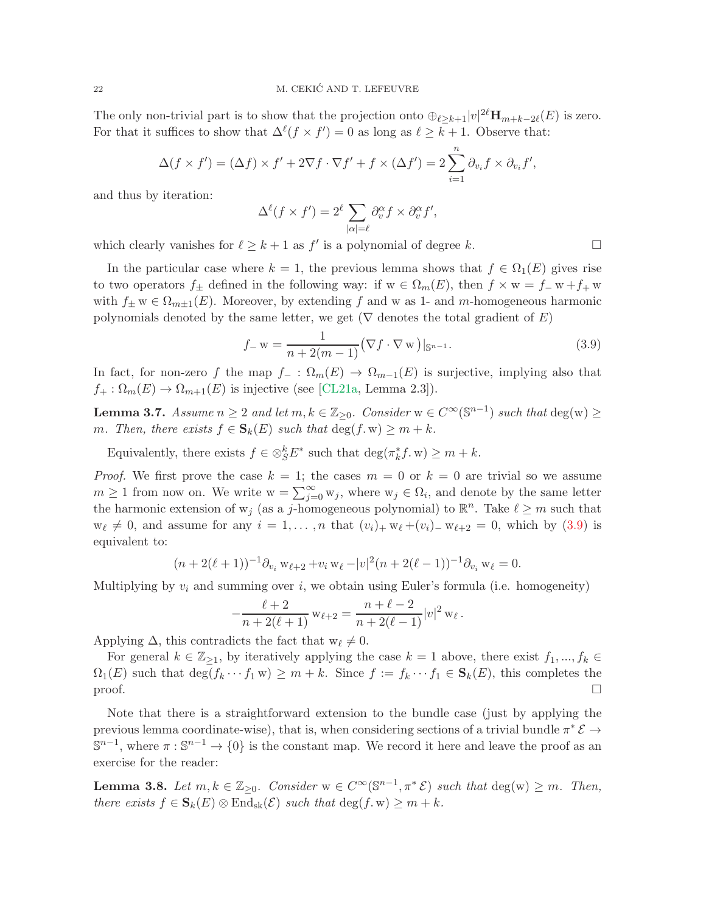The only non-trivial part is to show that the projection onto  $\oplus_{\ell \geq k+1} |v|^{2\ell} \mathbf{H}_{m+k-2\ell}(E)$  is zero. For that it suffices to show that  $\Delta^{\ell}(f \times f') = 0$  as long as  $\ell \geq k + 1$ . Observe that:

$$
\Delta(f \times f') = (\Delta f) \times f' + 2\nabla f \cdot \nabla f' + f \times (\Delta f') = 2 \sum_{i=1}^{n} \partial_{v_i} f \times \partial_{v_i} f',
$$

and thus by iteration:

$$
\Delta^{\ell}(f \times f') = 2^{\ell} \sum_{|\alpha|=\ell} \partial_v^{\alpha} f \times \partial_v^{\alpha} f',
$$

which clearly vanishes for  $\ell \geq k+1$  as  $f'$  is a polynomial of degree k.

In the particular case where  $k = 1$ , the previous lemma shows that  $f \in \Omega_1(E)$  gives rise to two operators  $f_{\pm}$  defined in the following way: if  $w \in \Omega_m(E)$ , then  $f \times w = f_w + f_w$ with  $f_{\pm} w \in \Omega_{m+1}(E)$ . Moreover, by extending f and w as 1- and m-homogeneous harmonic polynomials denoted by the same letter, we get ( $\nabla$  denotes the total gradient of E)

<span id="page-21-0"></span>
$$
f_{-w} = \frac{1}{n + 2(m - 1)} (\nabla f \cdot \nabla w)|_{\mathbb{S}^{n-1}}.
$$
 (3.9)

In fact, for non-zero f the map  $f_-\,:\,\Omega_m(E)\,\to\,\Omega_{m-1}(E)$  is surjective, implying also that  $f_+ : \Omega_m(E) \to \Omega_{m+1}(E)$  is injective (see [\[CL21a,](#page-53-0) Lemma 2.3]).

<span id="page-21-2"></span>**Lemma 3.7.** Assume  $n \geq 2$  and let  $m, k \in \mathbb{Z}_{\geq 0}$ . Consider  $w \in C^{\infty}(\mathbb{S}^{n-1})$  such that  $\deg(w) \geq 0$ m. Then, there exists  $f \in \mathbf{S}_k(E)$  such that  $\deg(f, w) \geq m + k$ .

Equivalently, there exists  $f \in \otimes_S^k E^*$  such that  $\deg(\pi_k^* f, w) \geq m + k$ .

*Proof.* We first prove the case  $k = 1$ ; the cases  $m = 0$  or  $k = 0$  are trivial so we assume  $m \geq 1$  from now on. We write  $w = \sum_{j=0}^{\infty} w_j$ , where  $w_j \in \Omega_i$ , and denote by the same letter the harmonic extension of  $w_j$  (as a j-homogeneous polynomial) to  $\mathbb{R}^n$ . Take  $\ell \geq m$  such that  $w_{\ell} \neq 0$ , and assume for any  $i = 1, \ldots, n$  that  $(v_i)_+ w_{\ell} + (v_i)_- w_{\ell+2} = 0$ , which by  $(3.9)$  is equivalent to:

$$
(n+2(\ell+1))^{-1}\partial_{v_i} w_{\ell+2}+v_i w_{\ell}-|v|^2(n+2(\ell-1))^{-1}\partial_{v_i} w_{\ell}=0.
$$

Multiplying by  $v_i$  and summing over i, we obtain using Euler's formula (i.e. homogeneity)

$$
-\frac{\ell+2}{n+2(\ell+1)} w_{\ell+2} = \frac{n+\ell-2}{n+2(\ell-1)} |v|^2 w_{\ell}.
$$

Applying  $\Delta$ , this contradicts the fact that  $w_{\ell} \neq 0$ .

For general  $k \in \mathbb{Z}_{\geq 1}$ , by iteratively applying the case  $k = 1$  above, there exist  $f_1, ..., f_k \in$  $\Omega_1(E)$  such that  $\deg(f_k \cdots f_1 \mathbf{w}) \geq m + k$ . Since  $f := f_k \cdots f_1 \in \mathbf{S}_k(E)$ , this completes the  $\Box$ 

Note that there is a straightforward extension to the bundle case (just by applying the previous lemma coordinate-wise), that is, when considering sections of a trivial bundle  $\pi^* \mathcal{E} \to$  $\mathbb{S}^{n-1}$ , where  $\pi : \mathbb{S}^{n-1} \to \{0\}$  is the constant map. We record it here and leave the proof as an exercise for the reader:

<span id="page-21-1"></span>**Lemma 3.8.** Let  $m, k \in \mathbb{Z}_{\geq 0}$ . Consider  $w \in C^{\infty}(\mathbb{S}^{n-1}, \pi^* \mathcal{E})$  such that  $\deg(w) \geq m$ . Then, there exists  $f \in \mathbf{S}_k(E) \otimes \text{End}_{\text{sk}}(\mathcal{E})$  such that  $\deg(f, w) \geq m + k$ .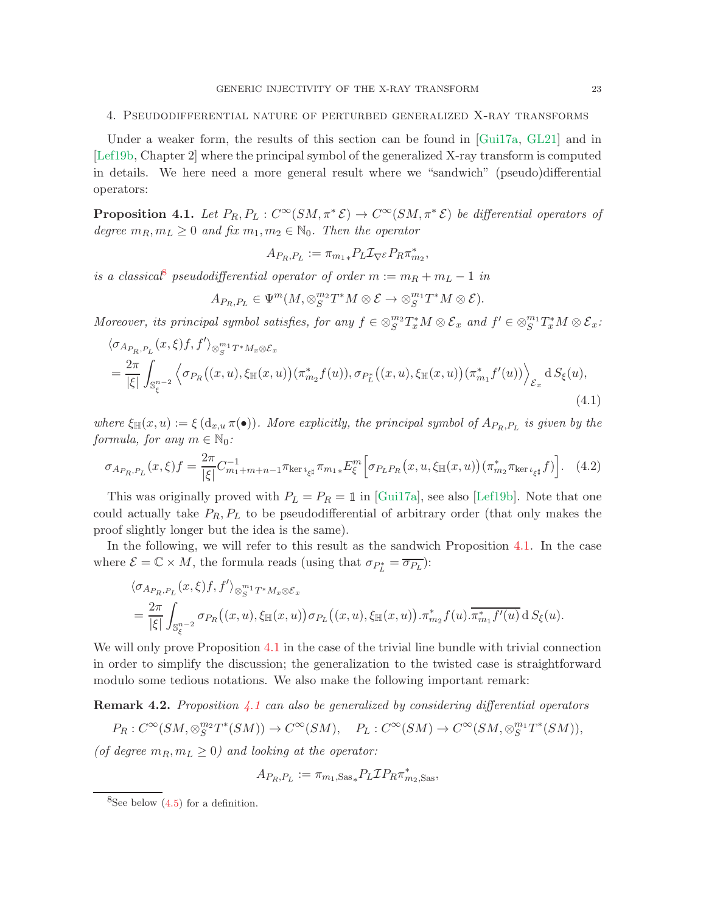#### <span id="page-22-0"></span>4. Pseudodifferential nature of perturbed generalized X-ray transforms

Under a weaker form, the results of this section can be found in [\[Gui17a,](#page-54-5) [GL21\]](#page-54-15) and in [\[Lef19b,](#page-55-21) Chapter 2] where the principal symbol of the generalized X-ray transform is computed in details. We here need a more general result where we "sandwich" (pseudo)differential operators:

<span id="page-22-2"></span>**Proposition 4.1.** Let  $P_R, P_L: C^\infty(SM, \pi^*\mathcal{E}) \to C^\infty(SM, \pi^*\mathcal{E})$  be differential operators of degree  $m_R, m_L \geq 0$  and fix  $m_1, m_2 \in \mathbb{N}_0$ . Then the operator

$$
A_{P_R,P_L} := \pi_{m_1*} P_L \mathcal{I}_{\nabla^{\mathcal{E}}} P_R \pi^*_{m_2},
$$

is a classical<sup>[8](#page-22-1)</sup> pseudodifferential operator of order  $m := m_R + m_L - 1$  in

$$
A_{P_R,P_L} \in \Psi^m(M,\otimes_S^{m_2}T^*M \otimes \mathcal{E} \to \otimes_S^{m_1}T^*M \otimes \mathcal{E}).
$$

Moreover, its principal symbol satisfies, for any  $f \in \otimes_S^{m_2} T_x^*M \otimes \mathcal{E}_x$  and  $f' \in \otimes_S^{m_1} T_x^*M \otimes \mathcal{E}_x$ :

<span id="page-22-4"></span>
$$
\langle \sigma_{A_{P_R, P_L}}(x, \xi) f, f' \rangle_{\otimes_S^{m_1} T^* M_x \otimes \mathcal{E}_x}
$$
  
= 
$$
\frac{2\pi}{|\xi|} \int_{\mathbb{S}_{\xi}^{n-2}} \left\langle \sigma_{P_R}((x, u), \xi_{\mathbb{H}}(x, u)) (\pi_{m_2}^* f(u)), \sigma_{P_L^*}((x, u), \xi_{\mathbb{H}}(x, u)) (\pi_{m_1}^* f'(u)) \right\rangle_{\mathcal{E}_x} dS_{\xi}(u),
$$
  
(4.1)

where  $\xi_{\mathbb{H}}(x, u) := \xi(d_{x, u} \pi(\bullet))$ . More explicitly, the principal symbol of  $A_{P_R, P_L}$  is given by the formula, for any  $m \in \mathbb{N}_0$ :

<span id="page-22-3"></span>
$$
\sigma_{A_{P_R, P_L}}(x, \xi) f = \frac{2\pi}{|\xi|} C_{m_1 + m + n - 1}^{-1} \pi_{\ker i_{\xi^\sharp}} \pi_{m_1 *} E_{\xi}^m \left[ \sigma_{P_L P_R}(x, u, \xi_{\mathbb{H}}(x, u)) (\pi_{m_2}^* \pi_{\ker i_{\xi^\sharp}} f) \right]. \tag{4.2}
$$

This was originally proved with  $P_L = P_R = \mathbb{1}$  in [\[Gui17a\]](#page-54-5), see also [\[Lef19b\]](#page-55-21). Note that one could actually take  $P_R$ ,  $P_L$  to be pseudodifferential of arbitrary order (that only makes the proof slightly longer but the idea is the same).

In the following, we will refer to this result as the sandwich Proposition [4.1.](#page-22-2) In the case where  $\mathcal{E} = \mathbb{C} \times M$ , the formula reads (using that  $\sigma_{P_L^*} = \overline{\sigma_{P_L}}$ ):

$$
\langle \sigma_{A_{P_R,P_L}}(x,\xi)f,f' \rangle_{\otimes_{S}^{m_1}T^*M_x \otimes \mathcal{E}_x}
$$
  
= 
$$
\frac{2\pi}{|\xi|} \int_{\mathbb{S}_{\xi}^{n-2}} \sigma_{P_R}((x,u),\xi_{\mathbb{H}}(x,u)) \sigma_{P_L}((x,u),\xi_{\mathbb{H}}(x,u)) \cdot \pi_{m_2}^* f(u) \cdot \overline{\pi_{m_1}^* f'(u)} dS_{\xi}(u).
$$

We will only prove Proposition [4.1](#page-22-2) in the case of the trivial line bundle with trivial connection in order to simplify the discussion; the generalization to the twisted case is straightforward modulo some tedious notations. We also make the following important remark:

<span id="page-22-5"></span>**Remark 4.2.** Proposition [4.1](#page-22-2) can also be generalized by considering differential operators

$$
P_R: C^{\infty}(SM, \otimes_S^{m_2}T^*(SM)) \to C^{\infty}(SM), \quad P_L: C^{\infty}(SM) \to C^{\infty}(SM, \otimes_S^{m_1}T^*(SM)),
$$

(of degree  $m_R, m_L \geq 0$ ) and looking at the operator:

$$
A_{P_R,P_L}:=\pi_{m_1,\text{Sas}_*}P_L\mathcal{I} P_R\pi_{m_2,\text{Sas}}^*,
$$

<span id="page-22-1"></span> ${}^{8}$ See below  $(4.5)$  for a definition.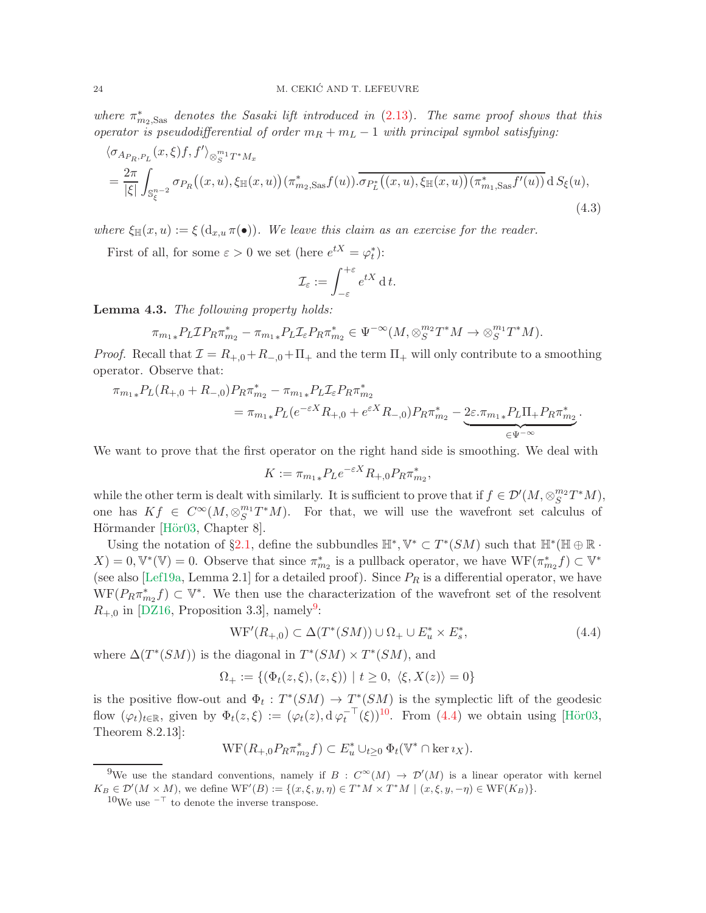where  $\pi_{m_2, \text{Sas}}^*$  denotes the Sasaki lift introduced in [\(2.13\)](#page-13-2). The same proof shows that this operator is pseudodifferential of order  $m_R + m_L - 1$  with principal symbol satisfying:

$$
\langle \sigma_{A_{P_R, P_L}}(x, \xi) f, f' \rangle_{\otimes_{S}^{m_1} T^* M_x} = \frac{2\pi}{|\xi|} \int_{\mathbb{S}_{\xi}^{n-2}} \sigma_{P_R}((x, u), \xi_{\mathbb{H}}(x, u)) (\pi_{m_2, \text{Sas}}^* f(u)) \cdot \overline{\sigma_{P_L^*}((x, u), \xi_{\mathbb{H}}(x, u)) (\pi_{m_1, \text{Sas}}^* f'(u))} dS_{\xi}(u), \tag{4.3}
$$

where  $\xi_{\mathbb{H}}(x, u) := \xi(d_{x,u} \pi(\bullet)).$  We leave this claim as an exercise for the reader.

First of all, for some  $\varepsilon > 0$  we set (here  $e^{tX} = \varphi_t^*$ ):

$$
\mathcal{I}_{\varepsilon} := \int_{-\varepsilon}^{+\varepsilon} e^{tX} \, \mathrm{d}\, t.
$$

<span id="page-23-3"></span>Lemma 4.3. The following property holds:

$$
\pi_{m_1*} P_L \mathcal{I} P_R \pi_{m_2}^* - \pi_{m_1*} P_L \mathcal{I}_{\varepsilon} P_R \pi_{m_2}^* \in \Psi^{-\infty}(M, \otimes_S^{m_2} T^*M \to \otimes_S^{m_1} T^*M).
$$

*Proof.* Recall that  $\mathcal{I} = R_{+,0} + R_{-,0} + \Pi_{+}$  and the term  $\Pi_{+}$  will only contribute to a smoothing operator. Observe that:

$$
\pi_{m_1*} P_L(R_{+,0} + R_{-,0}) P_R \pi_{m_2}^* - \pi_{m_1*} P_L \mathcal{I}_{\varepsilon} P_R \pi_{m_2}^*
$$
\n
$$
= \pi_{m_1*} P_L(e^{-\varepsilon X} R_{+,0} + e^{\varepsilon X} R_{-,0}) P_R \pi_{m_2}^* - \underbrace{2\varepsilon \cdot \pi_{m_1*} P_L \Pi_+ P_R \pi_{m_2}^*}_{\in \Psi^{-\infty}}.
$$

We want to prove that the first operator on the right hand side is smoothing. We deal with

$$
K := \pi_{m_1*} P_L e^{-\varepsilon X} R_{+,0} P_R \pi_{m_2}^*,
$$

while the other term is dealt with similarly. It is sufficient to prove that if  $f \in \mathcal{D}'(M, \otimes_S^{m_2} T^*M)$ , one has  $Kf \in C^{\infty}(M, \otimes_S^{m_1} T^*M)$ . For that, we will use the wavefront set calculus of Hörmander [Hör03, Chapter 8].

Using the notation of §[2.1,](#page-9-2) define the subbundles  $\mathbb{H}^*, \mathbb{V}^* \subset T^*(SM)$  such that  $\mathbb{H}^*(\mathbb{H} \oplus \mathbb{R} \cdot$  $X$  = 0,  $\mathbb{V}^*(\mathbb{V}) = 0$ . Observe that since  $\pi_{m_2}^*$  is a pullback operator, we have  $\mathbb{W}\mathrm{F}(\pi_{m_2}^*f) \subset \mathbb{V}^*$ (see also [\[Lef19a,](#page-55-6) Lemma 2.1] for a detailed proof). Since  $P_R$  is a differential operator, we have  $WF(P_R \pi_{m_2}^* f) \subset V^*$ . We then use the characterization of the wavefront set of the resolvent  $R_{+,0}$  in [\[DZ16,](#page-54-20) Proposition 3.3], namely<sup>[9](#page-23-0)</sup>:

<span id="page-23-2"></span>
$$
\mathrm{WF}'(R_{+,0}) \subset \Delta(T^*(SM)) \cup \Omega_+ \cup E_u^* \times E_s^*,\tag{4.4}
$$

where  $\Delta(T^*(SM))$  is the diagonal in  $T^*(SM) \times T^*(SM)$ , and

$$
\Omega_+ := \{ (\Phi_t(z,\xi), (z,\xi)) \mid t \ge 0, \ \langle \xi, X(z) \rangle = 0 \}
$$

is the positive flow-out and  $\Phi_t: T^*(SM) \to T^*(SM)$  is the symplectic lift of the geodesic flow  $(\varphi_t)_{t\in\mathbb{R}}$ , given by  $\Phi_t(z,\xi) := (\varphi_t(z), \mathrm{d} \varphi_t^{-\top}(\xi))^{10}$  $\Phi_t(z,\xi) := (\varphi_t(z), \mathrm{d} \varphi_t^{-\top}(\xi))^{10}$  $\Phi_t(z,\xi) := (\varphi_t(z), \mathrm{d} \varphi_t^{-\top}(\xi))^{10}$ . From  $(4.4)$  we obtain using [Hör03, Theorem 8.2.13]:

$$
\mathrm{WF}(R_{+,0}P_R\pi_{m_2}^*f)\subset E_u^*\cup_{t\geq 0}\Phi_t(\mathbb V^*\cap\ker\imath_X).
$$

<sup>&</sup>lt;sup>9</sup>We use the standard conventions, namely if  $B: C^{\infty}(M) \to \mathcal{D}'(M)$  is a linear operator with kernel  $K_B \in \mathcal{D}'(M \times M)$ , we define  $WF'(B) := \{(x, \xi, y, \eta) \in T^*M \times T^*M \mid (x, \xi, y, -\eta) \in WF(K_B)\}.$ 

<span id="page-23-1"></span><span id="page-23-0"></span> $10$ We use  $^{-\top}$  to denote the inverse transpose.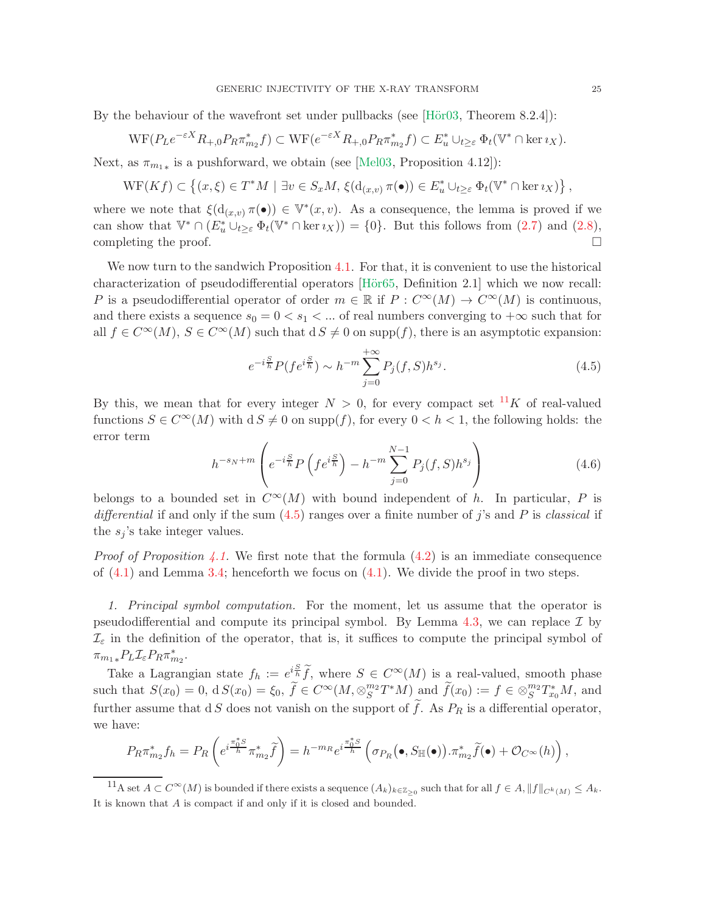By the behaviour of the wavefront set under pullbacks (see  $[\text{Hör03}, \text{Theorem 8.2.4}]:$ 

$$
\mathrm{WF}(P_L e^{-\varepsilon X} R_{+,0} P_R \pi_{m_2}^* f) \subset \mathrm{WF}(e^{-\varepsilon X} R_{+,0} P_R \pi_{m_2}^* f) \subset E_u^* \cup_{t \geq \varepsilon} \Phi_t(\mathbb{V}^* \cap \ker \iota_X).
$$

Next, as  $\pi_{m_1*}$  is a pushforward, we obtain (see [\[Mel03,](#page-55-23) Proposition 4.12]):

$$
\mathrm{WF}(Kf) \subset \left\{ (x,\xi) \in T^*M \mid \exists v \in S_x M, \, \xi(\mathrm{d}_{(x,v)} \,\pi(\bullet)) \in E_u^* \cup_{t \geq \varepsilon} \Phi_t(\mathbb{V}^* \cap \ker \imath_X) \right\},
$$

where we note that  $\xi(d_{(x,v)} \pi(\bullet)) \in \mathbb{V}^*(x,v)$ . As a consequence, the lemma is proved if we can show that  $\mathbb{V}^* \cap (E_u^* \cup_{t \geq \varepsilon} \Phi_t(\mathbb{V}^* \cap \ker \iota_X)) = \{0\}.$  But this follows from  $(2.7)$  and  $(2.8)$ , completing the proof.  $\Box$ 

We now turn to the sandwich Proposition [4.1.](#page-22-2) For that, it is convenient to use the historical characterization of pseudodifferential operators  $[H\ddot{\mathrm{o}}r65,$  Definition 2.1 which we now recall: P is a pseudodifferential operator of order  $m \in \mathbb{R}$  if  $P: C^{\infty}(M) \to C^{\infty}(M)$  is continuous, and there exists a sequence  $s_0 = 0 < s_1 < ...$  of real numbers converging to  $+\infty$  such that for all  $f \in C^{\infty}(M)$ ,  $S \in C^{\infty}(M)$  such that  $dS \neq 0$  on supp(f), there is an asymptotic expansion:

<span id="page-24-0"></span>
$$
e^{-i\frac{S}{h}}P(f e^{i\frac{S}{h}}) \sim h^{-m} \sum_{j=0}^{+\infty} P_j(f, S)h^{s_j}.
$$
 (4.5)

By this, we mean that for every integer  $N > 0$ , for every compact set <sup>[11](#page-24-1)</sup>K of real-valued functions  $S \in C^{\infty}(M)$  with  $dS \neq 0$  on supp(f), for every  $0 < h < 1$ , the following holds: the error term

<span id="page-24-2"></span>
$$
h^{-s_N+m} \left( e^{-i\frac{S}{h}} P\left( f e^{i\frac{S}{h}} \right) - h^{-m} \sum_{j=0}^{N-1} P_j(f, S) h^{s_j} \right)
$$
(4.6)

belongs to a bounded set in  $C^{\infty}(M)$  with bound independent of h. In particular, P is differential if and only if the sum  $(4.5)$  ranges over a finite number of j's and P is classical if the  $s_j$ 's take integer values.

*Proof of Proposition [4.1.](#page-22-2)* We first note that the formula  $(4.2)$  is an immediate consequence of  $(4.1)$  and Lemma [3.4;](#page-20-2) henceforth we focus on  $(4.1)$ . We divide the proof in two steps.

1. Principal symbol computation. For the moment, let us assume that the operator is pseudodifferential and compute its principal symbol. By Lemma [4.3,](#page-23-3) we can replace  $\mathcal I$  by  $\mathcal{I}_{\varepsilon}$  in the definition of the operator, that is, it suffices to compute the principal symbol of  $\pi_{m_1 *} P_L \mathcal{I}_{\varepsilon} P_R \pi_{m_2}^*$ .

Take a Lagrangian state  $f_h := e^{i\frac{S}{\lambda}} \widetilde{f}$ , where  $S \in C^{\infty}(M)$  is a real-valued, smooth phase such that  $S(x_0) = 0$ ,  $dS(x_0) = \xi_0$ ,  $\widetilde{f} \in C^{\infty}(M, \otimes_S^{m_2} T^*M)$  and  $\widetilde{f}(x_0) := f \in \otimes_S^{m_2} T^*_{x_0}M$ , and further assume that d S does not vanish on the support of  $\hat{f}$ . As  $P_R$  is a differential operator, we have:

$$
P_R \pi_{m_2}^* f_h = P_R \left( e^{i \frac{\pi_0^* S}{h}} \pi_{m_2}^* \widetilde{f} \right) = h^{-m_R} e^{i \frac{\pi_0^* S}{h}} \left( \sigma_{P_R} (\bullet, S_{\mathbb{H}}(\bullet)) . \pi_{m_2}^* \widetilde{f}(\bullet) + \mathcal{O}_{C^{\infty}}(h) \right),
$$

<span id="page-24-1"></span> $11$ A set  $A \subset C^{\infty}(M)$  is bounded if there exists a sequence  $(A_k)_{k \in \mathbb{Z}_{\geq 0}}$  such that for all  $f \in A, ||f||_{C^k(M)} \leq A_k$ . It is known that A is compact if and only if it is closed and bounded.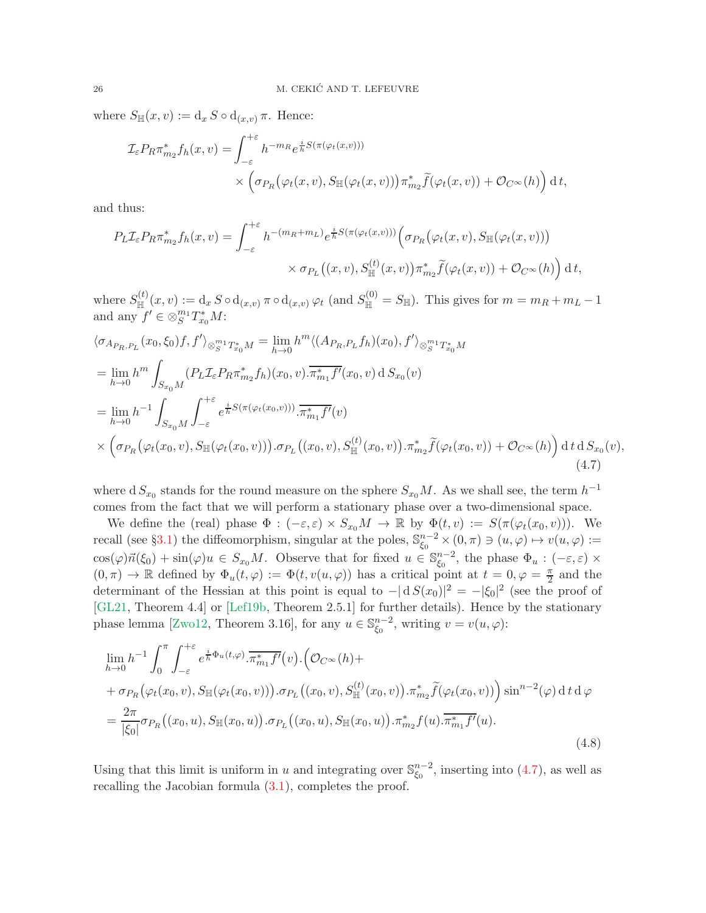where  $S_{\mathbb{H}}(x, v) := d_x S \circ d_{(x, v)} \pi$ . Hence:

$$
\mathcal{I}_{\varepsilon} P_R \pi_{m_2}^* f_h(x, v) = \int_{-\varepsilon}^{+\varepsilon} h^{-m_R} e^{\frac{i}{h} S(\pi(\varphi_t(x, v)))} \times \left( \sigma_{P_R} \big(\varphi_t(x, v), S_\mathbb{H}(\varphi_t(x, v))\big) \pi_{m_2}^* \widetilde{f}(\varphi_t(x, v)) + \mathcal{O}_{C^\infty}(h) \right) dt,
$$

and thus:

$$
P_L \mathcal{I}_{\varepsilon} P_R \pi_{m_2}^* f_h(x, v) = \int_{-\varepsilon}^{+\varepsilon} h^{-(m_R + m_L)} e^{\frac{i}{h} S(\pi(\varphi_t(x, v)))} \Big( \sigma_{P_R} \big( \varphi_t(x, v), S_{\mathbb{H}}(\varphi_t(x, v)) \big) \times \sigma_{P_L} \big( (x, v), S_{\mathbb{H}}^{(t)}(x, v) \big) \pi_{m_2}^* \widetilde{f}(\varphi_t(x, v)) + \mathcal{O}_{C^{\infty}}(h) \Big) \, \mathrm{d} \, t,
$$

where  $S_{\mathbb{H}}^{(t)}(x,v) := d_x S \circ d_{(x,v)} \pi \circ d_{(x,v)} \varphi_t$  (and  $S_{\mathbb{H}}^{(0)} = S_{\mathbb{H}}$ ). This gives for  $m = m_R + m_L - 1$ and any  $f' \in \otimes_S^{m_1} T_{x_0}^* M$ :

<span id="page-25-0"></span>
$$
\langle \sigma_{A_{P_R, P_L}}(x_0, \xi_0) f, f' \rangle_{\otimes_{S}^{m_1} T_{x_0}^* M} = \lim_{h \to 0} h^m \langle (A_{P_R, P_L} f_h)(x_0), f' \rangle_{\otimes_{S}^{m_1} T_{x_0}^* M}
$$
  
\n
$$
= \lim_{h \to 0} h^m \int_{S_{x_0} M} (P_L \mathcal{I}_{\varepsilon} P_R \pi_{m_2}^* f_h)(x_0, v) \cdot \overline{\pi_{m_1}^* f'(x_0, v)} dS_{x_0}(v)
$$
  
\n
$$
= \lim_{h \to 0} h^{-1} \int_{S_{x_0} M} \int_{-\varepsilon}^{+\varepsilon} e^{\frac{i}{h} S(\pi(\varphi_t(x_0, v)))} \cdot \overline{\pi_{m_1}^* f'(v)}
$$
  
\n
$$
\times \left( \sigma_{P_R} (\varphi_t(x_0, v), S_{\mathbb{H}}(\varphi_t(x_0, v))) \cdot \sigma_{P_L} ((x_0, v), S_{\mathbb{H}}^{(t)}(x_0, v)) \cdot \pi_{m_2}^* \widetilde{f}(\varphi_t(x_0, v)) + \mathcal{O}_{C^{\infty}}(h) \right) dt dS_{x_0}(v),
$$
\n(4.7)

where  $dS_{x_0}$  stands for the round measure on the sphere  $S_{x_0}M$ . As we shall see, the term  $h^{-1}$ comes from the fact that we will perform a stationary phase over a two-dimensional space.

We define the (real) phase  $\Phi : (-\varepsilon, \varepsilon) \times S_{x_0}M \to \mathbb{R}$  by  $\Phi(t, v) := S(\pi(\varphi_t(x_0, v)))$ . We recall (see §[3.1\)](#page-16-3) the diffeomorphism, singular at the poles,  $\mathbb{S}_{\xi_0}^{n-2}$  $_{\xi_0}^{n-2} \times (0, \pi) \ni (u, \varphi) \mapsto v(u, \varphi) :=$  $\cos(\varphi)\vec{n}(\xi_0) + \sin(\varphi)u \in S_{x_0}M$ . Observe that for fixed  $u \in \mathbb{S}_{\xi_0}^{n-2}$  $_{\xi_0}^{n-2}$ , the phase  $\Phi_u : (-\varepsilon, \varepsilon) \times$  $(0, \pi) \to \mathbb{R}$  defined by  $\Phi_u(t, \varphi) := \Phi(t, v(u, \varphi))$  has a critical point at  $t = 0, \varphi = \frac{\pi}{2}$  $\frac{\pi}{2}$  and the determinant of the Hessian at this point is equal to  $-|\mathrm{d}S(x_0)|^2 = -|\xi_0|^2$  (see the proof of [\[GL21,](#page-54-15) Theorem 4.4] or [\[Lef19b,](#page-55-21) Theorem 2.5.1] for further details). Hence by the stationary phase lemma [\[Zwo12,](#page-56-8) Theorem 3.16], for any  $u \in \mathbb{S}_{\xi_0}^{n-2}$  $_{\xi_0}^{n-2}$ , writing  $v = v(u, \varphi)$ :

<span id="page-25-1"></span>
$$
\lim_{h \to 0} h^{-1} \int_0^{\pi} \int_{-\varepsilon}^{+\varepsilon} e^{\frac{i}{h} \Phi_u(t,\varphi)} \cdot \overline{\pi_{m_1}^* f'(v)} \cdot (\mathcal{O}_{C^{\infty}}(h) + \n+ \sigma_{P_R}(\varphi_t(x_0, v), S_{\mathbb{H}}(\varphi_t(x_0, v))) \cdot \sigma_{P_L}((x_0, v), S_{\mathbb{H}}^{(t)}(x_0, v)) \cdot \pi_{m_2}^* \tilde{f}(\varphi_t(x_0, v)) ) \sin^{n-2}(\varphi) dt d\varphi
$$
\n
$$
= \frac{2\pi}{|\xi_0|} \sigma_{P_R}((x_0, u), S_{\mathbb{H}}(x_0, u)) \cdot \sigma_{P_L}((x_0, u), S_{\mathbb{H}}(x_0, u)) \cdot \pi_{m_2}^* f(u) \cdot \overline{\pi_{m_1}^* f'(u)}.
$$
\n(4.8)

Using that this limit is uniform in u and integrating over  $\mathbb{S}_{\xi_0}^{n-2}$  $_{\xi_0}^{n-2}$ , inserting into [\(4.7\)](#page-25-0), as well as recalling the Jacobian formula  $(3.1)$ , completes the proof.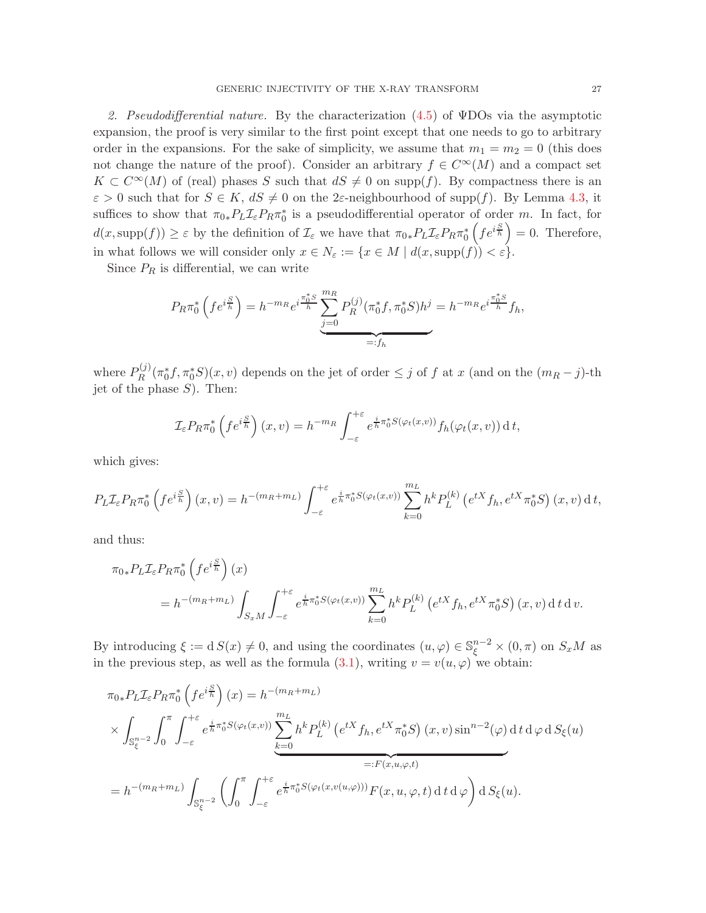2. Pseudodifferential nature. By the characterization  $(4.5)$  of  $\Psi$ DOs via the asymptotic expansion, the proof is very similar to the first point except that one needs to go to arbitrary order in the expansions. For the sake of simplicity, we assume that  $m_1 = m_2 = 0$  (this does not change the nature of the proof). Consider an arbitrary  $f \in C^{\infty}(M)$  and a compact set  $K \subset C^{\infty}(M)$  of (real) phases S such that  $dS \neq 0$  on supp(f). By compactness there is an  $\varepsilon > 0$  such that for  $S \in K$ ,  $dS \neq 0$  on the 2 $\varepsilon$ -neighbourhood of supp(f). By Lemma [4.3,](#page-23-3) it suffices to show that  $\pi_{0*}P_L\mathcal{I}_{\varepsilon}P_R\pi_0^*$  is a pseudodifferential operator of order m. In fact, for  $d(x, \text{supp}(f)) \geq \varepsilon$  by the definition of  $\mathcal{I}_{\varepsilon}$  we have that  $\pi_{0*}P_L\mathcal{I}_{\varepsilon}P_R\pi_0^*$  $\left( f e^{i \frac{S}{h}} \right) = 0$ . Therefore, in what follows we will consider only  $x \in N_{\varepsilon} := \{x \in M \mid d(x, \text{supp}(f)) < \varepsilon\}.$ 

Since  $P_R$  is differential, we can write

$$
P_R \pi_0^* \left( f e^{i \frac{S}{h}} \right) = h^{-m_R} e^{i \frac{\pi_0^* S}{h}} \underbrace{\sum_{j=0}^{m_R} P_R^{(j)}(\pi_0^* f, \pi_0^* S) h^j}_{=:f_h} = h^{-m_R} e^{i \frac{\pi_0^* S}{h}} f_h,
$$

where  $P_R^{(j)}$  $\int_R^{(j)} (\pi_0^* f, \pi_0^* S)(x, v)$  depends on the jet of order  $\leq j$  of f at x (and on the  $(m_R - j)$ -th jet of the phase  $S$ ). Then:

$$
\mathcal{I}_{\varepsilon} P_R \pi_0^* \left( f e^{i \frac{S}{h}} \right) (x, v) = h^{-m_R} \int_{-\varepsilon}^{+\varepsilon} e^{\frac{i}{h} \pi_0^* S(\varphi_t(x, v))} f_h(\varphi_t(x, v)) \, \mathrm{d} \, t,
$$

which gives:

$$
P_L \mathcal{I}_{\varepsilon} P_R \pi_0^* \left( f e^{i \frac{S}{h}} \right)(x, v) = h^{-(m_R + m_L)} \int_{-\varepsilon}^{+\varepsilon} e^{\frac{i}{h} \pi_0^* S(\varphi_t(x, v))} \sum_{k=0}^{m_L} h^k P_L^{(k)} \left( e^{tX} f_h, e^{tX} \pi_0^* S \right)(x, v) dt,
$$

and thus:

$$
\pi_{0*}P_L \mathcal{I}_{\varepsilon} P_R \pi_0^* \left( f e^{i \frac{S}{h}} \right)(x)
$$
  
=  $h^{-(m_R + m_L)} \int_{S_x M} \int_{-\varepsilon}^{+\varepsilon} e^{\frac{i}{h} \pi_0^* S(\varphi_t(x,v))} \sum_{k=0}^{m_L} h^k P_L^{(k)} \left( e^{tX} f_h, e^{tX} \pi_0^* S \right)(x, v) dt dv.$ 

By introducing  $\xi := d S(x) \neq 0$ , and using the coordinates  $(u, \varphi) \in \mathbb{S}_{\xi}^{n-2} \times (0, \pi)$  on  $S_x M$  as in the previous step, as well as the formula [\(3.1\)](#page-16-2), writing  $v = v(u, \varphi)$  we obtain:

$$
\pi_{0*}P_L \mathcal{I}_{\varepsilon} P_R \pi_0^* \left( f e^{i \frac{S}{h}} \right)(x) = h^{-(m_R + m_L)}
$$
\n
$$
\times \int_{\mathbb{S}_{\xi}^{n-2}} \int_0^{\pi} \int_{-\varepsilon}^{+\varepsilon} e^{\frac{i}{h} \pi_0^* S(\varphi_t(x,v))} \sum_{k=0}^{m_L} h^k P_L^{(k)} \left( e^{tX} f_h, e^{tX} \pi_0^* S \right)(x,v) \sin^{n-2}(\varphi) dt d\varphi dS_{\xi}(u)
$$
\n
$$
= :F(x,u,\varphi,t)
$$
\n
$$
= h^{-(m_R + m_L)} \int_{\mathbb{S}_{\xi}^{n-2}} \left( \int_0^{\pi} \int_{-\varepsilon}^{+\varepsilon} e^{\frac{i}{h} \pi_0^* S(\varphi_t(x,v(u,\varphi)))} F(x,u,\varphi,t) dt d\varphi \right) dS_{\xi}(u).
$$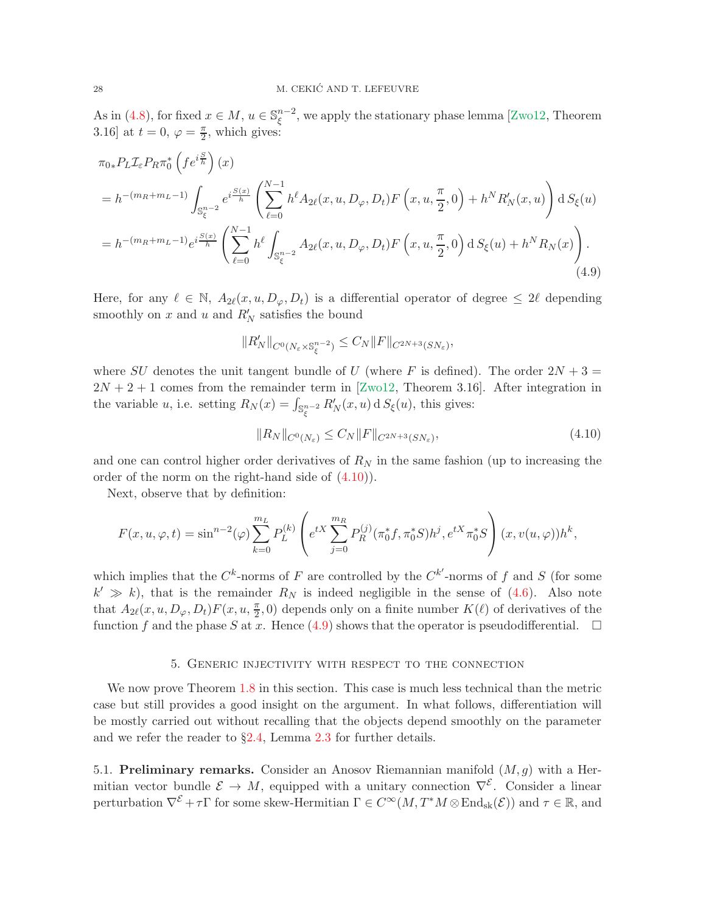As in [\(4.8\)](#page-25-1), for fixed  $x \in M$ ,  $u \in \mathbb{S}_{\xi}^{n-2}$  $\int_{\xi}^{n-2}$ , we apply the stationary phase lemma [\[Zwo12,](#page-56-8) Theorem 3.16] at  $t = 0$ ,  $\varphi = \frac{\pi}{2}$ , which gives:

<span id="page-27-2"></span>
$$
\pi_{0*} P_L \mathcal{I}_{\varepsilon} P_R \pi_0^* \left( f e^{i \frac{S}{h}} \right)(x)
$$
\n
$$
= h^{-(m_R + m_L - 1)} \int_{\mathbb{S}_{\xi}^{n-2}} e^{i \frac{S(x)}{h}} \left( \sum_{\ell=0}^{N-1} h^{\ell} A_{2\ell}(x, u, D_{\varphi}, D_t) F \left( x, u, \frac{\pi}{2}, 0 \right) + h^N R_N'(x, u) \right) dS_{\xi}(u)
$$
\n
$$
= h^{-(m_R + m_L - 1)} e^{i \frac{S(x)}{h}} \left( \sum_{\ell=0}^{N-1} h^{\ell} \int_{\mathbb{S}_{\xi}^{n-2}} A_{2\ell}(x, u, D_{\varphi}, D_t) F \left( x, u, \frac{\pi}{2}, 0 \right) dS_{\xi}(u) + h^N R_N(x) \right). \tag{4.9}
$$

Here, for any  $\ell \in \mathbb{N}$ ,  $A_{2\ell}(x, u, D_{\varphi}, D_t)$  is a differential operator of degree  $\leq 2\ell$  depending smoothly on x and u and  $R'_N$  satisfies the bound

$$
||R'_N||_{C^0(N_\varepsilon\times\mathbb{S}_\xi^{n-2})}\leq C_N||F||_{C^{2N+3}(SN_\varepsilon)},
$$

where SU denotes the unit tangent bundle of U (where F is defined). The order  $2N + 3 =$  $2N + 2 + 1$  comes from the remainder term in [\[Zwo12,](#page-56-8) Theorem 3.16]. After integration in the variable u, i.e. setting  $R_N(x) = \int_{\mathbb{S}_{\xi}^{n-2}} R'_N(x, u) dS_{\xi}(u)$ , this gives:

<span id="page-27-1"></span>
$$
||R_N||_{C^0(N_\varepsilon)} \le C_N ||F||_{C^{2N+3}(SN_\varepsilon)},
$$
\n(4.10)

and one can control higher order derivatives of  $R_N$  in the same fashion (up to increasing the order of the norm on the right-hand side of [\(4.10\)](#page-27-1)).

Next, observe that by definition:

$$
F(x, u, \varphi, t) = \sin^{n-2}(\varphi) \sum_{k=0}^{m} P_L^{(k)} \left( e^{tX} \sum_{j=0}^{m} P_R^{(j)}(\pi_0^* f, \pi_0^* S) h^j, e^{tX} \pi_0^* S \right) (x, v(u, \varphi)) h^k,
$$

which implies that the  $C^k$ -norms of F are controlled by the  $C^{k'}$ -norms of f and S (for some  $k' \gg k$ , that is the remainder  $R_N$  is indeed negligible in the sense of [\(4.6\)](#page-24-2). Also note that  $A_{2\ell}(x, u, D_{\varphi}, D_t) F(x, u, \frac{\pi}{2}, 0)$  depends only on a finite number  $K(\ell)$  of derivatives of the function f and the phase S at x. Hence [\(4.9\)](#page-27-2) shows that the operator is pseudodifferential.  $\square$ 

## 5. Generic injectivity with respect to the connection

<span id="page-27-0"></span>We now prove Theorem [1.8](#page-7-1) in this section. This case is much less technical than the metric case but still provides a good insight on the argument. In what follows, differentiation will be mostly carried out without recalling that the objects depend smoothly on the parameter and we refer the reader to  $\S2.4$ , Lemma [2.3](#page-16-1) for further details.

5.1. Preliminary remarks. Consider an Anosov Riemannian manifold  $(M, q)$  with a Hermitian vector bundle  $\mathcal{E} \to M$ , equipped with a unitary connection  $\nabla^{\mathcal{E}}$ . Consider a linear perturbation  $\nabla^{\mathcal{E}} + \tau \Gamma$  for some skew-Hermitian  $\Gamma \in C^{\infty}(M, T^*M \otimes \text{End}_{sk}(\mathcal{E}))$  and  $\tau \in \mathbb{R}$ , and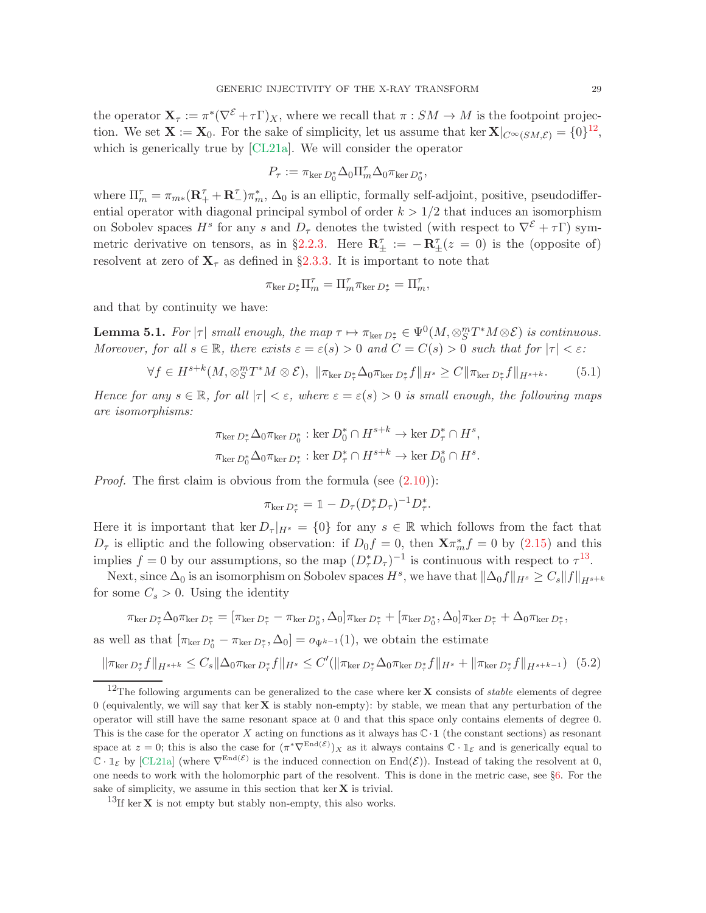the operator  $\mathbf{X}_{\tau} := \pi^*(\nabla^{\mathcal{E}} + \tau \Gamma)_X$ , where we recall that  $\pi : SM \to M$  is the footpoint projection. We set  $\mathbf{X} := \mathbf{X}_0$ . For the sake of simplicity, let us assume that ker  $\mathbf{X}|_{C^{\infty}(SM,\mathcal{E})} = \{0\}^{12}$  $\mathbf{X}|_{C^{\infty}(SM,\mathcal{E})} = \{0\}^{12}$  $\mathbf{X}|_{C^{\infty}(SM,\mathcal{E})} = \{0\}^{12}$ , which is generically true by [\[CL21a\]](#page-53-0). We will consider the operator

$$
P_\tau := \pi_{\ker D_0^*} \Delta_0 \Pi_m^\tau \Delta_0 \pi_{\ker D_0^*},
$$

where  $\Pi_m^{\tau} = \pi_{m*} (\mathbf{R}^{\tau}_+ + \mathbf{R}^{\tau}_-) \pi_m^*$ ,  $\Delta_0$  is an elliptic, formally self-adjoint, positive, pseudodifferential operator with diagonal principal symbol of order  $k > 1/2$  that induces an isomorphism on Sobolev spaces  $H^s$  for any s and  $D_{\tau}$  denotes the twisted (with respect to  $\nabla^{\mathcal{E}} + \tau \Gamma$ ) sym-metric derivative on tensors, as in §[2.2.3.](#page-13-1) Here  $\mathbf{R}_{\pm}^{\tau} := -\mathbf{R}_{\pm}^{\tau}(z=0)$  is the (opposite of) resolvent at zero of  $X<sub>\tau</sub>$  as defined in §[2.3.3.](#page-15-0) It is important to note that

$$
\pi_{\ker D_{\tau}^*} \Pi_m^{\tau} = \Pi_m^{\tau} \pi_{\ker D_{\tau}^*} = \Pi_m^{\tau},
$$

and that by continuity we have:

<span id="page-28-4"></span>**Lemma 5.1.** For  $|\tau|$  small enough, the map  $\tau \mapsto \pi_{\ker D_{\tau}^*} \in \Psi^0(M, \otimes_S^m T^*M \otimes \mathcal{E})$  is continuous. Moreover, for all  $s \in \mathbb{R}$ , there exists  $\varepsilon = \varepsilon(s) > 0$  and  $C = C(s) > 0$  such that for  $|\tau| < \varepsilon$ .

<span id="page-28-2"></span>
$$
\forall f \in H^{s+k}(M, \otimes_S^m T^*M \otimes \mathcal{E}), \ \|\pi_{\ker D_{\tau}^*}\Delta_0\pi_{\ker D_{\tau}^*}f\|_{H^s} \geq C\|\pi_{\ker D_{\tau}^*}f\|_{H^{s+k}}.\tag{5.1}
$$

Hence for any  $s \in \mathbb{R}$ , for all  $|\tau| < \varepsilon$ , where  $\varepsilon = \varepsilon(s) > 0$  is small enough, the following maps are isomorphisms:

$$
\pi_{\ker D_{\tau}^*} \Delta_0 \pi_{\ker D_0^*} : \ker D_0^* \cap H^{s+k} \to \ker D_{\tau}^* \cap H^s,
$$
  

$$
\pi_{\ker D_0^*} \Delta_0 \pi_{\ker D_{\tau}^*} : \ker D_{\tau}^* \cap H^{s+k} \to \ker D_0^* \cap H^s.
$$

*Proof.* The first claim is obvious from the formula (see  $(2.10)$ ):

$$
\pi_{\ker D_{\tau}^*} = \mathbb{1} - D_{\tau} (D_{\tau}^* D_{\tau})^{-1} D_{\tau}^*.
$$

Here it is important that ker  $D_{\tau}|_{H^{s}} = \{0\}$  for any  $s \in \mathbb{R}$  which follows from the fact that  $D_{\tau}$  is elliptic and the following observation: if  $D_0 f = 0$ , then  $\mathbf{X} \pi_m^* f = 0$  by  $(2.15)$  and this implies  $f = 0$  by our assumptions, so the map  $(D^*_{\tau}D_{\tau})^{-1}$  is continuous with respect to  $\tau^{13}$  $\tau^{13}$  $\tau^{13}$ .

Next, since  $\Delta_0$  is an isomorphism on Sobolev spaces  $H^s$ , we have that  $\|\Delta_0 f\|_{H^s} \geq C_s \|f\|_{H^{s+k}}$ for some  $C_s > 0$ . Using the identity

$$
\pi_{\ker D_{\tau}^{*}}\Delta_{0}\pi_{\ker D_{\tau}^{*}}=[\pi_{\ker D_{\tau}^{*}}-\pi_{\ker D_{0}^{*}},\Delta_{0}]\pi_{\ker D_{\tau}^{*}}+[\pi_{\ker D_{0}^{*}},\Delta_{0}]\pi_{\ker D_{\tau}^{*}}+\Delta_{0}\pi_{\ker D_{\tau}^{*}},
$$

as well as that  $[\pi_{\ker D_0^*} - \pi_{\ker D_\tau^*}, \Delta_0] = o_{\Psi^{k-1}}(1)$ , we obtain the estimate

<span id="page-28-3"></span>
$$
\|\pi_{\ker D_{\tau}^*} f\|_{H^{s+k}} \le C_s \|\Delta_0 \pi_{\ker D_{\tau}^*} f\|_{H^s} \le C'(\|\pi_{\ker D_{\tau}^*} \Delta_0 \pi_{\ker D_{\tau}^*} f\|_{H^s} + \|\pi_{\ker D_{\tau}^*} f\|_{H^{s+k-1}}) (5.2)
$$

<span id="page-28-0"></span><sup>&</sup>lt;sup>12</sup>The following arguments can be generalized to the case where ker **X** consists of *stable* elements of degree 0 (equivalently, we will say that ker  $X$  is stably non-empty): by stable, we mean that any perturbation of the operator will still have the same resonant space at 0 and that this space only contains elements of degree 0. This is the case for the operator X acting on functions as it always has  $\mathbb{C} \cdot 1$  (the constant sections) as resonant space at  $z = 0$ ; this is also the case for  $(\pi^* \nabla^{\text{End}(\mathcal{E})})_X$  as it always contains  $\mathbb{C} \cdot \mathbb{1}_{\mathcal{E}}$  and is generically equal to  $\mathbb{C} \cdot \mathbb{1}_{\mathcal{E}}$  by [\[CL21a\]](#page-53-0) (where  $\nabla^{\text{End}(\mathcal{E})}$  is the induced connection on  $\text{End}(\mathcal{E})$ ). Instead of taking the resolvent at 0, one needs to work with the holomorphic part of the resolvent. This is done in the metric case, see §[6.](#page-37-0) For the sake of simplicity, we assume in this section that  $\ker X$  is trivial.

<span id="page-28-1"></span><sup>&</sup>lt;sup>13</sup>If ker **X** is not empty but stably non-empty, this also works.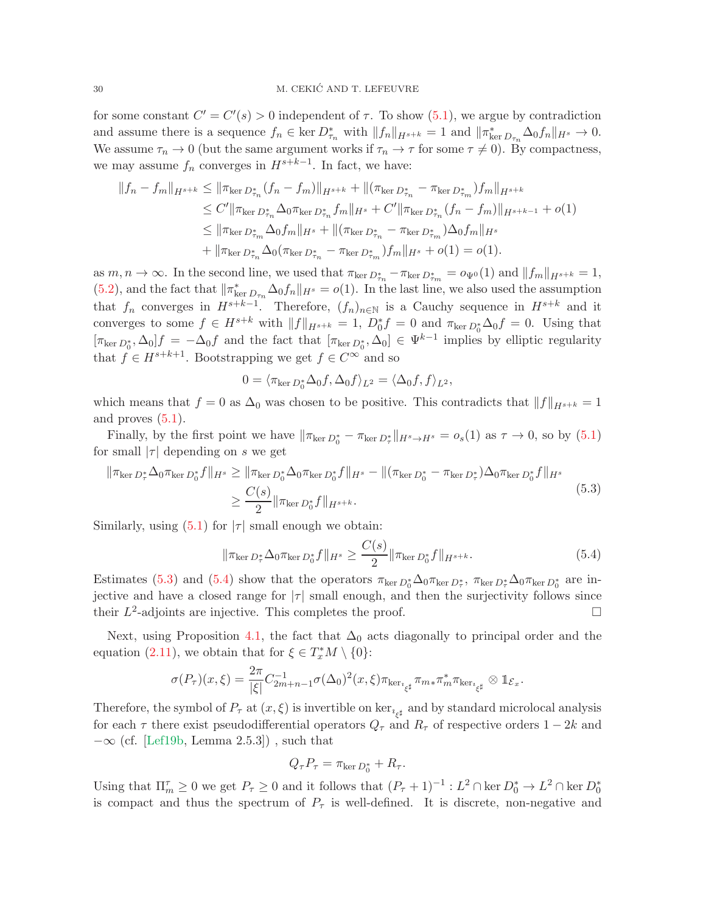for some constant  $C' = C'(s) > 0$  independent of  $\tau$ . To show  $(5.1)$ , we argue by contradiction and assume there is a sequence  $f_n \in \ker D^*_{\tau_n}$  with  $||f_n||_{H^{s+k}} = 1$  and  $||\pi^*_{\ker D_{\tau_n}} \Delta_0 f_n||_{H^s} \to 0$ . We assume  $\tau_n \to 0$  (but the same argument works if  $\tau_n \to \tau$  for some  $\tau \neq 0$ ). By compactness, we may assume  $f_n$  converges in  $H^{s+k-1}$ . In fact, we have:

$$
||f_{n} - f_{m}||_{H^{s+k}} \le ||\pi_{\ker D_{\tau_{n}}^{*}}(f_{n} - f_{m})||_{H^{s+k}} + ||(\pi_{\ker D_{\tau_{n}}^{*}} - \pi_{\ker D_{\tau_{m}}^{*}})f_{m}||_{H^{s+k}}
$$
  
\n
$$
\le C'||\pi_{\ker D_{\tau_{n}}^{*}} \Delta_{0}\pi_{\ker D_{\tau_{n}}^{*}} f_{m}||_{H^{s}} + C'||\pi_{\ker D_{\tau_{n}}^{*}}(f_{n} - f_{m})||_{H^{s+k-1}} + o(1)
$$
  
\n
$$
\le ||\pi_{\ker D_{\tau_{m}}^{*}} \Delta_{0}f_{m}||_{H^{s}} + ||(\pi_{\ker D_{\tau_{n}}^{*}} - \pi_{\ker D_{\tau_{m}}^{*}}) \Delta_{0}f_{m}||_{H^{s}}
$$
  
\n
$$
+ ||\pi_{\ker D_{\tau_{n}}^{*}} \Delta_{0}(\pi_{\ker D_{\tau_{n}}^{*}} - \pi_{\ker D_{\tau_{m}}^{*}})f_{m}||_{H^{s}} + o(1) = o(1).
$$

as  $m, n \to \infty$ . In the second line, we used that  $\pi_{\ker D_{\tau_n}^*} - \pi_{\ker D_{\tau_m}^*} = o_{\Psi^0}(1)$  and  $||f_m||_{H^{s+k}} = 1$ , [\(5.2\)](#page-28-3), and the fact that  $\|\pi_{\text{ker }D_{\tau_n}}^*\Delta_0 f_n\|_{H^s} = o(1)$ . In the last line, we also used the assumption that  $f_n$  converges in  $H^{s+k-1}$ . Therefore,  $(f_n)_{n\in\mathbb{N}}$  is a Cauchy sequence in  $H^{s+k}$  and it converges to some  $f \in H^{s+k}$  with  $||f||_{H^{s+k}} = 1$ ,  $D_0^* f = 0$  and  $\pi_{\ker D_0^*} \Delta_0 f = 0$ . Using that  $[\pi_{\ker D_0^*}, \Delta_0]f = -\Delta_0 f$  and the fact that  $[\pi_{\ker D_0^*}, \Delta_0] \in \Psi^{k-1}$  implies by elliptic regularity that  $f \in H^{s+k+1}$ . Bootstrapping we get  $f \in C^{\infty}$  and so

<span id="page-29-0"></span>
$$
0 = \langle \pi_{\ker D_0^*} \Delta_0 f, \Delta_0 f \rangle_{L^2} = \langle \Delta_0 f, f \rangle_{L^2},
$$

which means that  $f = 0$  as  $\Delta_0$  was chosen to be positive. This contradicts that  $||f||_{H^{s+k}} = 1$ and proves  $(5.1)$ .

Finally, by the first point we have  $\|\pi_{\ker D_0^*} - \pi_{\ker D_\tau^*}\|_{H^s \to H^s} = o_s(1)$  as  $\tau \to 0$ , so by  $(5.1)$ for small  $|\tau|$  depending on s we get

$$
\|\pi_{\ker D_{\tau}^{*}}\Delta_{0}\pi_{\ker D_{0}^{*}}f\|_{H^{s}} \geq \|\pi_{\ker D_{0}^{*}}\Delta_{0}\pi_{\ker D_{0}^{*}}f\|_{H^{s}} - \|(\pi_{\ker D_{0}^{*}} - \pi_{\ker D_{\tau}^{*}})\Delta_{0}\pi_{\ker D_{0}^{*}}f\|_{H^{s}} \geq \frac{C(s)}{2} \|\pi_{\ker D_{0}^{*}}f\|_{H^{s+k}}.
$$
\n(5.3)

Similarly, using  $(5.1)$  for  $|\tau|$  small enough we obtain:

<span id="page-29-1"></span>
$$
\|\pi_{\ker D_{\tau}^*} \Delta_0 \pi_{\ker D_0^*} f\|_{H^s} \ge \frac{C(s)}{2} \|\pi_{\ker D_0^*} f\|_{H^{s+k}}.\tag{5.4}
$$

Estimates [\(5.3\)](#page-29-0) and [\(5.4\)](#page-29-1) show that the operators  $\pi_{\ker D_0^*} \Delta_0 \pi_{\ker D_\tau^*}$ ,  $\pi_{\ker D_\tau^*} \Delta_0 \pi_{\ker D_0^*}$  are injective and have a closed range for  $|\tau|$  small enough, and then the surjectivity follows since their  $L^2$ -adjoints are injective. This completes the proof.

Next, using Proposition [4.1,](#page-22-2) the fact that  $\Delta_0$  acts diagonally to principal order and the equation [\(2.11\)](#page-12-2), we obtain that for  $\xi \in T_x^*M \setminus \{0\}$ :

$$
\sigma(P_{\tau})(x,\xi) = \frac{2\pi}{|\xi|}C_{2m+n-1}^{-1}\sigma(\Delta_0)^2(x,\xi)\pi_{\ker_{\xi^\sharp}}\pi_{m*}\pi_m^*\pi_{\ker_{\xi^\sharp}}\otimes \mathbb{1}_{\mathcal{E}_x}.
$$

Therefore, the symbol of  $P_{\tau}$  at  $(x,\xi)$  is invertible on ker<sub> $\iota_{\xi^{\sharp}}$ </sub> and by standard microlocal analysis for each  $\tau$  there exist pseudodifferential operators  $Q_{\tau}$  and  $R_{\tau}$  of respective orders  $1 - 2k$  and  $-\infty$  (cf. [\[Lef19b,](#page-55-21) Lemma 2.5.3]), such that

$$
Q_{\tau}P_{\tau} = \pi_{\ker D_0^*} + R_{\tau}.
$$

Using that  $\Pi_m^{\tau} \geq 0$  we get  $P_{\tau} \geq 0$  and it follows that  $(P_{\tau} + 1)^{-1} : L^2 \cap \ker D_0^* \to L^2 \cap \ker D_0^*$ is compact and thus the spectrum of  $P_{\tau}$  is well-defined. It is discrete, non-negative and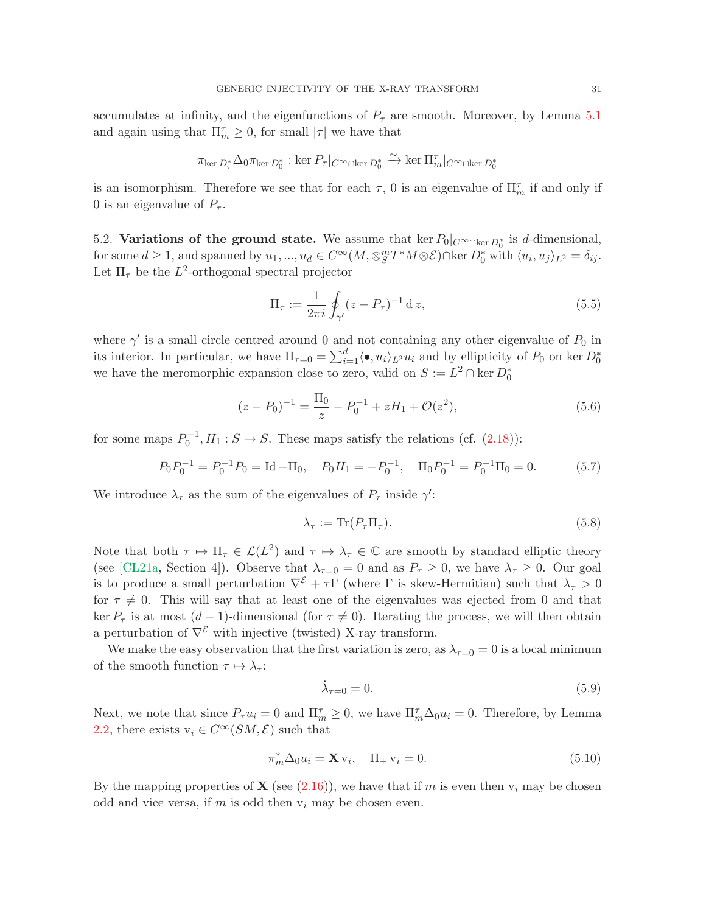accumulates at infinity, and the eigenfunctions of  $P_{\tau}$  are smooth. Moreover, by Lemma [5.1](#page-28-4) and again using that  $\Pi_m^{\tau} \geq 0$ , for small  $|\tau|$  we have that

$$
\pi_{\ker D_{\tau}^*}\Delta_0\pi_{\ker D_0^*}: \ker P_{\tau}|_{C^{\infty}\cap\ker D_0^*}\xrightarrow{\sim}\ker \Pi_m^{\tau}|_{C^{\infty}\cap\ker D_0^*}
$$

is an isomorphism. Therefore we see that for each  $\tau$ , 0 is an eigenvalue of  $\Pi_m^{\tau}$  if and only if 0 is an eigenvalue of  $P_{\tau}$ .

<span id="page-30-3"></span>5.2. Variations of the ground state. We assume that ker  $P_0|_{C^{\infty} \cap \text{ker } D_0^*}$  is d-dimensional, for some  $d \geq 1$ , and spanned by  $u_1, ..., u_d \in C^{\infty}(M, \otimes_S^m T^*M \otimes \mathcal{E}) \cap \ker D_0^*$  with  $\langle u_i, u_j \rangle_{L^2} = \delta_{ij}$ . Let  $\Pi_{\tau}$  be the  $L^2$ -orthogonal spectral projector

$$
\Pi_{\tau} := \frac{1}{2\pi i} \oint_{\gamma'} (z - P_{\tau})^{-1} \, \mathrm{d} \, z,\tag{5.5}
$$

where  $\gamma'$  is a small circle centred around 0 and not containing any other eigenvalue of  $P_0$  in its interior. In particular, we have  $\Pi_{\tau=0} = \sum_{i=1}^d \langle \bullet, u_i \rangle_{L^2} u_i$  and by ellipticity of  $P_0$  on ker  $D_0^*$ we have the meromorphic expansion close to zero, valid on  $S := L^2 \cap \ker D_0^*$ 

<span id="page-30-0"></span>
$$
(z - P_0)^{-1} = \frac{\Pi_0}{z} - P_0^{-1} + zH_1 + \mathcal{O}(z^2),\tag{5.6}
$$

for some maps  $P_0^{-1}, H_1 : S \to S$ . These maps satisfy the relations (cf. [\(2.18\)](#page-14-2)):

<span id="page-30-1"></span>
$$
P_0 P_0^{-1} = P_0^{-1} P_0 = \text{Id} - \Pi_0, \quad P_0 H_1 = -P_0^{-1}, \quad \Pi_0 P_0^{-1} = P_0^{-1} \Pi_0 = 0. \tag{5.7}
$$

We introduce  $\lambda_{\tau}$  as the sum of the eigenvalues of  $P_{\tau}$  inside  $\gamma'$ :

<span id="page-30-4"></span>
$$
\lambda_{\tau} := \text{Tr}(P_{\tau} \Pi_{\tau}).\tag{5.8}
$$

Note that both  $\tau \mapsto \Pi_{\tau} \in \mathcal{L}(L^2)$  and  $\tau \mapsto \lambda_{\tau} \in \mathbb{C}$  are smooth by standard elliptic theory (see [\[CL21a,](#page-53-0) Section 4]). Observe that  $\lambda_{\tau=0} = 0$  and as  $P_{\tau} \ge 0$ , we have  $\lambda_{\tau} \ge 0$ . Our goal is to produce a small perturbation  $\nabla^{\mathcal{E}} + \tau \Gamma$  (where  $\Gamma$  is skew-Hermitian) such that  $\lambda_{\tau} > 0$ for  $\tau \neq 0$ . This will say that at least one of the eigenvalues was ejected from 0 and that ker  $P_{\tau}$  is at most  $(d-1)$ -dimensional (for  $\tau \neq 0$ ). Iterating the process, we will then obtain a perturbation of  $\nabla^{\mathcal{E}}$  with injective (twisted) X-ray transform.

We make the easy observation that the first variation is zero, as  $\lambda_{\tau=0} = 0$  is a local minimum of the smooth function  $\tau \mapsto \lambda_{\tau}$ :

$$
\dot{\lambda}_{\tau=0} = 0. \tag{5.9}
$$

Next, we note that since  $P_{\tau}u_i = 0$  and  $\Pi_{m}^{\tau} \geq 0$ , we have  $\Pi_{m}^{\tau}\Delta_0u_i = 0$ . Therefore, by Lemma [2.2,](#page-15-3) there exists  $v_i \in C^{\infty}(SM, \mathcal{E})$  such that

<span id="page-30-2"></span>
$$
\pi_m^* \Delta_0 u_i = \mathbf{X} \mathbf{v}_i, \quad \Pi_+ \mathbf{v}_i = 0. \tag{5.10}
$$

By the mapping properties of **X** (see [\(2.16\)](#page-13-4)), we have that if m is even then  $v_i$  may be chosen odd and vice versa, if m is odd then  $v_i$  may be chosen even.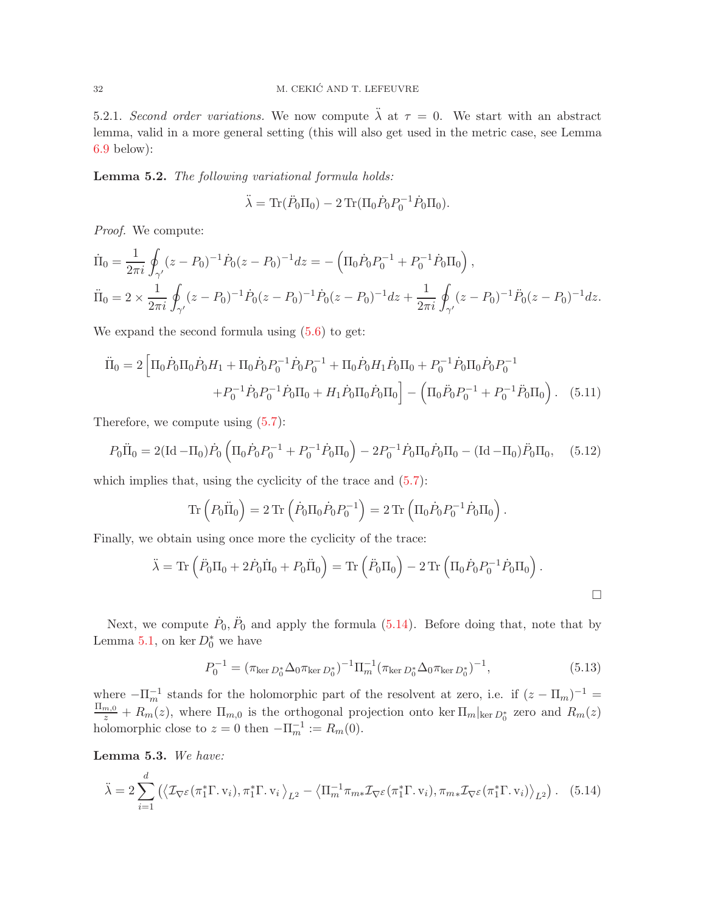5.2.1. Second order variations. We now compute  $\ddot{\lambda}$  at  $\tau = 0$ . We start with an abstract lemma, valid in a more general setting (this will also get used in the metric case, see Lemma [6.9](#page-46-0) below):

<span id="page-31-0"></span>Lemma 5.2. The following variational formula holds:

$$
\ddot{\lambda} = \text{Tr}(\ddot{P}_0 \Pi_0) - 2 \text{Tr}(\Pi_0 \dot{P}_0 P_0^{-1} \dot{P}_0 \Pi_0).
$$

Proof. We compute:

$$
\dot{\Pi}_0 = \frac{1}{2\pi i} \oint_{\gamma'} (z - P_0)^{-1} \dot{P}_0 (z - P_0)^{-1} dz = - \left( \Pi_0 \dot{P}_0 P_0^{-1} + P_0^{-1} \dot{P}_0 \Pi_0 \right),
$$
\n
$$
\ddot{\Pi}_0 = 2 \times \frac{1}{2\pi i} \oint_{\gamma'} (z - P_0)^{-1} \dot{P}_0 (z - P_0)^{-1} \dot{P}_0 (z - P_0)^{-1} dz + \frac{1}{2\pi i} \oint_{\gamma'} (z - P_0)^{-1} \ddot{P}_0 (z - P_0)^{-1} dz.
$$

We expand the second formula using  $(5.6)$  to get:

$$
\ddot{\Pi}_0 = 2 \left[ \Pi_0 \dot{P}_0 \Pi_0 \dot{P}_0 H_1 + \Pi_0 \dot{P}_0 P_0^{-1} \dot{P}_0 P_0^{-1} + \Pi_0 \dot{P}_0 H_1 \dot{P}_0 \Pi_0 + P_0^{-1} \dot{P}_0 \Pi_0 \dot{P}_0 P_0^{-1} + P_0^{-1} \dot{P}_0 P_0^{-1} \dot{P}_0 \Pi_0 + H_1 \dot{P}_0 \Pi_0 \dot{P}_0 \Pi_0 \right] - \left( \Pi_0 \ddot{P}_0 P_0^{-1} + P_0^{-1} \ddot{P}_0 \Pi_0 \right). \tag{5.11}
$$

Therefore, we compute using  $(5.7)$ :

$$
P_0\ddot{\Pi}_0 = 2(\text{Id} - \Pi_0)\dot{P}_0 \left(\Pi_0\dot{P}_0P_0^{-1} + P_0^{-1}\dot{P}_0\Pi_0\right) - 2P_0^{-1}\dot{P}_0\Pi_0\dot{P}_0\Pi_0 - (\text{Id} - \Pi_0)\ddot{P}_0\Pi_0, \quad (5.12)
$$

which implies that, using the cyclicity of the trace and  $(5.7)$ :

$$
\text{Tr}\left(P_0\ddot{\Pi}_0\right) = 2\text{Tr}\left(\dot{P}_0\Pi_0\dot{P}_0P_0^{-1}\right) = 2\text{Tr}\left(\Pi_0\dot{P}_0P_0^{-1}\dot{P}_0\Pi_0\right).
$$

Finally, we obtain using once more the cyclicity of the trace:

$$
\ddot{\lambda} = \text{Tr}\left(\ddot{P}_0\Pi_0 + 2\dot{P}_0\dot{\Pi}_0 + P_0\ddot{\Pi}_0\right) = \text{Tr}\left(\ddot{P}_0\Pi_0\right) - 2\text{Tr}\left(\Pi_0\dot{P}_0P_0^{-1}\dot{P}_0\Pi_0\right).
$$

Next, we compute  $\dot{P}_0$ ,  $\ddot{P}_0$  and apply the formula [\(5.14\)](#page-31-1). Before doing that, note that by Lemma [5.1,](#page-28-4) on ker  $D_0^*$  we have

<span id="page-31-2"></span>
$$
P_0^{-1} = (\pi_{\ker D_0^*} \Delta_0 \pi_{\ker D_0^*})^{-1} \Pi_m^{-1} (\pi_{\ker D_0^*} \Delta_0 \pi_{\ker D_0^*})^{-1},
$$
\n(5.13)

where  $-\Pi_m^{-1}$  stands for the holomorphic part of the resolvent at zero, i.e. if  $(z - \Pi_m)^{-1} =$  $\frac{\Pi_{m,0}}{z} + R_m(z)$ , where  $\Pi_{m,0}$  is the orthogonal projection onto ker  $\Pi_m|_{\ker D_0^*}$  zero and  $R_m(z)$ holomorphic close to  $z = 0$  then  $-\Pi_m^{-1} := R_m(0)$ .

<span id="page-31-3"></span>Lemma 5.3. We have:

<span id="page-31-1"></span>
$$
\ddot{\lambda} = 2 \sum_{i=1}^{d} \left( \left\langle \mathcal{I}_{\nabla} \varepsilon (\pi_1^* \Gamma, \mathbf{v}_i), \pi_1^* \Gamma, \mathbf{v}_i \right\rangle_{L^2} - \left\langle \Pi_m^{-1} \pi_{m*} \mathcal{I}_{\nabla} \varepsilon (\pi_1^* \Gamma, \mathbf{v}_i), \pi_{m*} \mathcal{I}_{\nabla} \varepsilon (\pi_1^* \Gamma, \mathbf{v}_i) \right\rangle_{L^2} \right). \tag{5.14}
$$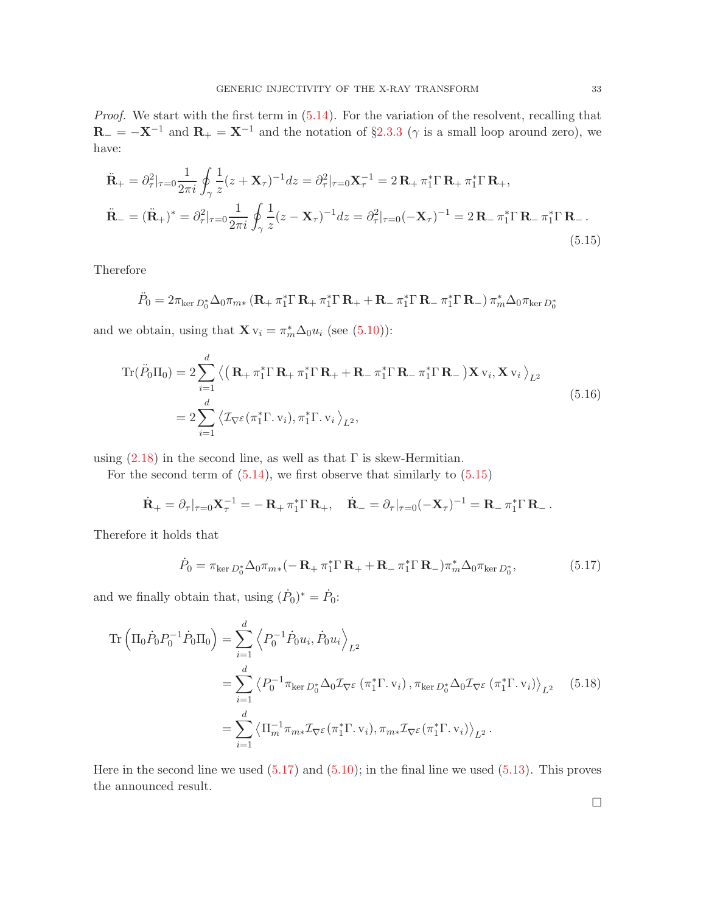Proof. We start with the first term in  $(5.14)$ . For the variation of the resolvent, recalling that  $\mathbf{R}_{-} = -\mathbf{X}^{-1}$  and  $\mathbf{R}_{+} = \mathbf{X}^{-1}$  and the notation of §[2.3.3](#page-15-0) ( $\gamma$  is a small loop around zero), we have:

<span id="page-32-0"></span>
$$
\ddot{\mathbf{R}}_{+} = \partial_{\tau}^{2} |_{\tau=0} \frac{1}{2\pi i} \oint_{\gamma} \frac{1}{z} (z + \mathbf{X}_{\tau})^{-1} dz = \partial_{\tau}^{2} |_{\tau=0} \mathbf{X}_{\tau}^{-1} = 2 \mathbf{R}_{+} \pi_{1}^{*} \Gamma \mathbf{R}_{+} \pi_{1}^{*} \Gamma \mathbf{R}_{+},
$$
\n
$$
\ddot{\mathbf{R}}_{-} = (\ddot{\mathbf{R}}_{+})^{*} = \partial_{\tau}^{2} |_{\tau=0} \frac{1}{2\pi i} \oint_{\gamma} \frac{1}{z} (z - \mathbf{X}_{\tau})^{-1} dz = \partial_{\tau}^{2} |_{\tau=0} (-\mathbf{X}_{\tau})^{-1} = 2 \mathbf{R}_{-} \pi_{1}^{*} \Gamma \mathbf{R}_{-} \pi_{1}^{*} \Gamma \mathbf{R}_{-}.
$$
\n(5.15)

Therefore

$$
\ddot{P}_0 = 2\pi_{\ker D_0^*} \Delta_0 \pi_{m*} (\mathbf{R}_+ \pi_1^* \Gamma \mathbf{R}_+ \pi_1^* \Gamma \mathbf{R}_+ + \mathbf{R}_- \pi_1^* \Gamma \mathbf{R}_- \pi_1^* \Gamma \mathbf{R}_-) \pi_m^* \Delta_0 \pi_{\ker D_0^*}
$$

and we obtain, using that  $\mathbf{X} \mathbf{v}_i = \pi_m^* \Delta_0 u_i$  (see [\(5.10\)](#page-30-2)):

$$
\operatorname{Tr}(\ddot{P}_0 \Pi_0) = 2 \sum_{i=1}^d \left\langle \left( \mathbf{R}_+ \pi_1^* \Gamma \mathbf{R}_+ \pi_1^* \Gamma \mathbf{R}_+ + \mathbf{R}_- \pi_1^* \Gamma \mathbf{R}_- \pi_1^* \Gamma \mathbf{R}_- \right) \mathbf{X} \mathbf{v}_i, \mathbf{X} \mathbf{v}_i \right\rangle_{L^2}
$$
\n
$$
= 2 \sum_{i=1}^d \left\langle \mathcal{I}_{\nabla^{\mathcal{E}}}(\pi_1^* \Gamma \cdot \mathbf{v}_i), \pi_1^* \Gamma \cdot \mathbf{v}_i \right\rangle_{L^2},\tag{5.16}
$$

using  $(2.18)$  in the second line, as well as that  $\Gamma$  is skew-Hermitian.

For the second term of  $(5.14)$ , we first observe that similarly to  $(5.15)$ 

$$
\dot{\mathbf{R}}_{+} = \partial_{\tau}|_{\tau=0} \mathbf{X}_{\tau}^{-1} = -\mathbf{R}_{+} \pi_{1}^{*} \Gamma \mathbf{R}_{+}, \quad \dot{\mathbf{R}}_{-} = \partial_{\tau}|_{\tau=0} (-\mathbf{X}_{\tau})^{-1} = \mathbf{R}_{-} \pi_{1}^{*} \Gamma \mathbf{R}_{-}.
$$

Therefore it holds that

<span id="page-32-1"></span>
$$
\dot{P}_0 = \pi_{\ker D_0^*} \Delta_0 \pi_{m*} (-\mathbf{R}_+ \pi_1^* \Gamma \mathbf{R}_+ + \mathbf{R}_- \pi_1^* \Gamma \mathbf{R}_-) \pi_m^* \Delta_0 \pi_{\ker D_0^*},
$$
\n(5.17)

and we finally obtain that, using  $(\dot{P}_0)^* = \dot{P}_0$ :

<span id="page-32-2"></span>
$$
\operatorname{Tr}\left(\Pi_{0}\dot{P}_{0}P_{0}^{-1}\dot{P}_{0}\Pi_{0}\right) = \sum_{i=1}^{d} \left\langle P_{0}^{-1}\dot{P}_{0}u_{i}, \dot{P}_{0}u_{i}\right\rangle_{L^{2}}
$$
\n
$$
= \sum_{i=1}^{d} \left\langle P_{0}^{-1}\pi_{\ker D_{0}^{*}}\Delta_{0}\mathcal{I}_{\nabla\mathcal{E}}\left(\pi_{1}^{*}\Gamma, v_{i}\right), \pi_{\ker D_{0}^{*}}\Delta_{0}\mathcal{I}_{\nabla\mathcal{E}}\left(\pi_{1}^{*}\Gamma, v_{i}\right)\right\rangle_{L^{2}} \quad (5.18)
$$
\n
$$
= \sum_{i=1}^{d} \left\langle \Pi_{m}^{-1}\pi_{m*}\mathcal{I}_{\nabla\mathcal{E}}(\pi_{1}^{*}\Gamma, v_{i}), \pi_{m*}\mathcal{I}_{\nabla\mathcal{E}}(\pi_{1}^{*}\Gamma, v_{i})\right\rangle_{L^{2}}.
$$

Here in the second line we used  $(5.17)$  and  $(5.10)$ ; in the final line we used  $(5.13)$ . This proves the announced result.

 $\Box$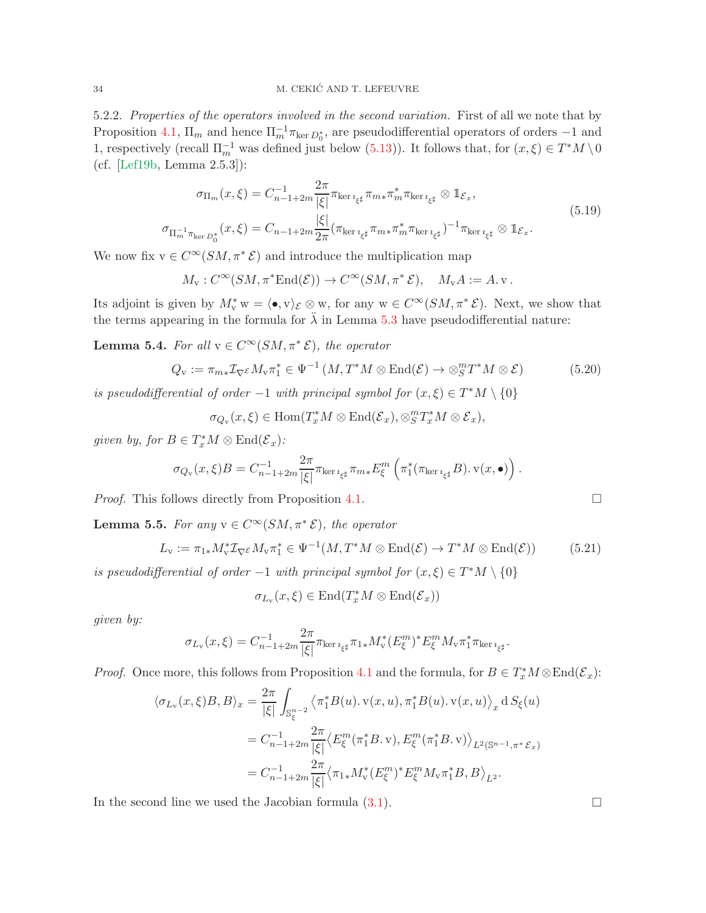5.2.2. Properties of the operators involved in the second variation. First of all we note that by Proposition [4.1,](#page-22-2)  $\Pi_m$  and hence  $\Pi_m^{-1} \pi_{\ker D_0^*}$ , are pseudodifferential operators of orders -1 and 1, respectively (recall  $\Pi_m^{-1}$  was defined just below [\(5.13\)](#page-31-2)). It follows that, for  $(x,\xi) \in T^*M \setminus 0$ (cf. [\[Lef19b,](#page-55-21) Lemma 2.5.3]):

$$
\sigma_{\Pi_m}(x,\xi) = C_{n-1+2m}^{-1} \frac{2\pi}{|\xi|} \pi_{\ker\imath_{\xi^\sharp}} \pi_{m*} \pi_m^* \pi_{\ker\imath_{\xi^\sharp}} \otimes \mathbb{1}_{\mathcal{E}_x},
$$
\n
$$
\sigma_{\Pi_m^{-1} \pi_{\ker D_0^*}}(x,\xi) = C_{n-1+2m} \frac{|\xi|}{2\pi} (\pi_{\ker\imath_{\xi^\sharp}} \pi_{m*} \pi_m^* \pi_{\ker\imath_{\xi^\sharp}})^{-1} \pi_{\ker\imath_{\xi^\sharp}} \otimes \mathbb{1}_{\mathcal{E}_x}.
$$
\n(5.19)

<span id="page-33-2"></span>We now fix  $v \in C^{\infty}(SM, \pi^* \mathcal{E})$  and introduce the multiplication map

$$
M_{\mathbf{v}}: C^{\infty}(SM, \pi^* \text{End}(\mathcal{E})) \to C^{\infty}(SM, \pi^* \mathcal{E}), \quad M_{\mathbf{v}}A := A.\mathbf{v}.
$$

Its adjoint is given by  $M_v^* w = \langle \bullet, v \rangle_{\mathcal{E}} \otimes w$ , for any  $w \in C^{\infty}(SM, \pi^* \mathcal{E})$ . Next, we show that the terms appearing in the formula for  $\ddot{\lambda}$  in Lemma [5.3](#page-31-3) have pseudodifferential nature:

<span id="page-33-3"></span>**Lemma 5.4.** For all  $v \in C^{\infty}(SM, \pi^* \mathcal{E})$ , the operator

<span id="page-33-0"></span>
$$
Q_{\mathbf{v}} := \pi_{m*} \mathcal{I}_{\nabla} \varepsilon M_{\mathbf{v}} \pi_1^* \in \Psi^{-1}(M, T^*M \otimes \text{End}(\mathcal{E}) \to \otimes_S^m T^*M \otimes \mathcal{E})
$$
(5.20)

is pseudodifferential of order  $-1$  with principal symbol for  $(x,\xi) \in T^*M \setminus \{0\}$ 

 $\sigma_{Q_{\mathbf{v}}}(x,\xi) \in \text{Hom}(T_x^*M \otimes \text{End}(\mathcal{E}_x), \otimes_S^m T_x^*M \otimes \mathcal{E}_x),$ 

given by, for  $B \in T_x^*M \otimes \text{End}(\mathcal{E}_x)$ :

$$
\sigma_{Q_{\mathbf{v}}}(x,\xi)B = C_{n-1+2m}^{-1} \frac{2\pi}{|\xi|} \pi_{\ker\imath_{\xi^{\sharp}}} \pi_{m*} E_{\xi}^{m} \left( \pi_1^*(\pi_{\ker\imath_{\xi^{\sharp}}} B). \mathbf{v}(x,\bullet) \right).
$$

*Proof.* This follows directly from Proposition [4.1.](#page-22-2)

<span id="page-33-4"></span>**Lemma 5.5.** For any  $v \in C^{\infty}(SM, \pi^* \mathcal{E})$ , the operator

<span id="page-33-1"></span>
$$
L_{\mathbf{v}} := \pi_{1*} M_{\mathbf{v}}^* \mathcal{I}_{\nabla^{\mathcal{E}}} M_{\mathbf{v}} \pi_1^* \in \Psi^{-1}(M, T^*M \otimes \text{End}(\mathcal{E}) \to T^*M \otimes \text{End}(\mathcal{E})) \tag{5.21}
$$

is pseudodifferential of order  $-1$  with principal symbol for  $(x,\xi) \in T^*M \setminus \{0\}$ 

$$
\sigma_{L_{\mathbf{v}}}(x,\xi) \in \text{End}(T_x^*M \otimes \text{End}(\mathcal{E}_x))
$$

given by:

$$
\sigma_{L_{\mathrm{v}}}(x,\xi)=C_{n-1+2m}^{-1}\frac{2\pi}{|\xi|}\pi_{\ker\imath_{\xi^\sharp}}\pi_{1*}M_{\mathrm{v}}^*(E^m_\xi)^*E^m_\xi M_{\mathrm{v}}\pi_1^*\pi_{\ker\imath_{\xi^\sharp}}.
$$

*Proof.* Once more, this follows from Proposition [4.1](#page-22-2) and the formula, for  $B \in T_x^*M \otimes \text{End}(\mathcal{E}_x)$ :

$$
\langle \sigma_{L_{\mathbf{v}}}(x,\xi)B, B \rangle_{x} = \frac{2\pi}{|\xi|} \int_{\mathbb{S}_{\xi}^{n-2}} \langle \pi_{1}^{*}B(u), \mathbf{v}(x,u), \pi_{1}^{*}B(u), \mathbf{v}(x,u) \rangle_{x} dS_{\xi}(u)
$$
  

$$
= C_{n-1+2m}^{-1} \frac{2\pi}{|\xi|} \langle E_{\xi}^{m}(\pi_{1}^{*}B, \mathbf{v}), E_{\xi}^{m}(\pi_{1}^{*}B, \mathbf{v}) \rangle_{L^{2}(\mathbb{S}^{n-1}, \pi^{*}\mathcal{E}_{x})}
$$
  

$$
= C_{n-1+2m}^{-1} \frac{2\pi}{|\xi|} \langle \pi_{1*}M_{\mathbf{v}}^{*}(E_{\xi}^{m})^{*} E_{\xi}^{m} M_{\mathbf{v}} \pi_{1}^{*}B, B \rangle_{L^{2}}.
$$

In the second line we used the Jacobian formula  $(3.1)$ .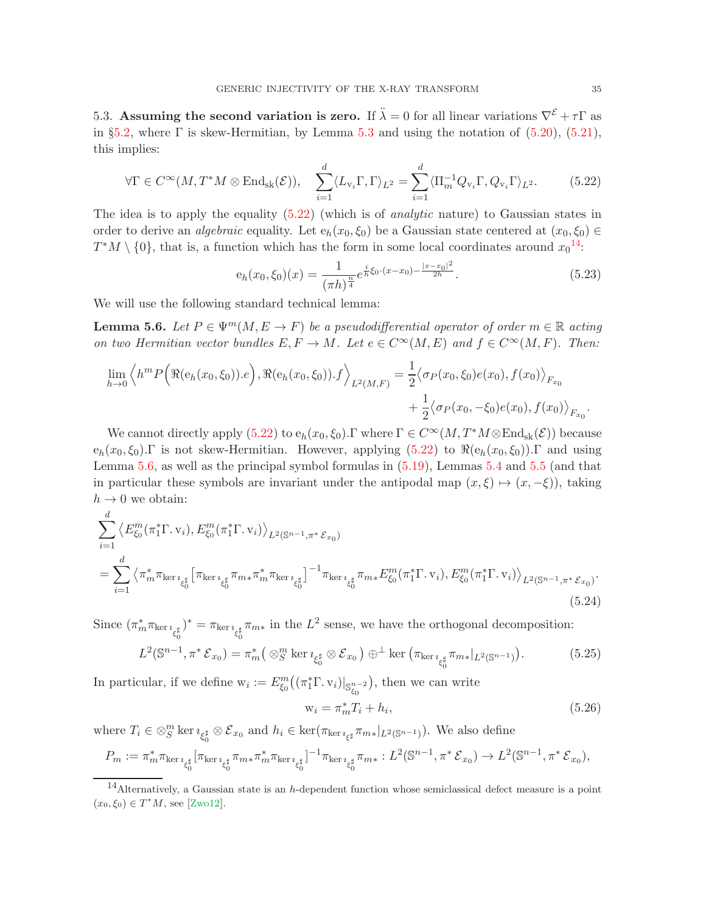5.3. Assuming the second variation is zero. If  $\ddot{\lambda} = 0$  for all linear variations  $\nabla^{\mathcal{E}} + \tau \Gamma$  as in §[5.2,](#page-30-3) where  $\Gamma$  is skew-Hermitian, by Lemma [5.3](#page-31-3) and using the notation of [\(5.20\)](#page-33-0), [\(5.21\)](#page-33-1), this implies:

<span id="page-34-0"></span>
$$
\forall \Gamma \in C^{\infty}(M, T^*M \otimes \text{End}_{\text{sk}}(\mathcal{E})), \quad \sum_{i=1}^d \langle L_{\mathbf{v}_i} \Gamma, \Gamma \rangle_{L^2} = \sum_{i=1}^d \langle \Pi_m^{-1} Q_{\mathbf{v}_i} \Gamma, Q_{\mathbf{v}_i} \Gamma \rangle_{L^2}.
$$
 (5.22)

The idea is to apply the equality [\(5.22\)](#page-34-0) (which is of analytic nature) to Gaussian states in order to derive an *algebraic* equality. Let  $e_h(x_0, \xi_0)$  be a Gaussian state centered at  $(x_0, \xi_0) \in$  $T^*M \setminus \{0\}$ , that is, a function which has the form in some local coordinates around  $x_0^{14}$  $x_0^{14}$  $x_0^{14}$ .

<span id="page-34-6"></span>
$$
e_h(x_0, \xi_0)(x) = \frac{1}{(\pi h)^{\frac{n}{4}}} e^{\frac{i}{h} \xi_0 \cdot (x - x_0) - \frac{|x - x_0|^2}{2h}}.
$$
\n(5.23)

We will use the following standard technical lemma:

<span id="page-34-2"></span>**Lemma 5.6.** Let  $P \in \Psi^m(M, E \to F)$  be a pseudodifferential operator of order  $m \in \mathbb{R}$  acting on two Hermitian vector bundles  $E, F \to M$ . Let  $e \in C^{\infty}(M, E)$  and  $f \in C^{\infty}(M, F)$ . Then:

$$
\lim_{h \to 0} \left\langle h^m P\Big(\Re(\mathbf{e}_h(x_0, \xi_0)).e\Big), \Re(\mathbf{e}_h(x_0, \xi_0)).f \right\rangle_{L^2(M, F)} = \frac{1}{2} \left\langle \sigma_P(x_0, \xi_0) e(x_0), f(x_0) \right\rangle_{F_{x_0}} + \frac{1}{2} \left\langle \sigma_P(x_0, -\xi_0) e(x_0), f(x_0) \right\rangle_{F_{x_0}}.
$$

We cannot directly apply  $(5.22)$  to  $e_h(x_0, \xi_0)$ . Twhere  $\Gamma \in C^{\infty}(M, T^*M \otimes \text{End}_{sk}(\mathcal{E}))$  because  $e_h(x_0, \xi_0)$ . Γ is not skew-Hermitian. However, applying  $(5.22)$  to  $\Re(e_h(x_0, \xi_0))$ . Γ and using Lemma [5.6,](#page-34-2) as well as the principal symbol formulas in [\(5.19\)](#page-33-2), Lemmas [5.4](#page-33-3) and [5.5](#page-33-4) (and that in particular these symbols are invariant under the antipodal map  $(x, \xi) \mapsto (x, -\xi)$ , taking  $h \to 0$  we obtain:

<span id="page-34-4"></span>
$$
\sum_{i=1}^{d} \left\langle E_{\xi_{0}}^{m}(\pi_{1}^{*}\Gamma, \mathbf{v}_{i}), E_{\xi_{0}}^{m}(\pi_{1}^{*}\Gamma, \mathbf{v}_{i}) \right\rangle_{L^{2}(\mathbb{S}^{n-1}, \pi^{*} \mathcal{E}_{x_{0}})}
$$
\n
$$
= \sum_{i=1}^{d} \left\langle \pi_{m}^{*} \pi_{\ker \imath_{\xi_{0}^{\sharp}}} \left[ \pi_{\ker \imath_{\xi_{0}^{\sharp}}} \pi_{m*} \pi_{m}^{*} \pi_{\ker \imath_{\xi_{0}^{\sharp}}} \right]^{-1} \pi_{\ker \imath_{\xi_{0}^{\sharp}}} \pi_{m*} E_{\xi_{0}}^{m}(\pi_{1}^{*}\Gamma, \mathbf{v}_{i}), E_{\xi_{0}}^{m}(\pi_{1}^{*}\Gamma, \mathbf{v}_{i}) \right\rangle_{L^{2}(\mathbb{S}^{n-1}, \pi^{*} \mathcal{E}_{x_{0}})}.
$$
\n
$$
(5.24)
$$

Since  $(\pi_m^* \pi_{\ker \imath_{\xi_0^\sharp}})$  $y^* = \pi_{\ker i_{\xi_0^{\sharp}}} \pi_{m*}$  in the  $L^2$  sense, we have the orthogonal decomposition:

<span id="page-34-3"></span>
$$
L^{2}(\mathbb{S}^{n-1}, \pi^{*}\mathcal{E}_{x_{0}}) = \pi_{m}^{*}\big(\otimes_{S}^{m} \ker \imath_{\xi_{0}^{\sharp}} \otimes \mathcal{E}_{x_{0}}\big) \oplus^{\perp} \ker \big(\pi_{\ker \imath_{\xi_{0}^{\sharp}} \pi_{m*}|_{L^{2}(\mathbb{S}^{n-1})}\big).
$$
(5.25)

In particular, if we define  $w_i := E^m_{\xi_0}((\pi_1^* \Gamma, v_i)|_{\mathbb{S}^{n-2}_{\xi_0}})$ , then we can write

<span id="page-34-5"></span>
$$
\mathbf{w}_i = \pi_m^* T_i + h_i,\tag{5.26}
$$

where  $T_i \in \otimes_S^m$  ker $\imath_{\xi_0^{\sharp}} \otimes \mathcal{E}_{x_0}$  and  $h_i \in \ker(\pi_{\ker \imath_{\xi^{\sharp}}} \pi_{m*}|_{L^2(\mathbb{S}^{n-1})})$ . We also define

$$
P_m := \pi_m^* \pi_{\ker\imath_{\xi_0^\sharp}} [\pi_{\ker\imath_{\xi_0^\sharp}} \pi_{m*} \pi_m^* \pi_{\ker\imath_{\xi_0^\sharp}}]^{-1} \pi_{\ker\imath_{\xi_0^\sharp}} \pi_{m*} : L^2(\mathbb{S}^{n-1}, \pi^* \mathcal{E}_{x_0}) \to L^2(\mathbb{S}^{n-1}, \pi^* \mathcal{E}_{x_0}),
$$

<span id="page-34-1"></span> $14$ Alternatively, a Gaussian state is an h-dependent function whose semiclassical defect measure is a point  $(x_0, \xi_0) \in T^*M$ , see [\[Zwo12\]](#page-56-8).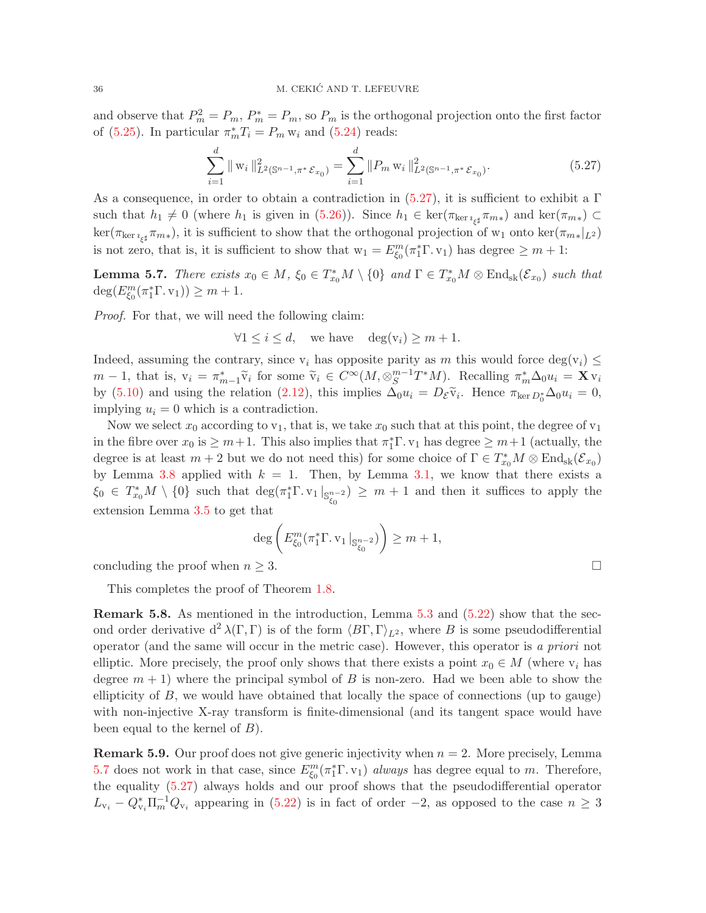and observe that  $P_m^2 = P_m$ ,  $P_m^* = P_m$ , so  $P_m$  is the orthogonal projection onto the first factor of [\(5.25\)](#page-34-3). In particular  $\pi_m^* T_i = P_m w_i$  and [\(5.24\)](#page-34-4) reads:

<span id="page-35-1"></span>
$$
\sum_{i=1}^{d} || \mathbf{w}_{i} ||_{L^{2}(\mathbb{S}^{n-1}, \pi^{*} \mathcal{E}_{x_{0}})}^{2} = \sum_{i=1}^{d} || P_{m} \mathbf{w}_{i} ||_{L^{2}(\mathbb{S}^{n-1}, \pi^{*} \mathcal{E}_{x_{0}})}^{2}.
$$
 (5.27)

As a consequence, in order to obtain a contradiction in [\(5.27\)](#page-35-1), it is sufficient to exhibit a  $\Gamma$ such that  $h_1 \neq 0$  (where  $h_1$  is given in [\(5.26\)](#page-34-5)). Since  $h_1 \in \text{ker}(\pi_{\text{ker }i_{\xi^\sharp}} \pi_{m*})$  and  $\text{ker}(\pi_{m*}) \subset$  $\ker(\pi_{\ker\imath_{\xi^\sharp}}\pi_{m*})$ , it is sufficient to show that the orthogonal projection of w<sub>1</sub> onto  $\ker(\pi_{m*}|_{L^2})$ is not zero, that is, it is sufficient to show that  $w_1 = E_{\xi_0}^m(\pi_1^* \Gamma, v_1)$  has degree  $\geq m+1$ :

<span id="page-35-2"></span>**Lemma 5.7.** There exists  $x_0 \in M$ ,  $\xi_0 \in T_{x_0}^*M \setminus \{0\}$  and  $\Gamma \in T_{x_0}^*M \otimes \text{End}_{sk}(\mathcal{E}_{x_0})$  such that  $\deg(E_{\xi_0}^m(\pi_1^*\Gamma.\,v_1)) \geq m+1.$ 

Proof. For that, we will need the following claim:

$$
\forall 1 \le i \le d, \quad \text{we have} \quad \deg(v_i) \ge m+1.
$$

Indeed, assuming the contrary, since  $v_i$  has opposite parity as m this would force deg( $v_i$ )  $\leq$  $m-1$ , that is,  $v_i = \pi_{m-1}^* \tilde{v}_i$  for some  $\tilde{v}_i \in C^\infty(M, \otimes_S^{m-1})$  ${}_{S}^{m-1}T^{*}M$ ). Recalling  $\pi_{m}^{*}\Delta_{0}u_{i} = \mathbf{X} \mathbf{v}_{i}$ by [\(5.10\)](#page-30-2) and using the relation  $(2.12)$ , this implies  $\Delta_0 u_i = D_{\mathcal{E}} \tilde{v}_i$ . Hence  $\pi_{\ker D_0^*} \Delta_0 u_i = 0$ , implying  $u_i = 0$  which is a contradiction.

Now we select  $x_0$  according to  $v_1$ , that is, we take  $x_0$  such that at this point, the degree of  $v_1$ in the fibre over  $x_0$  is  $\geq m+1$ . This also implies that  $\pi_1^*\Gamma$ .  $v_1$  has degree  $\geq m+1$  (actually, the degree is at least  $m+2$  but we do not need this) for some choice of  $\Gamma \in T^*_{x_0}M \otimes \text{End}_{\text{sk}}(\mathcal{E}_{x_0})$ by Lemma [3.8](#page-21-1) applied with  $k = 1$ . Then, by Lemma [3.1,](#page-16-4) we know that there exists a  $\xi_0 \in T_{x_0}^*M \setminus \{0\}$  such that  $\deg(\pi_1^*\Gamma \cdot v_1 \vert_{\mathbb{S}_{\xi_0}^{n-2}}) \geq m+1$  and then it suffices to apply the extension Lemma [3.5](#page-20-3) to get that

$$
\deg\left(E_{\xi_0}^m(\pi_1^*\Gamma.\,{\bf v}_1\,|_{\mathbb{S}_{\xi_0}^{n-2}})\right)\geq m+1,
$$

concluding the proof when  $n \geq 3$ .

This completes the proof of Theorem [1.8.](#page-7-1)

<span id="page-35-0"></span>Remark 5.8. As mentioned in the introduction, Lemma [5.3](#page-31-3) and [\(5.22\)](#page-34-0) show that the second order derivative  $d^2 \lambda(\Gamma, \Gamma)$  is of the form  $\langle B\Gamma, \Gamma \rangle_{L^2}$ , where B is some pseudodifferential operator (and the same will occur in the metric case). However, this operator is a priori not elliptic. More precisely, the proof only shows that there exists a point  $x_0 \in M$  (where  $v_i$  has degree  $m + 1$ ) where the principal symbol of B is non-zero. Had we been able to show the ellipticity of  $B$ , we would have obtained that locally the space of connections (up to gauge) with non-injective X-ray transform is finite-dimensional (and its tangent space would have been equal to the kernel of  $B$ ).

<span id="page-35-3"></span>**Remark 5.9.** Our proof does not give generic injectivity when  $n = 2$ . More precisely, Lemma [5.7](#page-35-2) does not work in that case, since  $E_{\xi_0}^m(\pi_1^*\Gamma.\nu_1)$  always has degree equal to m. Therefore, the equality [\(5.27\)](#page-35-1) always holds and our proof shows that the pseudodifferential operator  $L_{v_i} - Q_{v_i}^* \Pi_m^{-1} Q_{v_i}$  appearing in [\(5.22\)](#page-34-0) is in fact of order -2, as opposed to the case  $n \geq 3$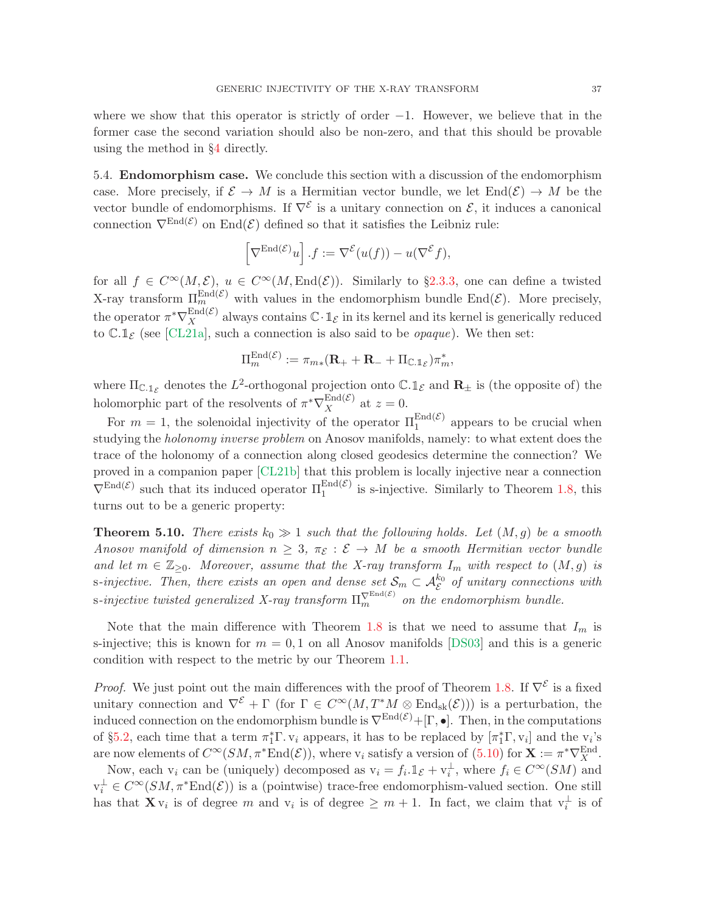where we show that this operator is strictly of order  $-1$ . However, we believe that in the former case the second variation should also be non-zero, and that this should be provable using the method in §[4](#page-22-0) directly.

5.4. Endomorphism case. We conclude this section with a discussion of the endomorphism case. More precisely, if  $\mathcal{E} \to M$  is a Hermitian vector bundle, we let  $\text{End}(\mathcal{E}) \to M$  be the vector bundle of endomorphisms. If  $\nabla^{\mathcal{E}}$  is a unitary connection on  $\mathcal{E}$ , it induces a canonical connection  $\nabla^{\text{End}(\mathcal{E})}$  on End $(\mathcal{E})$  defined so that it satisfies the Leibniz rule:

$$
\[\nabla^{\mathrm{End}(\mathcal{E})} u\] \cdot f := \nabla^{\mathcal{E}} (u(f)) - u(\nabla^{\mathcal{E}} f),\]
$$

for all  $f \in C^{\infty}(M,\mathcal{E}), u \in C^{\infty}(M,\text{End}(\mathcal{E}))$ . Similarly to §[2.3.3,](#page-15-0) one can define a twisted X-ray transform  $\Pi_{mn}^{End(\mathcal{E})}$  with values in the endomorphism bundle End $(\mathcal{E})$ . More precisely, the operator  $\pi^* \nabla_X^{\text{End}(\mathcal{E})}$  $X^{\text{End}(\mathcal{E})}$  always contains  $\mathbb{C} \cdot \mathbb{1}_{\mathcal{E}}$  in its kernel and its kernel is generically reduced to  $\mathbb{C}.1_{\mathcal{E}}$  (see [\[CL21a\]](#page-53-0), such a connection is also said to be *opaque*). We then set:

$$
\Pi_m^{\mathrm{End}(\mathcal{E})} := \pi_{m*}(\mathbf{R}_+ + \mathbf{R}_- + \Pi_{\mathbb{C}.\mathbb{1}_{\mathcal{E}}})\pi_m^*,
$$

where  $\Pi_{\mathbb{C},\mathbb{1}_{\mathcal{E}}}$  denotes the  $L^2$ -orthogonal projection onto  $\mathbb{C}.\mathbb{1}_{\mathcal{E}}$  and  $\mathbb{R}_\pm$  is (the opposite of) the holomorphic part of the resolvents of  $\pi^* \nabla_X^{\text{End}(\mathcal{E})}$  $X^{E[\text{ind}(c)]}$  at  $z=0$ .

For  $m = 1$ , the solenoidal injectivity of the operator  $\Pi_1^{\text{End}(\mathcal{E})}$  appears to be crucial when studying the holonomy inverse problem on Anosov manifolds, namely: to what extent does the trace of the holonomy of a connection along closed geodesics determine the connection? We proved in a companion paper [\[CL21b\]](#page-53-1) that this problem is locally injective near a connection  $\nabla^{\text{End}(\mathcal{E})}$  such that its induced operator  $\Pi_1^{\text{End}(\mathcal{E})}$  is s-injective. Similarly to Theorem [1.8,](#page-7-1) this turns out to be a generic property:

<span id="page-36-0"></span>**Theorem 5.10.** There exists  $k_0 \gg 1$  such that the following holds. Let  $(M, g)$  be a smooth Anosov manifold of dimension  $n \geq 3$ ,  $\pi_{\mathcal{E}} : \mathcal{E} \to M$  be a smooth Hermitian vector bundle and let  $m \in \mathbb{Z}_{\geq 0}$ . Moreover, assume that the X-ray transform  $I_m$  with respect to  $(M, g)$  is s-injective. Then, there exists an open and dense set  $S_m \subset \mathcal{A}_{\mathcal{E}}^{k_0}$  of unitary connections with s-injective twisted generalized X-ray transform  $\Pi_m^{\nabla^{\text{End}(\mathcal{E})}}$  on the endomorphism bundle.

Note that the main difference with Theorem [1.8](#page-7-1) is that we need to assume that  $I_m$  is s-injective; this is known for  $m = 0, 1$  on all Anosov manifolds [\[DS03\]](#page-54-3) and this is a generic condition with respect to the metric by our Theorem [1.1.](#page-2-2)

*Proof.* We just point out the main differences with the proof of Theorem [1.8.](#page-7-1) If  $\nabla^{\mathcal{E}}$  is a fixed unitary connection and  $\nabla^{\mathcal{E}} + \Gamma$  (for  $\Gamma \in C^{\infty}(M, T^{*}M \otimes \text{End}_{sk}(\mathcal{E}))$ ) is a perturbation, the induced connection on the endomorphism bundle is  $\nabla^{\text{End}(\mathcal{E})} + [\Gamma, \bullet]$ . Then, in the computations of §[5.2,](#page-30-3) each time that a term  $\pi_1^* \Gamma$ .  $v_i$  appears, it has to be replaced by  $[\pi_1^* \Gamma, v_i]$  and the  $v_i$ 's are now elements of  $C^{\infty}(SM, \pi^*End(\mathcal{E}))$ , where  $v_i$  satisfy a version of  $(5.10)$  for  $\mathbf{X} := \pi^* \nabla_X^{\text{End}}$ .

Now, each  $v_i$  can be (uniquely) decomposed as  $v_i = f_i \mathbb{1}_{\mathcal{E}} + v_i^{\perp}$ , where  $f_i \in C^{\infty}(SM)$  and  $v_i^{\perp} \in C^{\infty}(SM, \pi^*End(\mathcal{E}))$  is a (pointwise) trace-free endomorphism-valued section. One still has that  $\mathbf{X} \mathbf{v}_i$  is of degree m and  $\mathbf{v}_i$  is of degree  $\geq m+1$ . In fact, we claim that  $\mathbf{v}_i^{\perp}$  is of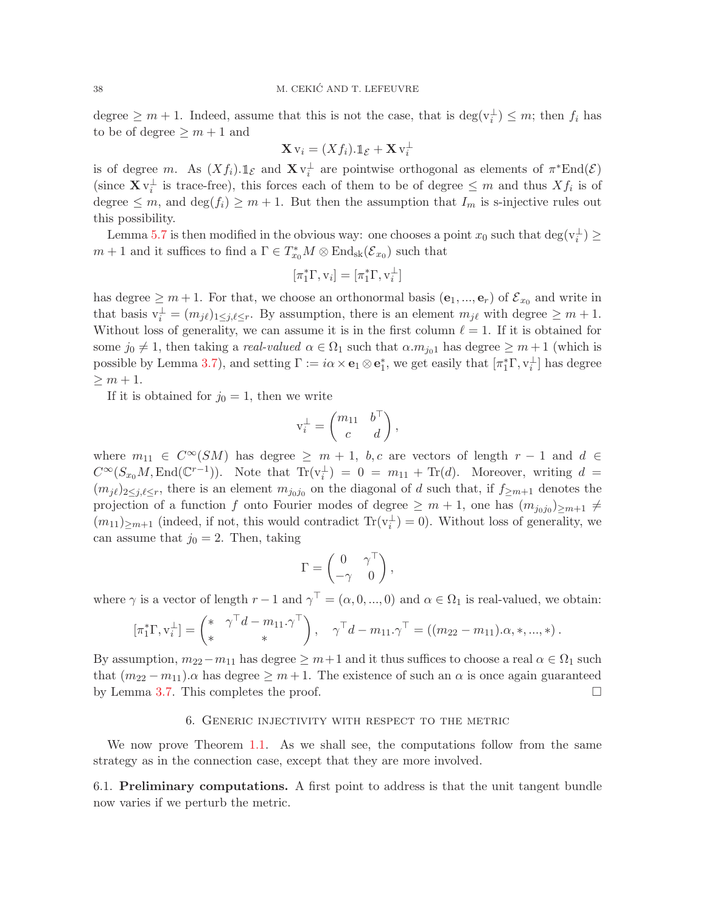degree  $\geq m+1$ . Indeed, assume that this is not the case, that is  $\deg(\mathbf{v}_i^{\perp}) \leq m$ ; then  $f_i$  has to be of degree  $\geq m+1$  and

$$
\mathbf{X}\,\mathrm{v}_i=(Xf_i).\mathbb{1}_{\mathcal{E}}+\mathbf{X}\,\mathrm{v}_i^{\perp}
$$

is of degree m. As  $(Xf_i) \text{.} \mathbb{1}_{\mathcal{E}}$  and  $\mathbf{X} \mathsf{v}_i^{\perp}$  are pointwise orthogonal as elements of  $\pi^* \text{End}(\mathcal{E})$ (since  $\mathbf{X} \mathbf{v}_i^{\perp}$  is trace-free), this forces each of them to be of degree  $\leq m$  and thus  $X f_i$  is of degree  $\leq m$ , and  $\deg(f_i) \geq m+1$ . But then the assumption that  $I_m$  is s-injective rules out this possibility.

Lemma [5.7](#page-35-2) is then modified in the obvious way: one chooses a point  $x_0$  such that  $\deg(\mathbf{v}_i^{\perp}) \ge$  $m + 1$  and it suffices to find a  $\Gamma \in T_{x_0}^*M \otimes \text{End}_{\text{sk}}(\mathcal{E}_{x_0})$  such that

$$
[\pi_1^*\Gamma, \mathrm{v}_i] = [\pi_1^*\Gamma, \mathrm{v}_i^{\perp}]
$$

has degree  $\geq m+1$ . For that, we choose an orthonormal basis  $(e_1, ..., e_r)$  of  $\mathcal{E}_{x_0}$  and write in that basis  $v_i^{\perp} = (m_{j\ell})_{1 \leq j,\ell \leq r}$ . By assumption, there is an element  $m_{j\ell}$  with degree  $\geq m+1$ . Without loss of generality, we can assume it is in the first column  $\ell = 1$ . If it is obtained for some  $j_0 \neq 1$ , then taking a *real-valued*  $\alpha \in \Omega_1$  such that  $\alpha.m_{j_01}$  has degree  $\geq m+1$  (which is possible by Lemma [3.7\)](#page-21-2), and setting  $\Gamma := i\alpha \times \mathbf{e}_1 \otimes \mathbf{e}_1^*$ , we get easily that  $[\pi_1^*\Gamma, \nu_i^{\perp}]$  has degree  $\geq m+1$ .

If it is obtained for  $j_0 = 1$ , then we write

$$
\mathbf{v}_i^{\perp} = \begin{pmatrix} m_{11} & b^{\top} \\ c & d \end{pmatrix},
$$

where  $m_{11} \in C^{\infty}(SM)$  has degree  $\geq m+1$ , b, c are vectors of length  $r-1$  and  $d \in$  $C^{\infty}(S_{x_0}M, \text{End}(\mathbb{C}^{r-1}))$ . Note that  $\text{Tr}(v_i^{\perp}) = 0 = m_{11} + \text{Tr}(d)$ . Moreover, writing  $d =$  $(m_{j\ell})_{2\leq j,\ell\leq r}$ , there is an element  $m_{j_0j_0}$  on the diagonal of d such that, if  $f_{\geq m+1}$  denotes the projection of a function f onto Fourier modes of degree  $\geq m+1$ , one has  $(m_{j_0j_0})_{\geq m+1} \neq$  $(m_{11})_{\geq m+1}$  (indeed, if not, this would contradict  $\text{Tr}(v_i^{\perp}) = 0$ ). Without loss of generality, we can assume that  $j_0 = 2$ . Then, taking

$$
\Gamma = \begin{pmatrix} 0 & \gamma^\top \\ -\gamma & 0 \end{pmatrix},
$$

where  $\gamma$  is a vector of length  $r-1$  and  $\gamma^{\top} = (\alpha, 0, ..., 0)$  and  $\alpha \in \Omega_1$  is real-valued, we obtain:

$$
[\pi_1^* \Gamma, v_i^{\perp}] = \begin{pmatrix} * & \gamma^{\top} d - m_{11} \cdot \gamma^{\top} \\ * & * \end{pmatrix}, \quad \gamma^{\top} d - m_{11} \cdot \gamma^{\top} = ((m_{22} - m_{11}) \cdot \alpha, *, ..., *)
$$

By assumption,  $m_{22}-m_{11}$  has degree  $\geq m+1$  and it thus suffices to choose a real  $\alpha \in \Omega_1$  such that  $(m_{22} - m_{11}) \alpha$  has degree  $\geq m + 1$ . The existence of such an  $\alpha$  is once again guaranteed by Lemma 3.7. This completes the proof. by Lemma [3.7.](#page-21-2) This completes the proof.

#### 6. Generic injectivity with respect to the metric

<span id="page-37-0"></span>We now prove Theorem [1.1.](#page-2-2) As we shall see, the computations follow from the same strategy as in the connection case, except that they are more involved.

6.1. Preliminary computations. A first point to address is that the unit tangent bundle now varies if we perturb the metric.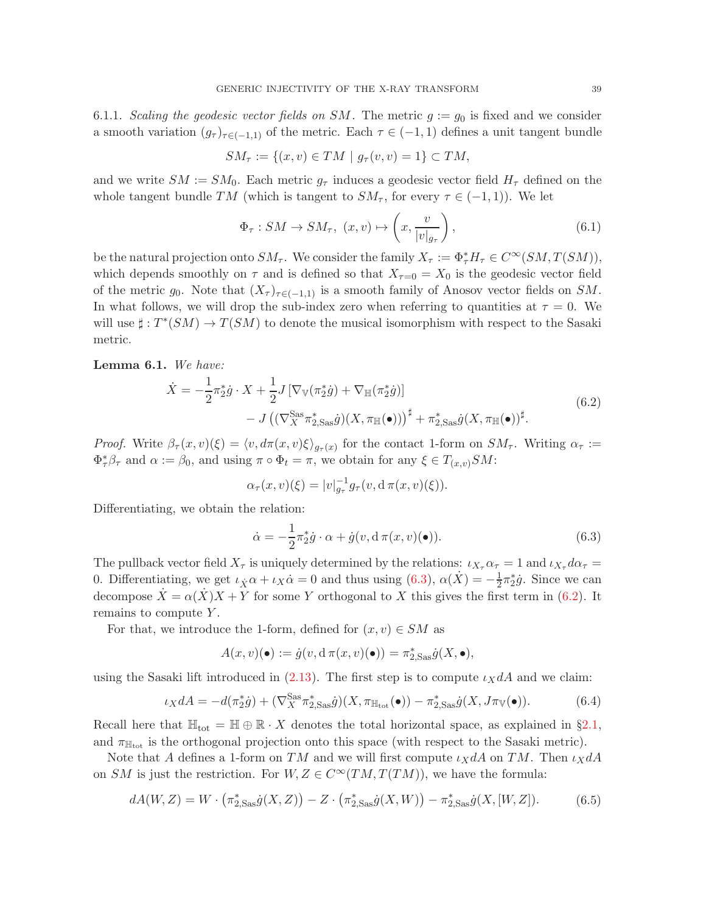6.1.1. Scaling the geodesic vector fields on SM. The metric  $g := g_0$  is fixed and we consider a smooth variation  $(g_{\tau})_{\tau \in (-1,1)}$  of the metric. Each  $\tau \in (-1,1)$  defines a unit tangent bundle

$$
SM_{\tau} := \{(x, v) \in TM \mid g_{\tau}(v, v) = 1\} \subset TM,
$$

and we write  $SM := SM_0$ . Each metric  $g_\tau$  induces a geodesic vector field  $H_\tau$  defined on the whole tangent bundle TM (which is tangent to  $SM_{\tau}$ , for every  $\tau \in (-1,1)$ ). We let

$$
\Phi_{\tau}: SM \to SM_{\tau}, \ (x, v) \mapsto \left(x, \frac{v}{|v|_{g_{\tau}}}\right), \tag{6.1}
$$

be the natural projection onto  $SM_{\tau}$ . We consider the family  $X_{\tau} := \Phi_{\tau}^* H_{\tau} \in C^{\infty}(SM, T(SM)),$ which depends smoothly on  $\tau$  and is defined so that  $X_{\tau=0} = X_0$  is the geodesic vector field of the metric  $g_0$ . Note that  $(X_\tau)_{\tau \in (-1,1)}$  is a smooth family of Anosov vector fields on SM. In what follows, we will drop the sub-index zero when referring to quantities at  $\tau = 0$ . We will use  $\sharp : T^*(SM) \to T(SM)$  to denote the musical isomorphism with respect to the Sasaki metric.

<span id="page-38-1"></span>Lemma 6.1. We have:

$$
\dot{X} = -\frac{1}{2}\pi_2^* \dot{g} \cdot X + \frac{1}{2}J\left[\nabla_{\mathbb{V}}(\pi_2^* \dot{g}) + \nabla_{\mathbb{H}}(\pi_2^* \dot{g})\right] \n- J\left((\nabla_X^{\text{Sas}} \pi_{2,\text{Sas}}^* \dot{g})(X, \pi_{\mathbb{H}}(\bullet))\right)^{\sharp} + \pi_{2,\text{Sas}}^* \dot{g}(X, \pi_{\mathbb{H}}(\bullet))^{\sharp}.
$$
\n(6.2)

*Proof.* Write  $\beta_{\tau}(x,v)(\xi) = \langle v, d\pi(x,v)\xi \rangle_{g_{\tau}(x)}$  for the contact 1-form on  $SM_{\tau}$ . Writing  $\alpha_{\tau} :=$  $\Phi^*_{\tau}\beta_{\tau}$  and  $\alpha := \beta_0$ , and using  $\pi \circ \Phi_t = \pi$ , we obtain for any  $\xi \in T_{(x,v)}SM$ :

$$
\alpha_{\tau}(x,v)(\xi) = |v|_{g_{\tau}}^{-1} g_{\tau}(v, d \pi(x,v)(\xi)).
$$

Differentiating, we obtain the relation:

<span id="page-38-0"></span>
$$
\dot{\alpha} = -\frac{1}{2}\pi_{2}^{*}\dot{g} \cdot \alpha + \dot{g}(v, d\pi(x, v)(\bullet)).
$$
\n(6.3)

The pullback vector field  $X_\tau$  is uniquely determined by the relations:  $\iota_{X_\tau} \alpha_\tau = 1$  and  $\iota_{X_\tau} d\alpha_\tau =$ 0. Differentiating, we get  $\iota_X \alpha + \iota_X \dot{\alpha} = 0$  and thus using  $(6.3)$ ,  $\alpha(\dot{X}) = -\frac{1}{2}$  $\frac{1}{2}\pi_2^*\dot{g}$ . Since we can decompose  $X = \alpha(X)X + Y$  for some Y orthogonal to X this gives the first term in [\(6.2\)](#page-38-1). It remains to compute Y.

For that, we introduce the 1-form, defined for  $(x, v) \in SM$  as

$$
A(x,v)(\bullet) := \dot{g}(v, d\,\pi(x,v)(\bullet)) = \pi_{2,\text{Sas}}^* \dot{g}(X,\bullet),
$$

using the Sasaki lift introduced in [\(2.13\)](#page-13-2). The first step is to compute  $\iota_X dA$  and we claim:

<span id="page-38-3"></span>
$$
\iota_X dA = -d(\pi_2^* \dot{g}) + (\nabla_X^{\text{Sas}} \pi_{2,\text{Sas}}^* \dot{g})(X, \pi_{\mathbb{H}_{\text{tot}}}(\bullet)) - \pi_{2,\text{Sas}}^* \dot{g}(X, J\pi_{\mathbb{V}}(\bullet)).\tag{6.4}
$$

Recall here that  $\mathbb{H}_{\text{tot}} = \mathbb{H} \oplus \mathbb{R} \cdot X$  denotes the total horizontal space, as explained in §[2.1,](#page-9-2) and  $\pi_{\mathbb{H}_{tot}}$  is the orthogonal projection onto this space (with respect to the Sasaki metric).

Note that A defines a 1-form on TM and we will first compute  $\iota_X dA$  on TM. Then  $\iota_X dA$ on SM is just the restriction. For  $W, Z \in C^{\infty}(TM, T(TM))$ , we have the formula:

<span id="page-38-2"></span>
$$
dA(W,Z) = W \cdot (\pi_{2,Sas}^* \dot{g}(X,Z)) - Z \cdot (\pi_{2,Sas}^* \dot{g}(X,W)) - \pi_{2,Sas}^* \dot{g}(X,[W,Z]).
$$
 (6.5)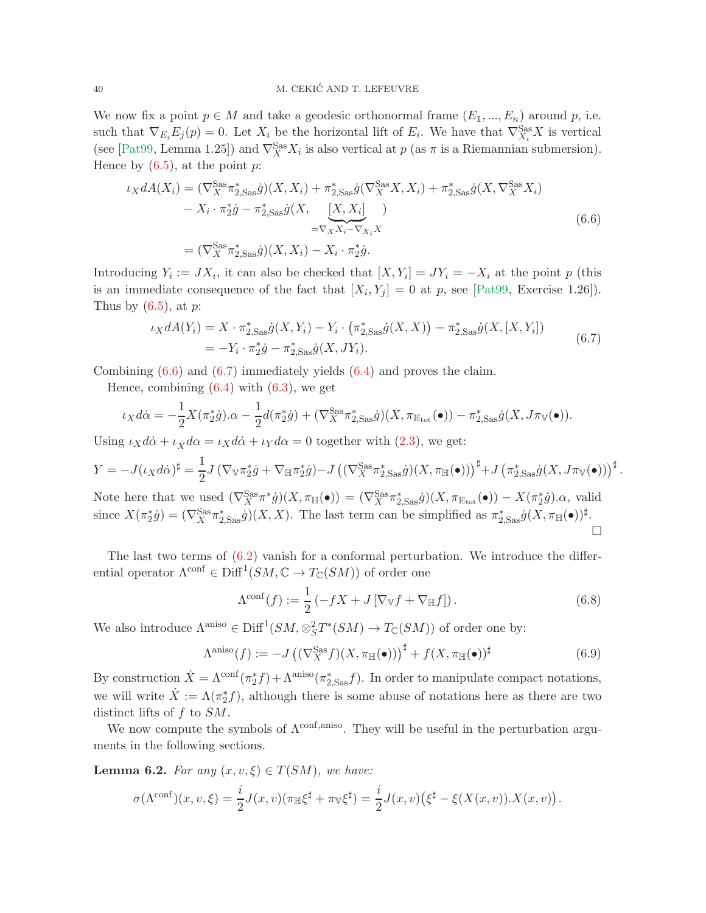We now fix a point  $p \in M$  and take a geodesic orthonormal frame  $(E_1, ..., E_n)$  around p, i.e. such that  $\nabla_{E_i} E_j(p) = 0$ . Let  $X_i$  be the horizontal lift of  $E_i$ . We have that  $\nabla_{X_i}^{\text{Sas}} X$  is vertical (see [\[Pat99,](#page-55-20) Lemma 1.25]) and  $\nabla_X^{\text{Sas}} X_i$  is also vertical at  $p$  (as  $\pi$  is a Riemannian submersion). Hence by  $(6.5)$ , at the point p:

<span id="page-39-0"></span>
$$
\iota_X dA(X_i) = (\nabla_X^{\text{Sas}} \pi_{2,\text{Sas}}^* \dot{g})(X, X_i) + \pi_{2,\text{Sas}}^* \dot{g}(\nabla_X^{\text{Sas}} X, X_i) + \pi_{2,\text{Sas}}^* \dot{g}(X, \nabla_X^{\text{Sas}} X_i) \n- X_i \cdot \pi_2^* \dot{g} - \pi_{2,\text{Sas}}^* \dot{g}(X, \underbrace{[X, X_i]}_{= \nabla_X X_i - \nabla_{X_i} X} ) \n= (\nabla_X^{\text{Sas}} \pi_{2,\text{Sas}}^* \dot{g})(X, X_i) - X_i \cdot \pi_2^* \dot{g}.
$$
\n(6.6)

Introducing  $Y_i := JX_i$ , it can also be checked that  $[X, Y_i] = JY_i = -X_i$  at the point p (this is an immediate consequence of the fact that  $[X_i, Y_j] = 0$  at p, see [\[Pat99,](#page-55-20) Exercise 1.26]). Thus by  $(6.5)$ , at p:

$$
\iota_X dA(Y_i) = X \cdot \pi_{2,Sas}^* \dot{g}(X, Y_i) - Y_i \cdot (\pi_{2,Sas}^* \dot{g}(X, X)) - \pi_{2,Sas}^* \dot{g}(X, [X, Y_i])
$$
  
=  $-Y_i \cdot \pi_2^* \dot{g} - \pi_{2,Sas}^* \dot{g}(X, JY_i).$  (6.7)

<span id="page-39-1"></span>Combining [\(6.6\)](#page-39-0) and [\(6.7\)](#page-39-1) immediately yields [\(6.4\)](#page-38-3) and proves the claim.

Hence, combining  $(6.4)$  with  $(6.3)$ , we get

$$
\iota_X d\dot{\alpha} = -\frac{1}{2} X(\pi_2^* \dot{g}) \cdot \alpha - \frac{1}{2} d(\pi_2^* \dot{g}) + (\nabla_X^{\text{Sas}} \pi_{2,\text{Sas}}^* \dot{g}) (X, \pi_{\mathbb{H}_{\text{tot}}}(\bullet)) - \pi_{2,\text{Sas}}^* \dot{g} (X, J\pi_{\mathbb{V}}(\bullet)).
$$

Using  $\iota_X d\dot{\alpha} + \iota_{\dot{X}} d\alpha = \iota_X d\dot{\alpha} + \iota_Y d\alpha = 0$  together with [\(2.3\)](#page-10-3), we get:

$$
Y = -J(\iota_X d\dot{\alpha})^{\sharp} = \frac{1}{2}J\left(\nabla_{\mathbb{V}} \pi_2^* \dot{g} + \nabla_{\mathbb{H}} \pi_2^* \dot{g}\right) - J\left((\nabla_X^{\text{Sas}} \pi_{2,\text{Sas}}^* \dot{g})(X, \pi_{\mathbb{H}}(\bullet))\right)^{\sharp} + J\left(\pi_{2,\text{Sas}}^* \dot{g}(X, J\pi_{\mathbb{V}}(\bullet))\right)^{\sharp}.
$$

Note here that we used  $(\nabla_X^{\text{Sas}} \pi^* \dot{g})(X, \pi_{\mathbb{H}}(\bullet)) = (\nabla_X^{\text{Sas}} \pi^*_{2, \text{Sas}} \dot{g})(X, \pi_{\mathbb{H}_{\text{tot}}}(\bullet)) - X(\pi_2^* \dot{g}) \alpha$ , valid since  $X(\pi_2^* \dot{g}) = (\nabla_X^{\text{Sas}} \pi_{2,\text{Sas}}^* \dot{g})(X,X)$ . The last term can be simplified as  $\pi_{2,\text{Sas}}^* \dot{g}(X,\pi_{\mathbb{H}}(\bullet))^{\sharp}$ .  $\Box$ 

The last two terms of  $(6.2)$  vanish for a conformal perturbation. We introduce the differential operator  $\Lambda^{\text{conf}} \in \text{Diff}^1(SM, \mathbb{C} \to T_{\mathbb{C}}(SM))$  of order one

<span id="page-39-2"></span>
$$
\Lambda^{\text{conf}}(f) := \frac{1}{2} \left( -fX + J \left[ \nabla_{\mathbb{V}} f + \nabla_{\mathbb{H}} f \right] \right). \tag{6.8}
$$

We also introduce  $\Lambda^{\text{aniso}} \in \text{Diff}^1(SM, \otimes_S^2 T^*(SM) \to T_{\mathbb{C}}(SM))$  of order one by:

<span id="page-39-3"></span>
$$
\Lambda^{\text{aniso}}(f) := -J\left( (\nabla_X^{\text{Sas}} f)(X, \pi_{\mathbb{H}}(\bullet)) \right)^{\sharp} + f(X, \pi_{\mathbb{H}}(\bullet))^{\sharp}
$$
\n(6.9)

By construction  $\dot{X} = \Lambda^{\text{conf}}(\pi_2^* f) + \Lambda^{\text{aniso}}(\pi_{2,\text{Sas}}^* f)$ . In order to manipulate compact notations, we will write  $\dot{X} := \Lambda(\pi_2^* f)$ , although there is some abuse of notations here as there are two distinct lifts of f to SM.

We now compute the symbols of  $\Lambda^{\text{conf},\text{aniso}}$ . They will be useful in the perturbation arguments in the following sections.

<span id="page-39-4"></span>**Lemma 6.2.** For any  $(x, v, \xi) \in T(SM)$ , we have:

$$
\sigma(\Lambda^{\text{conf}})(x,v,\xi) = \frac{i}{2}J(x,v)(\pi_{\mathbb{H}}\xi^{\sharp} + \pi_{\mathbb{V}}\xi^{\sharp}) = \frac{i}{2}J(x,v)\left(\xi^{\sharp} - \xi(X(x,v)).X(x,v)\right).
$$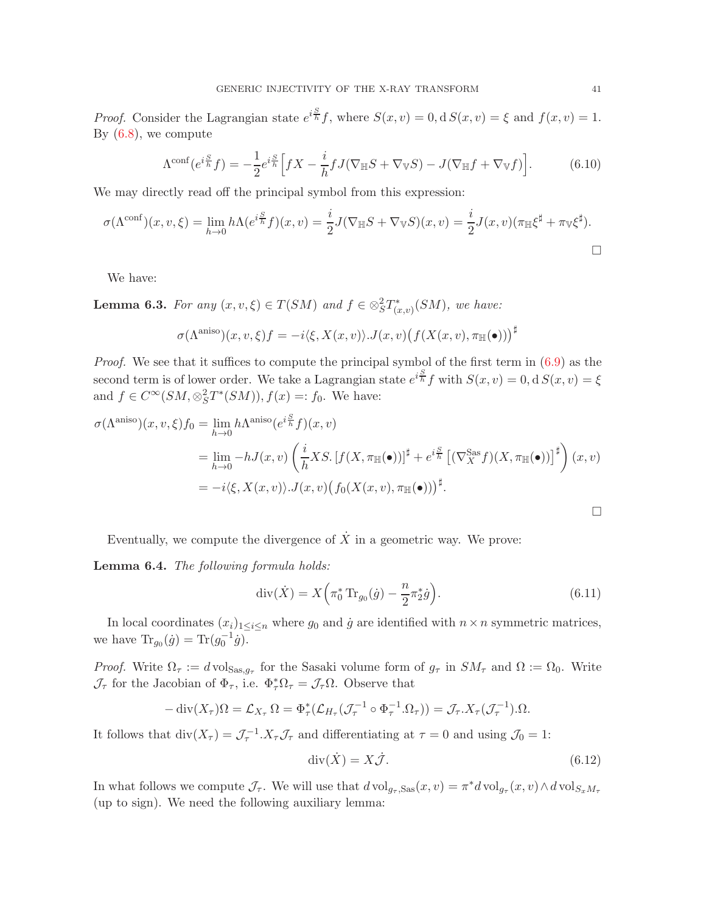*Proof.* Consider the Lagrangian state  $e^{i\frac{S}{h}}f$ , where  $S(x, v) = 0$ ,  $dS(x, v) = \xi$  and  $f(x, v) = 1$ . By [\(6.8\)](#page-39-2), we compute

$$
\Lambda^{\text{conf}}(e^{i\frac{S}{h}}f) = -\frac{1}{2}e^{i\frac{S}{h}}\Big[fX - \frac{i}{h}fJ(\nabla_{\mathbb{H}}S + \nabla_{\mathbb{V}}S) - J(\nabla_{\mathbb{H}}f + \nabla_{\mathbb{V}}f)\Big].\tag{6.10}
$$

We may directly read off the principal symbol from this expression:

$$
\sigma(\Lambda^{\text{conf}})(x,v,\xi) = \lim_{h \to 0} h\Lambda(e^{i\frac{S}{h}}f)(x,v) = \frac{i}{2}J(\nabla_{\mathbb{H}}S + \nabla_{\mathbb{V}}S)(x,v) = \frac{i}{2}J(x,v)(\pi_{\mathbb{H}}\xi^{\sharp} + \pi_{\mathbb{V}}\xi^{\sharp}).
$$

We have:

<span id="page-40-2"></span>**Lemma 6.3.** For any  $(x, v, \xi) \in T(SM)$  and  $f \in \otimes_S^2 T^*_{(x,v)}(SM)$ , we have:

$$
\sigma(\Lambda^{\text{aniso}})(x, v, \xi)f = -i\langle \xi, X(x, v) \rangle \cdot J(x, v) \big(f(X(x, v), \pi_{\mathbb{H}}(\bullet))\big)^{\sharp}
$$

Proof. We see that it suffices to compute the principal symbol of the first term in  $(6.9)$  as the second term is of lower order. We take a Lagrangian state  $e^{i\frac{S}{h}}f$  with  $S(x, v) = 0$ , d  $S(x, v) = \xi$ and  $f \in C^{\infty}(SM, \otimes_S^2 T^*(SM)), f(x) =: f_0$ . We have:

$$
\sigma(\Lambda^{\text{aniso}})(x, v, \xi) f_0 = \lim_{h \to 0} h \Lambda^{\text{aniso}}(e^{i\frac{S}{h}} f)(x, v)
$$
  
\n
$$
= \lim_{h \to 0} -h J(x, v) \left(\frac{i}{h} X S \cdot [f(X, \pi_{\mathbb{H}}(\bullet))]^{\sharp} + e^{i\frac{S}{h}} \left[ (\nabla_{X}^{\text{Sas}} f)(X, \pi_{\mathbb{H}}(\bullet)) \right]^{\sharp} \right) (x, v)
$$
  
\n
$$
= -i \langle \xi, X(x, v) \rangle . J(x, v) \left(f_0(X(x, v), \pi_{\mathbb{H}}(\bullet)) \right)^{\sharp}.
$$

Eventually, we compute the divergence of  $\dot{X}$  in a geometric way. We prove:

<span id="page-40-3"></span>Lemma 6.4. The following formula holds:

<span id="page-40-1"></span>
$$
\operatorname{div}(\dot{X}) = X \left( \pi_0^* \operatorname{Tr}_{g_0}(\dot{g}) - \frac{n}{2} \pi_2^* \dot{g} \right). \tag{6.11}
$$

In local coordinates  $(x_i)_{1 \leq i \leq n}$  where  $g_0$  and  $\dot{g}$  are identified with  $n \times n$  symmetric matrices, we have  $\text{Tr}_{g_0}(\dot{g}) = \text{Tr}(g_0^{-1}\dot{g}).$ 

*Proof.* Write  $\Omega_{\tau} := d \text{ vol}_{\text{Sas},g_{\tau}}$  for the Sasaki volume form of  $g_{\tau}$  in  $SM_{\tau}$  and  $\Omega := \Omega_0$ . Write  $\mathcal{J}_{\tau}$  for the Jacobian of  $\Phi_{\tau}$ , i.e.  $\Phi_{\tau}^* \Omega_{\tau} = \mathcal{J}_{\tau} \Omega$ . Observe that

$$
-\operatorname{div}(X_{\tau})\Omega = \mathcal{L}_{X_{\tau}}\Omega = \Phi_{\tau}^{*}(\mathcal{L}_{H_{\tau}}(\mathcal{J}_{\tau}^{-1} \circ \Phi_{\tau}^{-1}.\Omega_{\tau})) = \mathcal{J}_{\tau}.X_{\tau}(\mathcal{J}_{\tau}^{-1}).\Omega.
$$

It follows that  $\text{div}(X_{\tau}) = \mathcal{J}_{\tau}^{-1} \cdot X_{\tau} \mathcal{J}_{\tau}$  and differentiating at  $\tau = 0$  and using  $\mathcal{J}_{0} = 1$ :

<span id="page-40-0"></span>
$$
\operatorname{div}(\dot{X}) = X\dot{\mathcal{J}}.\tag{6.12}
$$

In what follows we compute  $\mathcal{J}_{\tau}$ . We will use that  $d \text{vol}_{g_{\tau},Sas}(x,v) = \pi^* d \text{vol}_{g_{\tau}}(x,v) \wedge d \text{vol}_{S_x M_{\tau}}$ (up to sign). We need the following auxiliary lemma: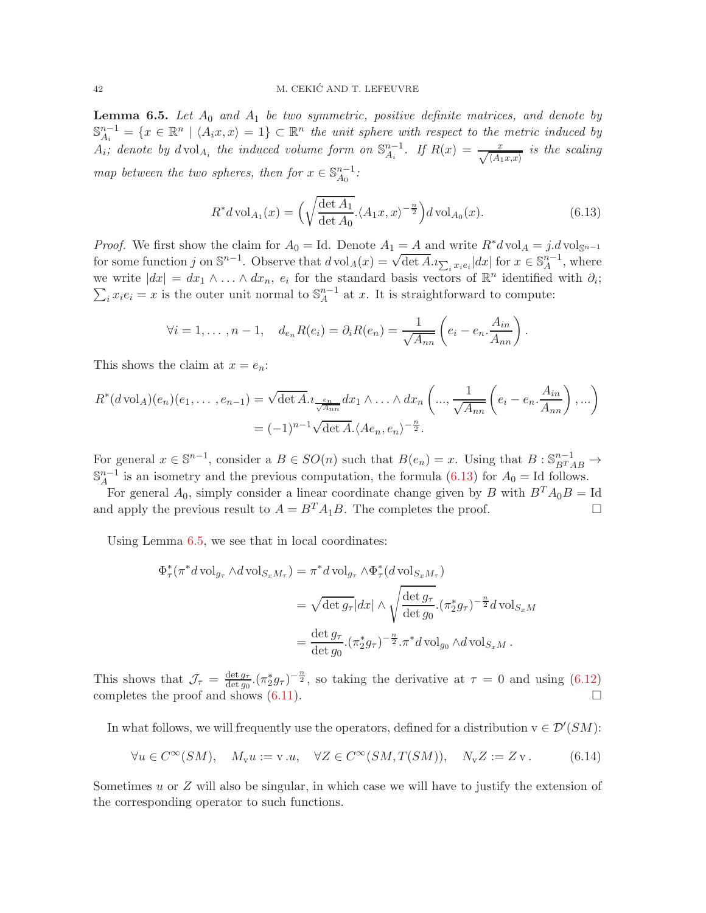<span id="page-41-1"></span>**Lemma 6.5.** Let  $A_0$  and  $A_1$  be two symmetric, positive definite matrices, and denote by  $\mathbb{S}^{n-1}$  $A_i^{n-1} = \{x \in \mathbb{R}^n \mid \langle A_i x, x \rangle = 1\} \subset \mathbb{R}^n$  the unit sphere with respect to the metric induced by  $A_i$ ; denote by  $dvol_{A_i}$  the induced volume form on  $\mathbb{S}_{A_i}^{n-1}$  $\frac{n-1}{A_i}$ . If  $R(x) = \frac{x}{\sqrt{\langle A_1x,x \rangle}}$  is the scaling map between the two spheres, then for  $x \in \mathbb{S}_{A_0}^{n-1}$  $\frac{n-1}{A_0}$ :

<span id="page-41-0"></span>
$$
R^*d\operatorname{vol}_{A_1}(x) = \left(\sqrt{\frac{\det A_1}{\det A_0}} \cdot \langle A_1 x, x \rangle^{-\frac{n}{2}}\right) d\operatorname{vol}_{A_0}(x). \tag{6.13}
$$

*Proof.* We first show the claim for  $A_0 = \text{Id}$ . Denote  $A_1 = A$  and write  $R^*d \text{vol}_A = j.d \text{vol}_{\mathbb{S}^{n-1}}$ for some function j on  $\mathbb{S}^{n-1}$ . Observe that  $d \text{vol}_A(x) = \sqrt{\det A} \cdot i \sum_i x_i e_i |dx|$  for  $x \in \mathbb{S}^{n-1}_A$ .  $_{A}^{n-1}$ , where we write  $|dx| = dx_1 \wedge \ldots \wedge dx_n$ ,  $e_i$  for the standard basis vectors of  $\mathbb{R}^n$  identified with  $\partial_i$ ;  $\sum_i x_i e_i = x$  is the outer unit normal to  $\mathbb{S}_A^{n-1}$  $_{A}^{n-1}$  at x. It is straightforward to compute:

$$
\forall i = 1, \ldots, n-1, \quad d_{e_n}R(e_i) = \partial_i R(e_n) = \frac{1}{\sqrt{A_{nn}}} \left( e_i - e_n \cdot \frac{A_{in}}{A_{nn}} \right).
$$

This shows the claim at  $x = e_n$ :

$$
R^*(d\operatorname{vol}_A)(e_n)(e_1,\ldots,e_{n-1}) = \sqrt{\det A} \cdot \frac{e_n}{\sqrt{A_{nn}}} dx_1 \wedge \ldots \wedge dx_n \left(\ldots, \frac{1}{\sqrt{A_{nn}}} \left(e_i - e_n \cdot \frac{A_{in}}{A_{nn}}\right),\ldots\right)
$$

$$
= (-1)^{n-1} \sqrt{\det A} \cdot \langle Ae_n, e_n \rangle^{-\frac{n}{2}}.
$$

For general  $x \in \mathbb{S}^{n-1}$ , consider a  $B \in SO(n)$  such that  $B(e_n) = x$ . Using that  $B: \mathbb{S}^{n-1}_{B^TAB} \to$  $\mathbb{S}^{n-1}$  $_A^{n-1}$  is an isometry and the previous computation, the formula [\(6.13\)](#page-41-0) for  $A_0 = Id$  follows.

For general  $A_0$ , simply consider a linear coordinate change given by B with  $B^T A_0 B = \text{Id}$ and apply the previous result to  $A = B^T A_1 B$ . The completes the proof.

Using Lemma [6.5,](#page-41-1) we see that in local coordinates:

$$
\Phi_{\tau}^*(\pi^* d \operatorname{vol}_{g_{\tau}} \wedge d \operatorname{vol}_{S_x M_{\tau}}) = \pi^* d \operatorname{vol}_{g_{\tau}} \wedge \Phi_{\tau}^*(d \operatorname{vol}_{S_x M_{\tau}})
$$
  
\n
$$
= \sqrt{\det g_{\tau}} |dx| \wedge \sqrt{\frac{\det g_{\tau}}{\det g_0}} . (\pi_2^* g_{\tau})^{-\frac{n}{2}} d \operatorname{vol}_{S_x M}
$$
  
\n
$$
= \frac{\det g_{\tau}}{\det g_0} . (\pi_2^* g_{\tau})^{-\frac{n}{2}} . \pi^* d \operatorname{vol}_{g_0} \wedge d \operatorname{vol}_{S_x M} .
$$

This shows that  $\mathcal{J}_{\tau} = \frac{\det g_{\tau}}{\det g_0}$  $\frac{\det g_{\tau}}{\det g_0}$ .  $(\pi_2^* g_{\tau})^{-\frac{n}{2}}$ , so taking the derivative at  $\tau = 0$  and using  $(6.12)$ completes the proof and shows [\(6.11\)](#page-40-1).

In what follows, we will frequently use the operators, defined for a distribution  $v \in \mathcal{D}'(SM)$ :

<span id="page-41-2"></span>
$$
\forall u \in C^{\infty}(SM), \quad M_{\mathbf{v}}u := \mathbf{v} \cdot u, \quad \forall Z \in C^{\infty}(SM, T(SM)), \quad N_{\mathbf{v}}Z := Z\mathbf{v}. \tag{6.14}
$$

Sometimes  $u$  or  $Z$  will also be singular, in which case we will have to justify the extension of the corresponding operator to such functions.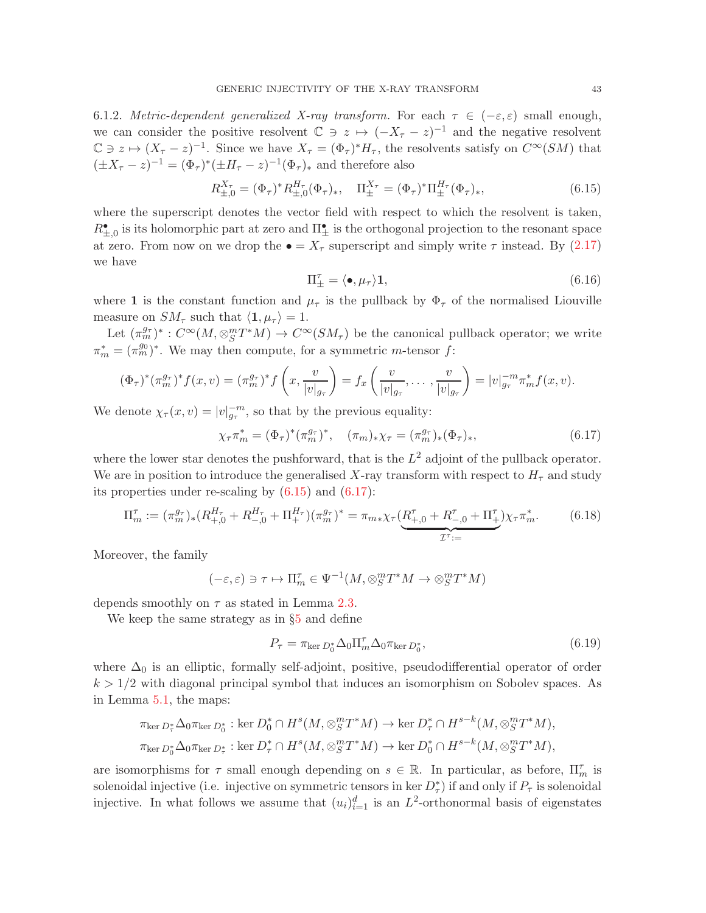6.1.2. Metric-dependent generalized X-ray transform. For each  $\tau \in (-\varepsilon, \varepsilon)$  small enough, we can consider the positive resolvent  $\mathbb{C} \ni z \mapsto (-X_{\tau} - z)^{-1}$  and the negative resolvent  $\mathbb{C} \ni z \mapsto (X_{\tau} - z)^{-1}$ . Since we have  $X_{\tau} = (\Phi_{\tau})^* H_{\tau}$ , the resolvents satisfy on  $C^{\infty}(SM)$  that  $(\pm X_{\tau} - z)^{-1} = (\Phi_{\tau})^*(\pm H_{\tau} - z)^{-1}(\Phi_{\tau})_*$  and therefore also

<span id="page-42-0"></span>
$$
R_{\pm,0}^{X_{\tau}} = (\Phi_{\tau})^* R_{\pm,0}^{H_{\tau}} (\Phi_{\tau})_*, \quad \Pi_{\pm}^{X_{\tau}} = (\Phi_{\tau})^* \Pi_{\pm}^{H_{\tau}} (\Phi_{\tau})_*, \tag{6.15}
$$

where the superscript denotes the vector field with respect to which the resolvent is taken,  $R_{\pm,0}^{\bullet}$  is its holomorphic part at zero and  $\Pi_{\pm}^{\bullet}$  is the orthogonal projection to the resonant space at zero. From now on we drop the  $\bullet = X_\tau$  superscript and simply write  $\tau$  instead. By [\(2.17\)](#page-14-3) we have

<span id="page-42-2"></span>
$$
\Pi_{\pm}^{\tau} = \langle \bullet, \mu_{\tau} \rangle \mathbf{1},\tag{6.16}
$$

where 1 is the constant function and  $\mu_{\tau}$  is the pullback by  $\Phi_{\tau}$  of the normalised Liouville measure on  $SM_\tau$  such that  $\langle 1, \mu_\tau \rangle = 1$ .

Let  $(\pi_m^{g_{\tau}})^* : C^{\infty}(M, \otimes_S^m T^*M) \to C^{\infty}(SM_{\tau})$  be the canonical pullback operator; we write  $\pi_m^* = (\pi_m^{g_0})^*$ . We may then compute, for a symmetric *m*-tensor *f*:

$$
(\Phi_{\tau})^* (\pi_m^{g_{\tau}})^* f(x, v) = (\pi_m^{g_{\tau}})^* f\left(x, \frac{v}{|v|_{g_{\tau}}}\right) = f_x\left(\frac{v}{|v|_{g_{\tau}}}, \dots, \frac{v}{|v|_{g_{\tau}}}\right) = |v|_{g_{\tau}}^{-m} \pi_m^* f(x, v).
$$

We denote  $\chi_{\tau}(x,v) = |v|_{g_{\tau}}^{-m}$ , so that by the previous equality:

<span id="page-42-1"></span>
$$
\chi_{\tau}\pi_m^* = (\Phi_{\tau})^*(\pi_m^{g_{\tau}})^*, \quad (\pi_m)_*\chi_{\tau} = (\pi_m^{g_{\tau}})_*(\Phi_{\tau})_*, \tag{6.17}
$$

where the lower star denotes the pushforward, that is the  $L^2$  adjoint of the pullback operator. We are in position to introduce the generalised X-ray transform with respect to  $H<sub>\tau</sub>$  and study its properties under re-scaling by  $(6.15)$  and  $(6.17)$ :

<span id="page-42-3"></span>
$$
\Pi_m^{\tau} := (\pi_m^{g_{\tau}})_*(R_{+,0}^{H_{\tau}} + R_{-,0}^{H_{\tau}} + \Pi_+^{H_{\tau}})(\pi_m^{g_{\tau}})^* = \pi_{m*}\chi_{\tau}(\underbrace{R_{+,0}^{\tau} + R_{-,0}^{\tau} + \Pi_{+}^{\tau}}) \chi_{\tau}\pi_m^*.
$$
 (6.18)

Moreover, the family

$$
(-\varepsilon, \varepsilon) \ni \tau \mapsto \Pi_m^{\tau} \in \Psi^{-1}(M, \otimes_S^m T^*M \to \otimes_S^m T^*M)
$$

depends smoothly on  $\tau$  as stated in Lemma [2.3.](#page-16-1)

We keep the same strategy as in §[5](#page-27-0) and define

<span id="page-42-4"></span>
$$
P_{\tau} = \pi_{\ker D_0^*} \Delta_0 \Pi_m^{\tau} \Delta_0 \pi_{\ker D_0^*},\tag{6.19}
$$

where  $\Delta_0$  is an elliptic, formally self-adjoint, positive, pseudodifferential operator of order  $k > 1/2$  with diagonal principal symbol that induces an isomorphism on Sobolev spaces. As in Lemma [5.1,](#page-28-4) the maps:

$$
\pi_{\ker D_{\tau}^*} \Delta_0 \pi_{\ker D_0^*} : \ker D_0^* \cap H^s(M, \otimes_S^m T^*M) \to \ker D_{\tau}^* \cap H^{s-k}(M, \otimes_S^m T^*M),
$$
  

$$
\pi_{\ker D_0^*} \Delta_0 \pi_{\ker D_{\tau}^*} : \ker D_{\tau}^* \cap H^s(M, \otimes_S^m T^*M) \to \ker D_0^* \cap H^{s-k}(M, \otimes_S^m T^*M),
$$

are isomorphisms for  $\tau$  small enough depending on  $s \in \mathbb{R}$ . In particular, as before,  $\Pi_m^{\tau}$  is solenoidal injective (i.e. injective on symmetric tensors in ker  $D_{\tau}^*$ ) if and only if  $P_{\tau}$  is solenoidal injective. In what follows we assume that  $(u_i)_{i=1}^d$  is an  $L^2$ -orthonormal basis of eigenstates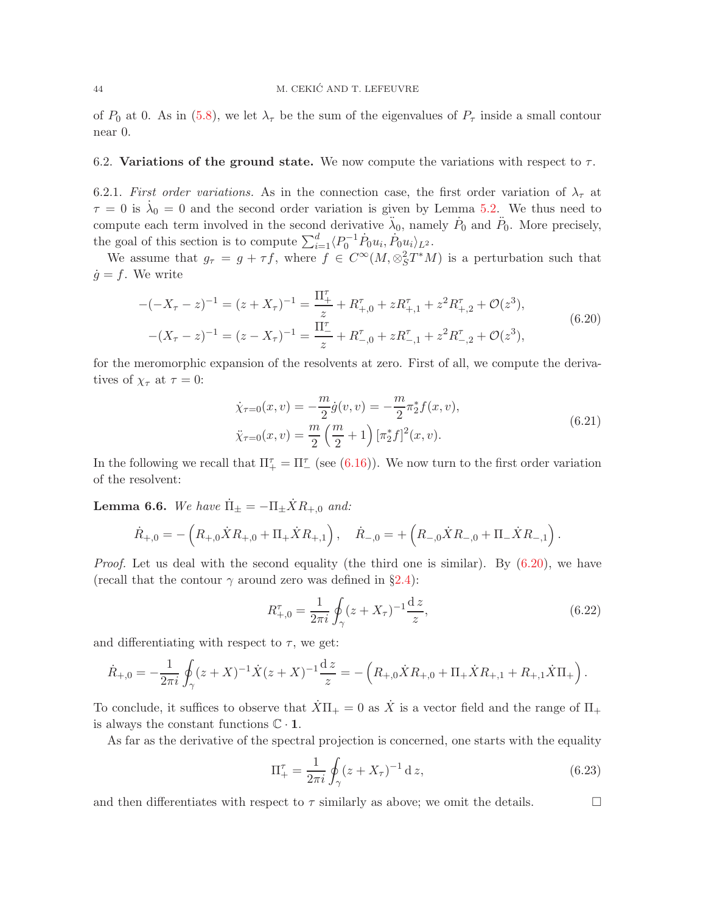of  $P_0$  at 0. As in [\(5.8\)](#page-30-4), we let  $\lambda_{\tau}$  be the sum of the eigenvalues of  $P_{\tau}$  inside a small contour near 0.

#### <span id="page-43-5"></span>6.2. Variations of the ground state. We now compute the variations with respect to  $\tau$ .

6.2.1. First order variations. As in the connection case, the first order variation of  $\lambda_{\tau}$  at  $\tau = 0$  is  $\dot{\lambda}_0 = 0$  and the second order variation is given by Lemma [5.2.](#page-31-0) We thus need to compute each term involved in the second derivative  $\ddot{\lambda}_0$ , namely  $\dot{P}_0$  and  $\ddot{P}_0$ . More precisely, the goal of this section is to compute  $\sum_{i=1}^{d} \langle P_0^{-1} \dot{P}_0 u_i, \dot{P}_0 u_i \rangle_{L^2}$ .

We assume that  $g_{\tau} = g + \tau f$ , where  $f \in C^{\infty}(M, \otimes_S^2 T^*M)$  is a perturbation such that  $\dot{q} = f$ . We write

$$
-(-X_{\tau}-z)^{-1} = (z + X_{\tau})^{-1} = \frac{\Pi_{+}^{\tau}}{z} + R_{+,0}^{\tau} + zR_{+,1}^{\tau} + z^{2}R_{+,2}^{\tau} + \mathcal{O}(z^{3}),
$$
  

$$
-(X_{\tau}-z)^{-1} = (z - X_{\tau})^{-1} = \frac{\Pi_{-}^{\tau}}{z} + R_{-,0}^{\tau} + zR_{-,1}^{\tau} + z^{2}R_{-,2}^{\tau} + \mathcal{O}(z^{3}),
$$
(6.20)

for the meromorphic expansion of the resolvents at zero. First of all, we compute the derivatives of  $\chi_{\tau}$  at  $\tau = 0$ :

<span id="page-43-1"></span><span id="page-43-0"></span>
$$
\dot{\chi}_{\tau=0}(x,v) = -\frac{m}{2}\dot{g}(v,v) = -\frac{m}{2}\pi_2^*f(x,v),
$$
  

$$
\ddot{\chi}_{\tau=0}(x,v) = \frac{m}{2}\left(\frac{m}{2}+1\right)[\pi_2^*f]^2(x,v).
$$
\n(6.21)

In the following we recall that  $\Pi_{+}^{\tau} = \Pi_{-}^{\tau}$  (see [\(6.16\)](#page-42-2)). We now turn to the first order variation of the resolvent:

<span id="page-43-2"></span>**Lemma 6.6.** We have  $\Pi_{\pm} = -\Pi_{\pm} X R_{+,0}$  and:

$$
\dot{R}_{+,0} = -\left(R_{+,0}\dot{X}R_{+,0} + \Pi_{+}\dot{X}R_{+,1}\right), \quad \dot{R}_{-,0} = +\left(R_{-,0}\dot{X}R_{-,0} + \Pi_{-}\dot{X}R_{-,1}\right).
$$

*Proof.* Let us deal with the second equality (the third one is similar). By  $(6.20)$ , we have (recall that the contour  $\gamma$  around zero was defined in §[2.4\)](#page-15-2):

<span id="page-43-3"></span>
$$
R_{+,0}^{\tau} = \frac{1}{2\pi i} \oint_{\gamma} (z + X_{\tau})^{-1} \frac{dz}{z},\tag{6.22}
$$

and differentiating with respect to  $\tau$ , we get:

$$
\dot{R}_{+,0} = -\frac{1}{2\pi i} \oint_{\gamma} (z+X)^{-1} \dot{X}(z+X)^{-1} \frac{dz}{z} = -\left(R_{+,0}\dot{X}R_{+,0} + \Pi_{+}\dot{X}R_{+,1} + R_{+,1}\dot{X}\Pi_{+}\right).
$$

To conclude, it suffices to observe that  $\dot{X}\Pi_+ = 0$  as  $\dot{X}$  is a vector field and the range of  $\Pi_+$ is always the constant functions  $\mathbb{C} \cdot \mathbf{1}$ .

As far as the derivative of the spectral projection is concerned, one starts with the equality

<span id="page-43-4"></span>
$$
\Pi_+^{\tau} = \frac{1}{2\pi i} \oint_{\gamma} (z + X_{\tau})^{-1} \, \mathrm{d} \, z,\tag{6.23}
$$

and then differentiates with respect to  $\tau$  similarly as above; we omit the details.  $\Box$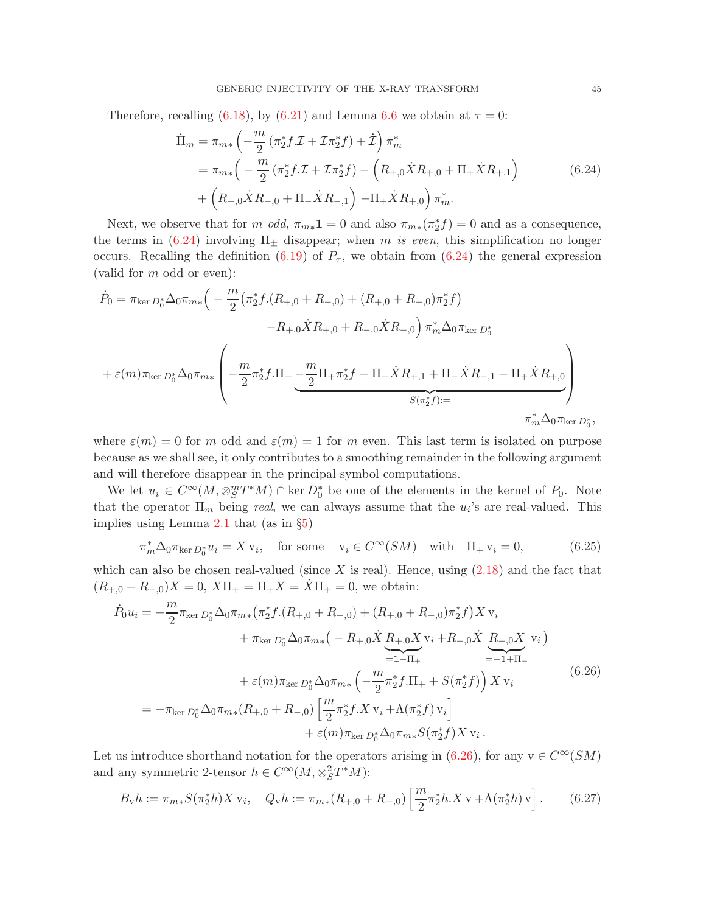<span id="page-44-0"></span>Therefore, recalling [\(6.18\)](#page-42-3), by [\(6.21\)](#page-43-1) and Lemma [6.6](#page-43-2) we obtain at  $\tau = 0$ :

$$
\begin{split} \dot{\Pi}_{m} &= \pi_{m*} \left( -\frac{m}{2} \left( \pi_{2}^{*} f \mathcal{I} + \mathcal{I} \pi_{2}^{*} f \right) + \dot{\mathcal{I}} \right) \pi_{m}^{*} \\ &= \pi_{m*} \left( -\frac{m}{2} \left( \pi_{2}^{*} f \mathcal{I} + \mathcal{I} \pi_{2}^{*} f \right) - \left( R_{+,0} \dot{X} R_{+,0} + \Pi_{+} \dot{X} R_{+,1} \right) \right) \\ &+ \left( R_{-,0} \dot{X} R_{-,0} + \Pi_{-} \dot{X} R_{-,1} \right) - \Pi_{+} \dot{X} R_{+,0} \right) \pi_{m}^{*}. \end{split} \tag{6.24}
$$

Next, we observe that for m odd,  $\pi_{m*}\mathbf{1} = 0$  and also  $\pi_{m*}(\pi^* \mathbf{1}) = 0$  and as a consequence, the terms in [\(6.24\)](#page-44-0) involving  $\Pi_{\pm}$  disappear; when m is even, this simplification no longer occurs. Recalling the definition [\(6.19\)](#page-42-4) of  $P_{\tau}$ , we obtain from [\(6.24\)](#page-44-0) the general expression (valid for m odd or even):

$$
\dot{P}_0 = \pi_{\ker D_0^*} \Delta_0 \pi_{m*} \left( -\frac{m}{2} \left( \pi_2^* f \cdot (R_{+,0} + R_{-,0}) + (R_{+,0} + R_{-,0}) \pi_2^* f \right) \right. \\
\left. - R_{+,0} \dot{X} R_{+,0} + R_{-,0} \dot{X} R_{-,0} \right) \pi_m^* \Delta_0 \pi_{\ker D_0^*} \\
+ \varepsilon(m) \pi_{\ker D_0^*} \Delta_0 \pi_{m*} \left( -\frac{m}{2} \pi_2^* f \cdot \Pi_+ \underbrace{-\frac{m}{2} \Pi_+ \pi_2^* f - \Pi_+ \dot{X} R_{+,1} + \Pi_- \dot{X} R_{-,1} - \Pi_+ \dot{X} R_{+,0}}_{S(\pi_2^* f) :=} \right) \\
\pi_m^* \Delta_0 \pi_{\ker D_0^*},
$$

where  $\varepsilon(m) = 0$  for m odd and  $\varepsilon(m) = 1$  for m even. This last term is isolated on purpose because as we shall see, it only contributes to a smoothing remainder in the following argument and will therefore disappear in the principal symbol computations.

We let  $u_i \in C^{\infty}(M, \otimes_S^m T^*M) \cap \text{ker } D_0^*$  be one of the elements in the kernel of  $P_0$ . Note that the operator  $\Pi_m$  being *real*, we can always assume that the  $u_i$ 's are real-valued. This implies using Lemma [2.1](#page-15-1) that (as in §[5\)](#page-27-0)

<span id="page-44-3"></span>
$$
\pi_m^* \Delta_0 \pi_{\ker D_0^*} u_i = X v_i, \quad \text{for some} \quad v_i \in C^\infty(SM) \quad \text{with} \quad \Pi_+ v_i = 0,\tag{6.25}
$$

which can also be chosen real-valued (since  $X$  is real). Hence, using  $(2.18)$  and the fact that  $(R_{+,0} + R_{-,0})X = 0$ ,  $X\Pi_+ = \Pi_+ X = \overline{X}\Pi_+ = 0$ , we obtain:

<span id="page-44-1"></span>
$$
\dot{P}_0 u_i = -\frac{m}{2} \pi_{\ker D_0^*} \Delta_0 \pi_{m*} (\pi_2^* f \cdot (R_{+,0} + R_{-,0}) + (R_{+,0} + R_{-,0}) \pi_2^* f) X v_i \n+ \pi_{\ker D_0^*} \Delta_0 \pi_{m*} (-R_{+,0} \dot{X} R_{+,0} X v_i + R_{-,0} \dot{X} R_{-,0} X v_i) \n= I - II + \epsilon(m) \pi_{\ker D_0^*} \Delta_0 \pi_{m*} \left( -\frac{m}{2} \pi_2^* f \cdot \Pi_+ + S(\pi_2^* f) \right) X v_i \n= - \pi_{\ker D_0^*} \Delta_0 \pi_{m*} (R_{+,0} + R_{-,0}) \left[ \frac{m}{2} \pi_2^* f \cdot X v_i + \Lambda(\pi_2^* f) v_i \right] \n+ \varepsilon(m) \pi_{\ker D_0^*} \Delta_0 \pi_{m*} S(\pi_2^* f) X v_i.
$$
\n(6.26)

Let us introduce shorthand notation for the operators arising in [\(6.26\)](#page-44-1), for any  $v \in C^{\infty}(SM)$ and any symmetric 2-tensor  $h \in C^{\infty}(M, \otimes_S^2 T^*M)$ :

<span id="page-44-2"></span>
$$
B_{\mathbf{v}}h := \pi_{m*}S(\pi_2^*h)X\,\mathbf{v}_i, \quad Q_{\mathbf{v}}h := \pi_{m*}(R_{+,0} + R_{-,0})\left[\frac{m}{2}\pi_2^*h.X\,\mathbf{v} + \Lambda(\pi_2^*h)\,\mathbf{v}\right].\tag{6.27}
$$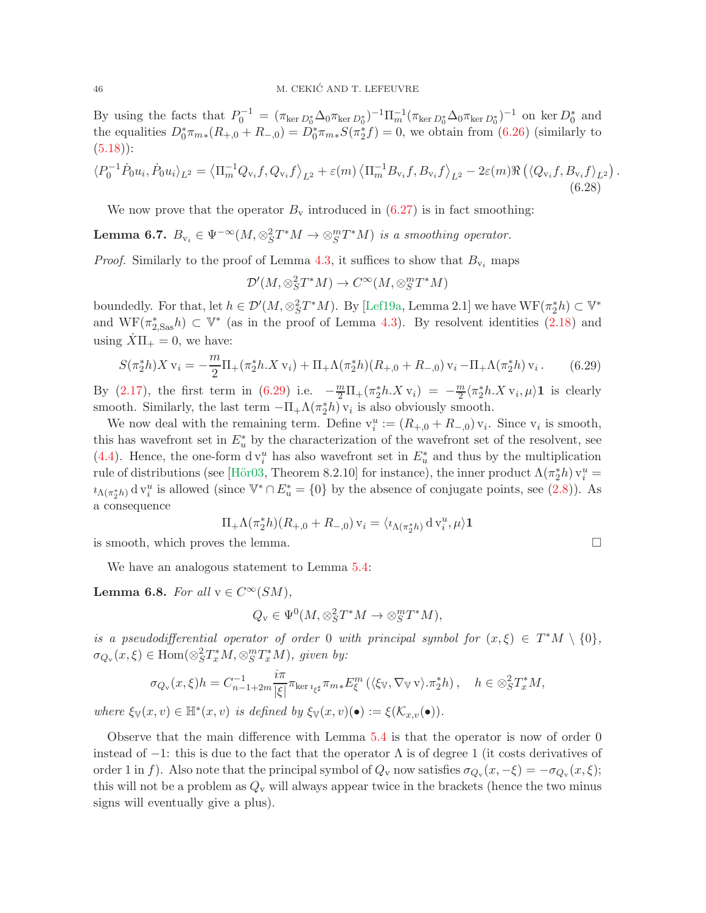By using the facts that  $P_0^{-1} = (\pi_{\ker D_0^*} \Delta_0 \pi_{\ker D_0^*})^{-1} \Pi_m^{-1} (\pi_{\ker D_0^*} \Delta_0 \pi_{\ker D_0^*})^{-1}$  on ker  $D_0^*$  and the equalities  $D_0^*\pi_{m*}(R_{+,0}+R_{-,0}) = D_0^*\pi_{m*}S(\pi_2^*f) = 0$ , we obtain from [\(6.26\)](#page-44-1) (similarly to  $(5.18)$ :

<span id="page-45-1"></span>
$$
\langle P_0^{-1} \dot{P}_0 u_i, \dot{P}_0 u_i \rangle_{L^2} = \langle \Pi_m^{-1} Q_{\nu_i} f, Q_{\nu_i} f \rangle_{L^2} + \varepsilon(m) \langle \Pi_m^{-1} B_{\nu_i} f, B_{\nu_i} f \rangle_{L^2} - 2\varepsilon(m) \Re \left( \langle Q_{\nu_i} f, B_{\nu_i} f \rangle_{L^2} \right).
$$
\n(6.28)

We now prove that the operator  $B_{\rm v}$  introduced in [\(6.27\)](#page-44-2) is in fact smoothing:

<span id="page-45-2"></span>**Lemma 6.7.**  $B_{v_i} \in \Psi^{-\infty}(M, \otimes_S^2 T^*M \to \otimes_S^m T^*M)$  is a smoothing operator.

*Proof.* Similarly to the proof of Lemma [4.3,](#page-23-3) it suffices to show that  $B_{v_i}$  maps

$$
\mathcal{D}'(M,\otimes_S^2T^*M)\to C^\infty(M,\otimes_S^mT^*M)
$$

boundedly. For that, let  $h \in \mathcal{D}'(M, \otimes_S^2 T^*M)$ . By [\[Lef19a,](#page-55-6) Lemma 2.1] we have  $WF(\pi_2^*h) \subset \mathbb{V}^*$ and  $WF(\pi^*_{2, Sas} h) \subset V^*$  (as in the proof of Lemma [4.3\)](#page-23-3). By resolvent identities [\(2.18\)](#page-14-2) and using  $X\Pi_+ = 0$ , we have:

$$
S(\pi_2^* h) X \mathbf{v}_i = -\frac{m}{2} \Pi_+(\pi_2^* h \cdot X \mathbf{v}_i) + \Pi_+ \Lambda(\pi_2^* h) (R_{+,0} + R_{-,0}) \mathbf{v}_i - \Pi_+ \Lambda(\pi_2^* h) \mathbf{v}_i.
$$
 (6.29)

<span id="page-45-0"></span>By [\(2.17\)](#page-14-3), the first term in [\(6.29\)](#page-45-0) i.e.  $-\frac{m}{2}\Pi_{+}(\pi_2^*h.Xv_i) = -\frac{m}{2}$  $\frac{n}{2} \langle \pi_2^* h. X \,\mathbf{v}_i, \mu \rangle \mathbf{1}$  is clearly smooth. Similarly, the last term  $-\Pi_+\Lambda(\pi_2^*h)$  v<sub>i</sub> is also obviously smooth.

We now deal with the remaining term. Define  $v_i^u := (R_{+,0} + R_{-,0}) v_i$ . Since  $v_i$  is smooth, this has wavefront set in  $E_u^*$  by the characterization of the wavefront set of the resolvent, see [\(4.4\)](#page-23-2). Hence, the one-form  $dv_i^u$  has also wavefront set in  $E_u^*$  and thus by the multiplication rule of distributions (see [Hör03, Theorem 8.2.10] for instance), the inner product  $\Lambda(\pi_2^*h)$   $v_i^u$  =  $i_{\Lambda(\pi_2^*h)}$  d  $v_i^u$  is allowed (since  $V^* \cap E_u^* = \{0\}$  by the absence of conjugate points, see [\(2.8\)](#page-10-2)). As a consequence

$$
\Pi_+\Lambda(\pi_2^*h)(R_{+,0}+R_{-,0})\,\mathbf{v}_i=\langle \imath_{\Lambda(\pi_2^*h)}\,\mathrm{d}\,\mathbf{v}_i^u,\mu\rangle\mathbf{1}
$$

is smooth, which proves the lemma.  $\Box$ 

We have an analogous statement to Lemma [5.4:](#page-33-3)

<span id="page-45-3"></span>Lemma 6.8. For all  $v \in C^{\infty}(SM)$ ,

$$
Q_{\mathbf{v}} \in \Psi^0(M, \otimes_S^2 T^*M \to \otimes_S^m T^*M),
$$

is a pseudodifferential operator of order 0 with principal symbol for  $(x,\xi) \in T^*M \setminus \{0\},$  $\sigma_{Q_{\mathbf{v}}}(x,\xi) \in \text{Hom}(\otimes_S^2 T_x^* M, \otimes_S^m T_x^* M), \text{ given by:}$ 

$$
\sigma_{Q_{\mathbf{v}}}(x,\xi)h = C_{n-1+2m}^{-1} \frac{i\pi}{|\xi|} \pi_{\ker\imath_{\xi^{\sharp}}} \pi_{m*} E_{\xi}^{m} (\langle \xi_{\mathbb{V}}, \nabla_{\mathbb{V}} \mathbf{v} \rangle \cdot \pi_{2}^{*} h), \quad h \in \otimes_{S}^{2} T_{x}^{*} M,
$$

where  $\xi_{\mathbb{V}}(x,v) \in \mathbb{H}^*(x,v)$  is defined by  $\xi_{\mathbb{V}}(x,v)(\bullet) := \xi(\mathcal{K}_{x,v}(\bullet)).$ 

Observe that the main difference with Lemma [5.4](#page-33-3) is that the operator is now of order 0 instead of  $-1$ : this is due to the fact that the operator  $\Lambda$  is of degree 1 (it costs derivatives of order 1 in f). Also note that the principal symbol of  $Q_v$  now satisfies  $\sigma_{Q_v}(x, -\xi) = -\sigma_{Q_v}(x, \xi);$ this will not be a problem as  $Q_v$  will always appear twice in the brackets (hence the two minus signs will eventually give a plus).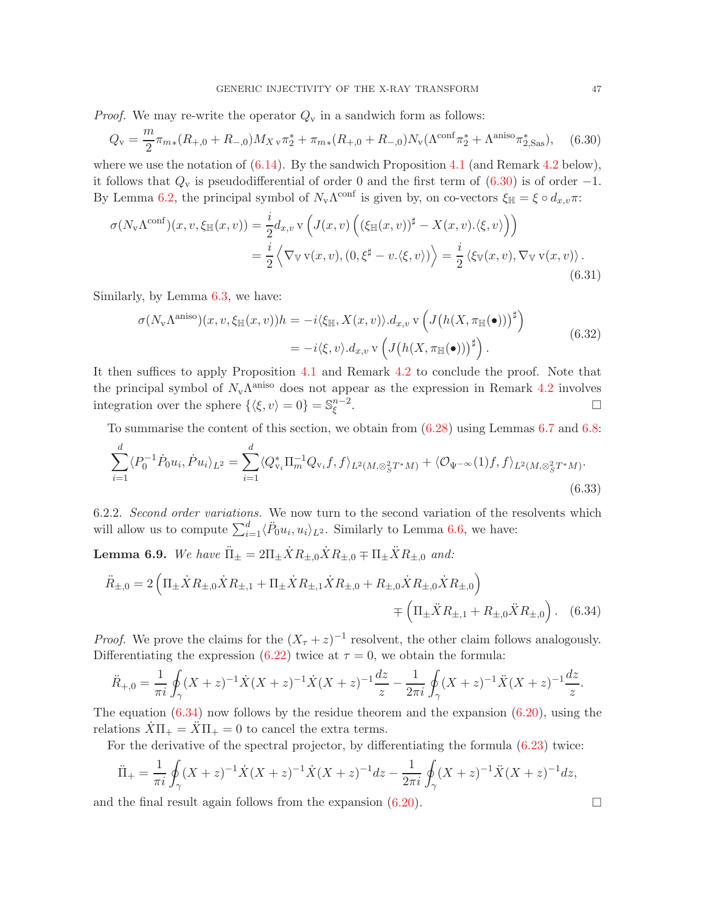*Proof.* We may re-write the operator  $Q_v$  in a sandwich form as follows:

<span id="page-46-1"></span>
$$
Q_{\rm v} = \frac{m}{2} \pi_{m*}(R_{+,0} + R_{-,0}) M_{X\,\rm v} \pi_2^* + \pi_{m*}(R_{+,0} + R_{-,0}) N_{\rm v} (\Lambda^{\rm conf} \pi_2^* + \Lambda^{\rm aniso} \pi_{2,\rm Sas}^*), \tag{6.30}
$$

where we use the notation of  $(6.14)$ . By the sandwich Proposition [4.1](#page-22-2) (and Remark [4.2](#page-22-5) below), it follows that  $Q_v$  is pseudodifferential of order 0 and the first term of [\(6.30\)](#page-46-1) is of order -1. By Lemma [6.2,](#page-39-4) the principal symbol of  $N_{\rm v}\Lambda^{\rm conf}$  is given by, on co-vectors  $\xi_{\mathbb{H}} = \xi \circ d_{x,v}\pi$ :

$$
\sigma(N_{\mathbf{v}}\Lambda^{\text{conf}})(x,v,\xi_{\mathbb{H}}(x,v)) = \frac{i}{2}d_{x,v}\,\mathbf{v}\left(J(x,v)\left((\xi_{\mathbb{H}}(x,v))^{\sharp} - X(x,v).\langle\xi,v\rangle\right)\right)
$$

$$
= \frac{i}{2}\left\langle \nabla_{\mathbb{V}}\,\mathbf{v}(x,v),(0,\xi^{\sharp} - v.\langle\xi,v\rangle)\right\rangle = \frac{i}{2}\left\langle \xi_{\mathbb{V}}(x,v),\nabla_{\mathbb{V}}\,\mathbf{v}(x,v)\right\rangle.
$$
(6.31)

<span id="page-46-5"></span>Similarly, by Lemma [6.3,](#page-40-2) we have:

<span id="page-46-4"></span>
$$
\sigma(N_{\mathbf{v}}\Lambda^{\text{aniso}})(x,v,\xi_{\mathbb{H}}(x,v))h = -i\langle \xi_{\mathbb{H}}, X(x,v)\rangle \cdot d_{x,v} \mathbf{v}\left(J\big(h(X,\pi_{\mathbb{H}}(\bullet))\big)^{\sharp}\right)
$$
  
=  $-i\langle \xi,v\rangle \cdot d_{x,v} \mathbf{v}\left(J\big(h(X,\pi_{\mathbb{H}}(\bullet))\big)^{\sharp}\right).$  (6.32)

It then suffices to apply Proposition [4.1](#page-22-2) and Remark [4.2](#page-22-5) to conclude the proof. Note that the principal symbol of  $N_v \Lambda^{aniso}$  does not appear as the expression in Remark [4.2](#page-22-5) involves integration over the sphere  $\{\langle \xi, v \rangle = 0\} = \mathbb{S}_{\xi}^{n-2}$ ξ .

To summarise the content of this section, we obtain from [\(6.28\)](#page-45-1) using Lemmas [6.7](#page-45-2) and [6.8:](#page-45-3)

<span id="page-46-3"></span>
$$
\sum_{i=1}^{d} \langle P_0^{-1} \dot{P}_0 u_i, \dot{P} u_i \rangle_{L^2} = \sum_{i=1}^{d} \langle Q_{\mathbf{v}_i}^* \Pi_m^{-1} Q_{\mathbf{v}_i} f, f \rangle_{L^2(M, \otimes_S^2 T^*M)} + \langle \mathcal{O}_{\Psi^{-\infty}}(1) f, f \rangle_{L^2(M, \otimes_S^2 T^*M)}.
$$
\n(6.33)

<span id="page-46-6"></span>6.2.2. Second order variations. We now turn to the second variation of the resolvents which will allow us to compute  $\sum_{i=1}^d \langle \ddot{P}_0 u_i, u_i \rangle_{L^2}$ . Similarly to Lemma [6.6,](#page-43-2) we have:

<span id="page-46-0"></span>**Lemma 6.9.** We have  $\ddot{\Pi}_{\pm} = 2\Pi_{\pm}\dot{X}R_{\pm,0}\dot{X}R_{\pm,0} \mp \Pi_{\pm}\ddot{X}R_{\pm,0}$  and:

$$
\ddot{R}_{\pm,0} = 2 \left( \Pi_{\pm} \dot{X} R_{\pm,0} \dot{X} R_{\pm,1} + \Pi_{\pm} \dot{X} R_{\pm,1} \dot{X} R_{\pm,0} + R_{\pm,0} \dot{X} R_{\pm,0} \dot{X} R_{\pm,0} \right) \n= \left( \Pi_{\pm} \ddot{X} R_{\pm,1} + R_{\pm,0} \ddot{X} R_{\pm,0} \right). \quad (6.34)
$$

*Proof.* We prove the claims for the  $(X_\tau + z)^{-1}$  resolvent, the other claim follows analogously. Differentiating the expression  $(6.22)$  twice at  $\tau = 0$ , we obtain the formula:

$$
\ddot{R}_{+,0} = \frac{1}{\pi i} \oint_{\gamma} (X+z)^{-1} \dot{X}(X+z)^{-1} \dot{X}(X+z)^{-1} \frac{dz}{z} - \frac{1}{2\pi i} \oint_{\gamma} (X+z)^{-1} \ddot{X}(X+z)^{-1} \frac{dz}{z}.
$$

The equation  $(6.34)$  now follows by the residue theorem and the expansion  $(6.20)$ , using the relations  $\overline{X}\Pi_+ = \overline{X}\Pi_+ = 0$  to cancel the extra terms.

For the derivative of the spectral projector, by differentiating the formula [\(6.23\)](#page-43-4) twice:

$$
\ddot{\Pi}_{+} = \frac{1}{\pi i} \oint_{\gamma} (X + z)^{-1} \dot{X}(X + z)^{-1} \dot{X}(X + z)^{-1} dz - \frac{1}{2\pi i} \oint_{\gamma} (X + z)^{-1} \dot{X}(X + z)^{-1} dz,
$$

and the final result again follows from the expansion  $(6.20)$ .

<span id="page-46-2"></span>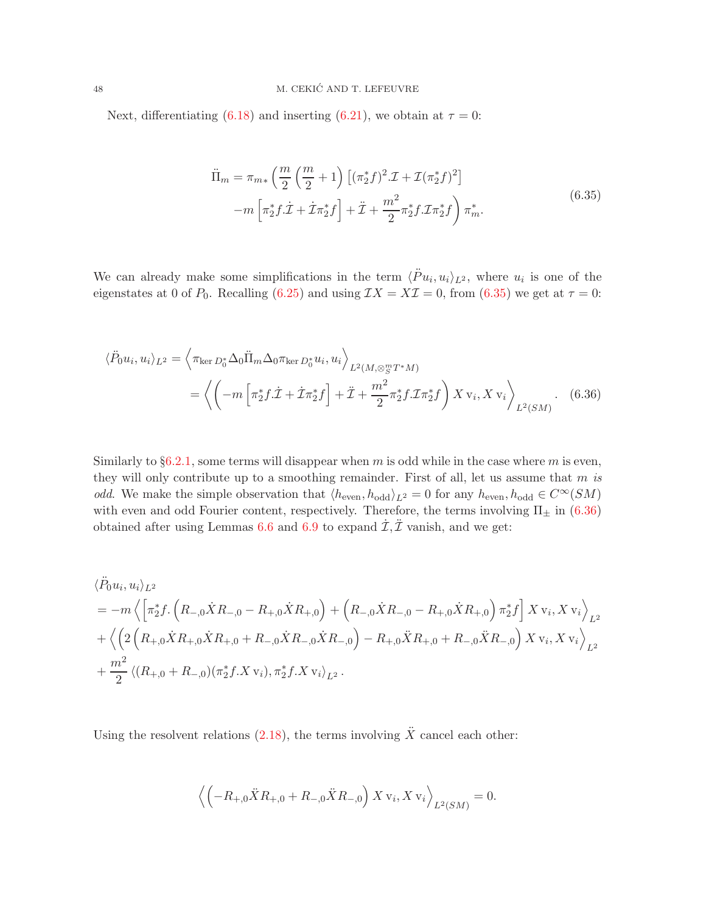<span id="page-47-0"></span>Next, differentiating [\(6.18\)](#page-42-3) and inserting [\(6.21\)](#page-43-1), we obtain at  $\tau = 0$ :

<span id="page-47-1"></span>
$$
\ddot{\Pi}_m = \pi_{m*} \left( \frac{m}{2} \left( \frac{m}{2} + 1 \right) \left[ (\pi_2^* f)^2 \mathcal{I} + \mathcal{I} (\pi_2^* f)^2 \right] - m \left[ \pi_2^* f \mathcal{I} + \dot{\mathcal{I}} \pi_2^* f \right] + \ddot{\mathcal{I}} + \frac{m^2}{2} \pi_2^* f \mathcal{I} \pi_2^* f \right) \pi_m^*.
$$
\n(6.35)

We can already make some simplifications in the term  $\langle \ddot{P} u_i, u_i \rangle_{L^2}$ , where  $u_i$  is one of the eigenstates at 0 of  $P_0$ . Recalling [\(6.25\)](#page-44-3) and using  $IX = X\mathcal{I} = 0$ , from [\(6.35\)](#page-47-0) we get at  $\tau = 0$ :

$$
\langle \ddot{P}_0 u_i, u_i \rangle_{L^2} = \left\langle \pi_{\ker D_0^*} \Delta_0 \ddot{\Pi}_m \Delta_0 \pi_{\ker D_0^*} u_i, u_i \right\rangle_{L^2(M, \otimes_S^m T^* M)} \n= \left\langle \left( -m \left[ \pi_2^* f \dot{\mathcal{I}} + \dot{\mathcal{I}} \pi_2^* f \right] + \ddot{\mathcal{I}} + \frac{m^2}{2} \pi_2^* f \dot{\mathcal{I}} \pi_2^* f \right) X v_i, X v_i \right\rangle_{L^2(SM)}.
$$
\n(6.36)

Similarly to  $\S6.2.1$ , some terms will disappear when m is odd while in the case where m is even, they will only contribute up to a smoothing remainder. First of all, let us assume that  $m$  is odd. We make the simple observation that  $\langle h_{\text{even}}, h_{\text{odd}} \rangle_{L^2} = 0$  for any  $h_{\text{even}}, h_{\text{odd}} \in C^{\infty}(SM)$ with even and odd Fourier content, respectively. Therefore, the terms involving  $\Pi_{\pm}$  in [\(6.36\)](#page-47-1) obtained after using Lemmas [6.6](#page-43-2) and [6.9](#page-46-0) to expand  $\dot{\mathcal{I}}, \ddot{\mathcal{I}}$  vanish, and we get:

$$
\langle \ddot{P}_0 u_i, u_i \rangle_{L^2}
$$
\n
$$
= -m \left\langle \left[ \pi_2^* f \cdot \left( R_{-,0} \dot{X} R_{-,0} - R_{+,0} \dot{X} R_{+,0} \right) + \left( R_{-,0} \dot{X} R_{-,0} - R_{+,0} \dot{X} R_{+,0} \right) \pi_2^* f \right] X v_i, X v_i \right\rangle_{L^2}
$$
\n
$$
+ \left\langle \left( 2 \left( R_{+,0} \dot{X} R_{+,0} \dot{X} R_{+,0} + R_{-,0} \dot{X} R_{-,0} \dot{X} R_{-,0} \right) - R_{+,0} \ddot{X} R_{+,0} + R_{-,0} \ddot{X} R_{-,0} \right) X v_i, X v_i \right\rangle_{L^2}
$$
\n
$$
+ \frac{m^2}{2} \left\langle (R_{+,0} + R_{-,0}) (\pi_2^* f. X v_i), \pi_2^* f. X v_i \right\rangle_{L^2}.
$$

Using the resolvent relations [\(2.18\)](#page-14-2), the terms involving  $\ddot{X}$  cancel each other:

$$
\left\langle \left( -R_{+,0} \ddot{X} R_{+,0} + R_{-,0} \ddot{X} R_{-,0} \right) X \, \mathbf{v}_i, X \, \mathbf{v}_i \right\rangle_{L^2(SM)} = 0.
$$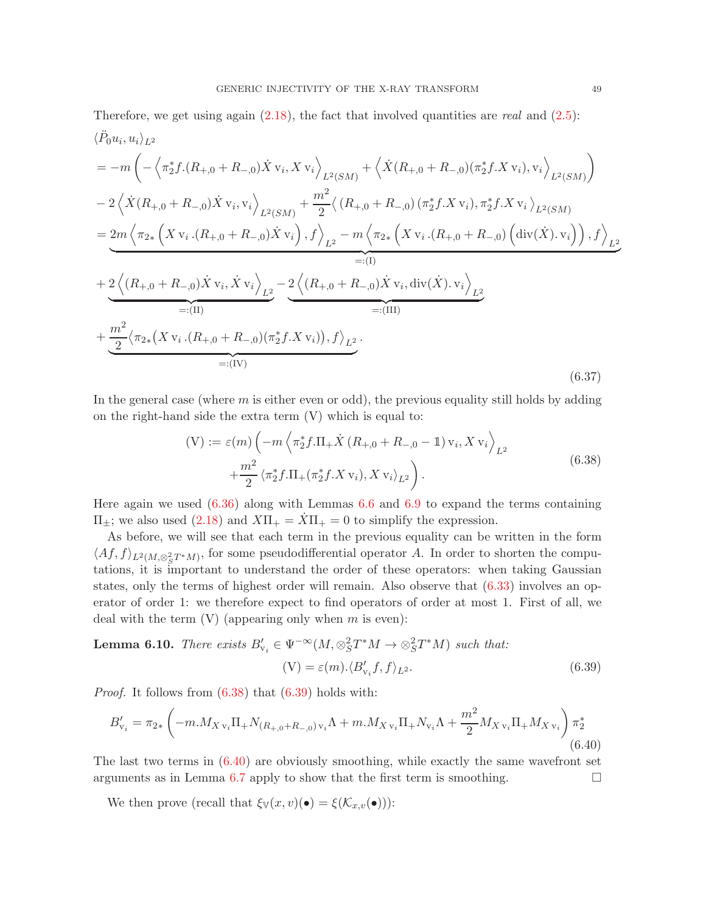Therefore, we get using again  $(2.18)$ , the fact that involved quantities are *real* and  $(2.5)$ :  $\langle \ddot{P}_0 u_i, u_i \rangle_{L^2}$ 

<span id="page-48-3"></span>
$$
= -m\left(-\left\langle \pi_{2}^{*}f.(R_{+,0}+R_{-,0})\dot{X} \mathbf{v}_{i}, X \mathbf{v}_{i} \right\rangle_{L^{2}(SM)} + \left\langle \dot{X}(R_{+,0}+R_{-,0})(\pi_{2}^{*}f.X \mathbf{v}_{i}), \mathbf{v}_{i} \right\rangle_{L^{2}(SM)}\right) - 2\left\langle \dot{X}(R_{+,0}+R_{-,0})\dot{X} \mathbf{v}_{i}, \mathbf{v}_{i} \right\rangle_{L^{2}(SM)} + \frac{m^{2}}{2}\left\langle (R_{+,0}+R_{-,0})(\pi_{2}^{*}f.X \mathbf{v}_{i}), \pi_{2}^{*}f.X \mathbf{v}_{i} \right\rangle_{L^{2}(SM)} = \underbrace{2m\left\langle \pi_{2*}\left(X \mathbf{v}_{i}.(R_{+,0}+R_{-,0})\dot{X} \mathbf{v}_{i}\right), f \right\rangle_{L^{2}} - m\left\langle \pi_{2*}\left(X \mathbf{v}_{i}.(R_{+,0}+R_{-,0})\left(\text{div}(\dot{X}).\mathbf{v}_{i}\right)\right), f \right\rangle_{L^{2}}}_{=: (I)} + \underbrace{2\left\langle (R_{+,0}+R_{-,0})\dot{X} \mathbf{v}_{i}, \dot{X} \mathbf{v}_{i} \right\rangle_{L^{2}}}_{=:(II)} - \underbrace{2\left\langle (R_{+,0}+R_{-,0})\dot{X} \mathbf{v}_{i}, \text{div}(\dot{X}).\mathbf{v}_{i} \right\rangle_{L^{2}}}_{=:(III)} + \underbrace{\frac{m^{2}}{2}\left\langle \pi_{2*}(X \mathbf{v}_{i}.(R_{+,0}+R_{-,0})(\pi_{2}^{*}f.X \mathbf{v}_{i})), f \right\rangle_{L^{2}}}_{=:(IV)}.
$$
\n(6.37)

In the general case (where  $m$  is either even or odd), the previous equality still holds by adding on the right-hand side the extra term (V) which is equal to:

$$
(V) := \varepsilon(m) \left( -m \left\langle \pi_2^* f \cdot \Pi_+ \dot{X} \left( R_{+,0} + R_{-,0} - \mathbb{1} \right) v_i, X v_i \right\rangle_{L^2} + \frac{m^2}{2} \left\langle \pi_2^* f \cdot \Pi_+ (\pi_2^* f \cdot X v_i), X v_i \right\rangle_{L^2} \right).
$$
\n(6.38)

<span id="page-48-0"></span>Here again we used  $(6.36)$  along with Lemmas [6.6](#page-43-2) and [6.9](#page-46-0) to expand the terms containing  $\Pi_{\pm}$ ; we also used [\(2.18\)](#page-14-2) and  $X\Pi_{+} = \dot{X}\Pi_{+} = 0$  to simplify the expression.

As before, we will see that each term in the previous equality can be written in the form  $\langle Af, f \rangle_{L^2(M,\otimes_S^2 T^*M)}$ , for some pseudodifferential operator A. In order to shorten the computations, it is important to understand the order of these operators: when taking Gaussian states, only the terms of highest order will remain. Also observe that [\(6.33\)](#page-46-3) involves an operator of order 1: we therefore expect to find operators of order at most 1. First of all, we deal with the term  $(V)$  (appearing only when m is even):

<span id="page-48-4"></span>**Lemma 6.10.** There exists 
$$
B'_{v_i} \in \Psi^{-\infty}(M, \otimes_S^2 T^*M \to \otimes_S^2 T^*M)
$$
 such that:  
\n
$$
(V) = \varepsilon(m) \cdot \langle B'_{v_i} f, f \rangle_{L^2}.
$$
\n(6.39)

*Proof.* It follows from  $(6.38)$  that  $(6.39)$  holds with:

<span id="page-48-2"></span><span id="page-48-1"></span>
$$
B'_{\mathbf{v}_{i}} = \pi_{2*} \left( -m.M_{X\,\mathbf{v}_{i}} \Pi_{+} N_{(R_{+,0}+R_{-,0})\,\mathbf{v}_{i}} \Lambda + m.M_{X\,\mathbf{v}_{i}} \Pi_{+} N_{\mathbf{v}_{i}} \Lambda + \frac{m^{2}}{2} M_{X\,\mathbf{v}_{i}} \Pi_{+} M_{X\,\mathbf{v}_{i}} \right) \pi_{2}^{*}
$$
\n(6.40)

The last two terms in  $(6.40)$  are obviously smoothing, while exactly the same wavefront set arguments as in Lemma [6.7](#page-45-2) apply to show that the first term is smoothing.  $\Box$ 

We then prove (recall that  $\xi_{\mathbb{V}}(x, v)(\bullet) = \xi(\mathcal{K}_{x, v}(\bullet))$ :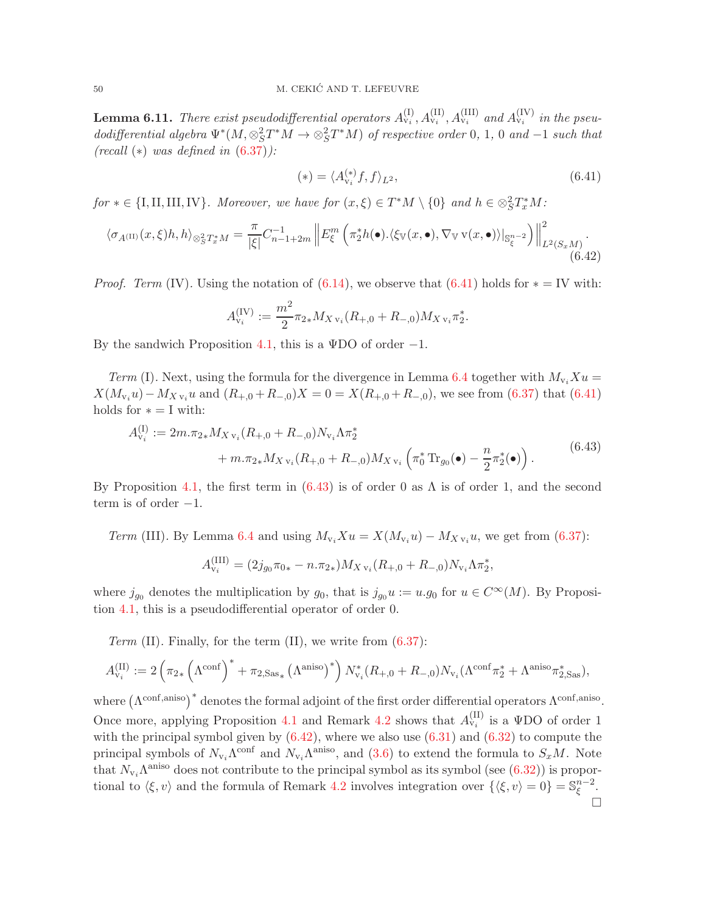<span id="page-49-3"></span>**Lemma 6.11.** There exist pseudodifferential operators  $A_{v_i}^{(I)}, A_{v_i}^{(II)}, A_{v_i}^{(III)}$  and  $A_{v_i}^{(IV)}$  in the pseudodifferential algebra  $\Psi^*(M, \otimes_S^2 T^*M \to \otimes_S^2 T^*M)$  of respective order 0, 1, 0 and -1 such that  $(recall (*) was defined in (6.37))$  $(recall (*) was defined in (6.37))$  $(recall (*) was defined in (6.37))$ :

<span id="page-49-0"></span>
$$
(*) = \langle A_{\mathbf{v}_i}^{(*)} f, f \rangle_{L^2}, \tag{6.41}
$$

 $for * \in \{I, II, III, IV\}$ . Moreover, we have for  $(x, \xi) \in T^*M \setminus \{0\}$  and  $h \in \otimes_S^2 T^*_xM$ :

<span id="page-49-2"></span>
$$
\langle \sigma_{A^{(\text{II})}}(x,\xi)h,h\rangle_{\otimes^2_S T^*_x M} = \frac{\pi}{|\xi|} C_{n-1+2m}^{-1} \left\| E^m_{\xi} \left( \pi^*_2 h(\bullet). \langle \xi_{\mathbb{V}}(x,\bullet), \nabla_{\mathbb{V}} \mathbf{v}(x,\bullet) \rangle |_{\mathbb{S}^{n-2}_{\xi}} \right) \right\|^2_{L^2(S_x M)}.
$$
\n(6.42)

*Proof. Term* (IV). Using the notation of  $(6.14)$ , we observe that  $(6.41)$  holds for  $* = \text{IV}$  with:

$$
A_{\mathbf{v}_i}^{(\text{IV})} := \frac{m^2}{2} \pi_{2*} M_{X\,\mathbf{v}_i} (R_{+,0} + R_{-,0}) M_{X\,\mathbf{v}_i} \pi_2^*.
$$

By the sandwich Proposition [4.1,](#page-22-2) this is a  $\Psi$ DO of order -1.

Term (I). Next, using the formula for the divergence in Lemma [6.4](#page-40-3) together with  $M_{v_i}Xu =$  $X(M_{v_i}u) - M_{X,v_i}u$  and  $(R_{+,0} + R_{-,0})X = 0 = X(R_{+,0} + R_{-,0})$ , we see from [\(6.37\)](#page-48-3) that [\(6.41\)](#page-49-0) holds for  $* = I$  with:

<span id="page-49-1"></span>
$$
A_{v_i}^{(I)} := 2m.\pi_{2*} M_{X v_i} (R_{+,0} + R_{-,0}) N_{v_i} \Lambda \pi_2^*
$$
  
+ 
$$
m.\pi_{2*} M_{X v_i} (R_{+,0} + R_{-,0}) M_{X v_i} \left( \pi_0^* \operatorname{Tr}_{g_0}(\bullet) - \frac{n}{2} \pi_2^*(\bullet) \right).
$$
 (6.43)

By Proposition [4.1,](#page-22-2) the first term in  $(6.43)$  is of order 0 as  $\Lambda$  is of order 1, and the second term is of order  $-1$ .

Term (III). By Lemma [6.4](#page-40-3) and using  $M_{v_i}Xu = X(M_{v_i}u) - M_{X,v_i}u$ , we get from [\(6.37\)](#page-48-3):

$$
A_{\mathrm{v}_{i}}^{(\mathrm{III})} = (2j_{g_{0}}\pi_{0*} - n.\pi_{2*})M_{X\mathrm{v}_{i}}(R_{+,0} + R_{-,0})N_{\mathrm{v}_{i}}\Lambda\pi_{2*}^{*},
$$

where  $j_{g_0}$  denotes the multiplication by  $g_0$ , that is  $j_{g_0}u := u.g_0$  for  $u \in C^{\infty}(M)$ . By Proposition [4.1,](#page-22-2) this is a pseudodifferential operator of order 0.

Term (II). Finally, for the term  $(II)$ , we write from  $(6.37)$ :

$$
A_{\mathbf{v}_i}^{(\text{II})} := 2\left(\pi_{2*}\left(\Lambda^{\text{conf}}\right)^* + \pi_{2,\text{Sas}_*}\left(\Lambda^{\text{aniso}}\right)^*\right)N_{\mathbf{v}_i}^*(R_{+,0} + R_{-,0})N_{\mathbf{v}_i}(\Lambda^{\text{conf}}\pi_2^* + \Lambda^{\text{aniso}}\pi_{2,\text{Sas}}^*),
$$

where  $(\Lambda^{\text{conf,aniso}})^*$  denotes the formal adjoint of the first order differential operators  $\Lambda^{\text{conf,aniso}}$ . Once more, applying Proposition [4.1](#page-22-2) and Remark [4.2](#page-22-5) shows that  $A_{v_i}^{(II)}$  is a  $\Psi$ DO of order 1 with the principal symbol given by  $(6.42)$ , where we also use  $(6.31)$  and  $(6.32)$  to compute the principal symbols of  $N_{v_i}\Lambda^{\text{conf}}$  and  $N_{v_i}\Lambda^{\text{aniso}}$ , and  $(3.6)$  to extend the formula to  $S_xM$ . Note that  $N_{\nu_i}\Lambda^{\text{aniso}}$  does not contribute to the principal symbol as its symbol (see [\(6.32\)](#page-46-5)) is proportional to  $\langle \xi, v \rangle$  and the formula of Remark [4.2](#page-22-5) involves integration over  $\{\langle \xi, v \rangle = 0\} = \mathbb{S}_{\xi}^{n-2}$  $\frac{n-2}{\xi}$ .  $\Box$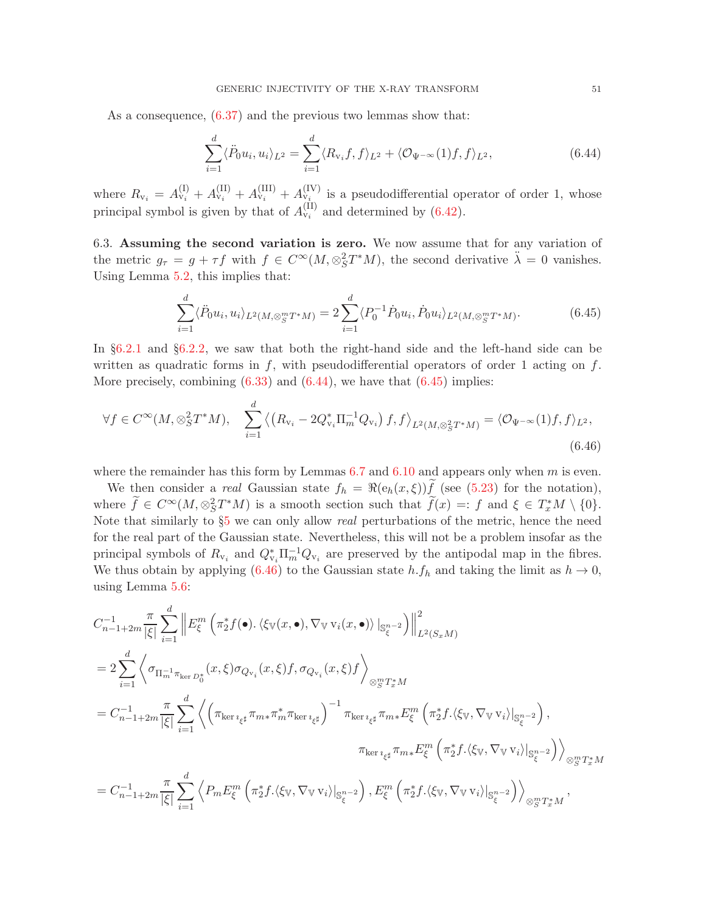As a consequence, [\(6.37\)](#page-48-3) and the previous two lemmas show that:

<span id="page-50-0"></span>
$$
\sum_{i=1}^{d} \langle \ddot{P}_0 u_i, u_i \rangle_{L^2} = \sum_{i=1}^{d} \langle R_{\nu_i} f, f \rangle_{L^2} + \langle \mathcal{O}_{\Psi^{-\infty}}(1) f, f \rangle_{L^2}, \tag{6.44}
$$

where  $R_{v_i} = A_{v_i}^{(I)} + A_{v_i}^{(II)} + A_{v_i}^{(IV)} + A_{v_i}^{(IV)}$  is a pseudodifferential operator of order 1, whose principal symbol is given by that of  $A_{v_i}^{(II)}$  and determined by [\(6.42\)](#page-49-2).

6.3. Assuming the second variation is zero. We now assume that for any variation of the metric  $g_{\tau} = g + \tau f$  with  $f \in C^{\infty}(M, \otimes_S^2 T^*M)$ , the second derivative  $\ddot{\lambda} = 0$  vanishes. Using Lemma [5.2,](#page-31-0) this implies that:

<span id="page-50-1"></span>
$$
\sum_{i=1}^{d} \langle \ddot{P}_0 u_i, u_i \rangle_{L^2(M, \otimes_S^m T^* M)} = 2 \sum_{i=1}^{d} \langle P_0^{-1} \dot{P}_0 u_i, \dot{P}_0 u_i \rangle_{L^2(M, \otimes_S^m T^* M)}.
$$
(6.45)

In §[6.2.1](#page-43-5) and §[6.2.2,](#page-46-6) we saw that both the right-hand side and the left-hand side can be written as quadratic forms in  $f$ , with pseudodifferential operators of order 1 acting on  $f$ . More precisely, combining  $(6.33)$  and  $(6.44)$ , we have that  $(6.45)$  implies:

<span id="page-50-2"></span>
$$
\forall f \in C^{\infty}(M, \otimes_S^2 T^*M), \quad \sum_{i=1}^d \left\langle \left(R_{\mathbf{v}_i} - 2Q_{\mathbf{v}_i}^* \Pi_m^{-1} Q_{\mathbf{v}_i} \right) f, f \right\rangle_{L^2(M, \otimes_S^2 T^*M)} = \left\langle \mathcal{O}_{\Psi^{-\infty}}(1) f, f \right\rangle_{L^2},\tag{6.46}
$$

where the remainder has this form by Lemmas  $6.7$  and  $6.10$  and appears only when m is even.

We then consider a real Gaussian state  $f_h = \Re(e_h(x,\xi))f$  (see [\(5.23\)](#page-34-6) for the notation), where  $\tilde{f} \in C^{\infty}(M, \otimes_S^2 T^*M)$  is a smooth section such that  $\tilde{f}(x) =: f$  and  $\xi \in T_x^*M \setminus \{0\}.$ Note that similarly to  $\S5$  $\S5$  we can only allow *real* perturbations of the metric, hence the need for the real part of the Gaussian state. Nevertheless, this will not be a problem insofar as the principal symbols of  $R_{v_i}$  and  $Q_{v_i}^* \Pi_m^{-1} Q_{v_i}$  are preserved by the antipodal map in the fibres. We thus obtain by applying [\(6.46\)](#page-50-2) to the Gaussian state  $h.f_h$  and taking the limit as  $h \to 0$ , using Lemma [5.6:](#page-34-2)

$$
C_{n-1+2m}^{-1} \frac{\pi}{|\xi|} \sum_{i=1}^{d} \left\| E_{\xi}^{m} \left( \pi_{2}^{*} f(\bullet) \cdot \langle \xi_{\mathbb{V}}(x, \bullet), \nabla_{\mathbb{V}} v_{i}(x, \bullet) \rangle \right\|_{\mathcal{S}_{\xi}^{n-2}}^{2} \right) \right\|_{L^{2}(S_{x}M)}^{2}
$$
  
\n
$$
= 2 \sum_{i=1}^{d} \left\langle \sigma_{\Pi_{m}^{-1} \pi_{\ker D_{0}^{*}}(x, \xi) \sigma_{Q_{v_{i}}}(x, \xi) f, \sigma_{Q_{v_{i}}}(x, \xi) f \right\rangle_{\otimes_{S}^{m} T_{x}^{*}M}
$$
  
\n
$$
= C_{n-1+2m}^{-1} \frac{\pi}{|\xi|} \sum_{i=1}^{d} \left\langle \left( \pi_{\ker i_{\xi^{\sharp}}} \pi_{m*} \pi_{m}^{*} \pi_{\ker i_{\xi^{\sharp}}} \right)^{-1} \pi_{\ker i_{\xi^{\sharp}}} \pi_{m*} E_{\xi}^{m} \left( \pi_{2}^{*} f \cdot \langle \xi_{\mathbb{V}}, \nabla_{\mathbb{V}} v_{i} \rangle \right|_{\mathcal{S}_{\xi}^{n-2}} \right),
$$
  
\n
$$
\pi_{\ker i_{\xi^{\sharp}}} \pi_{m*} E_{\xi}^{m} \left( \pi_{2}^{*} f \cdot \langle \xi_{\mathbb{V}}, \nabla_{\mathbb{V}} v_{i} \rangle \right|_{\mathcal{S}_{\xi}^{n-2}} \right) \right\rangle_{\otimes_{S}^{m} T_{x}^{*}M}
$$
  
\n
$$
= C_{n-1+2m}^{-1} \frac{\pi}{|\xi|} \sum_{i=1}^{d} \left\langle P_{m} E_{\xi}^{m} \left( \pi_{2}^{*} f \cdot \langle \xi_{\mathbb{V}}, \nabla_{\mathbb{V}} v_{i} \rangle \right|_{\mathcal{S}_{\xi}^{n-2}} \right\rangle, E_{\xi}^{m} \left( \pi_{2}^{*} f \cdot \langle \xi_{\mathbb{V}}, \nabla_{\mathbb{V}} v_{i} \rangle \right|_{\mathcal{S}_{\xi}^{n-2}} \right
$$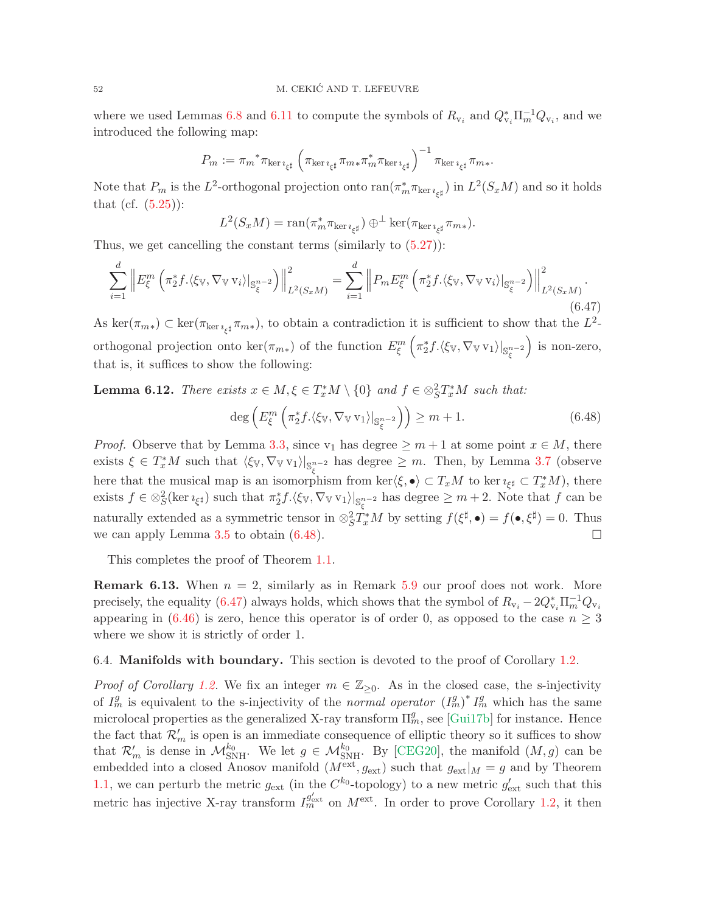where we used Lemmas [6.8](#page-45-3) and [6.11](#page-49-3) to compute the symbols of  $R_{v_i}$  and  $Q_{v_i}^*\Pi_m^{-1}Q_{v_i}$ , and we introduced the following map:

$$
P_m := \pi_m^* \pi_{\ker \imath_{\xi^\sharp}} \left( \pi_{\ker \imath_{\xi^\sharp}} \pi_{m*} \pi_m^* \pi_{\ker \imath_{\xi^\sharp}} \right)^{-1} \pi_{\ker \imath_{\xi^\sharp}} \pi_{m*}.
$$

Note that  $P_m$  is the  $L^2$ -orthogonal projection onto  $ran(\pi_m^*\pi_{\ker\imath_{\xi^\sharp}})$  in  $L^2(S_xM)$  and so it holds that (cf.  $(5.25)$ ):

$$
L^2(S_xM) = \operatorname{ran}(\pi_m^* \pi_{\ker \imath_{\xi^\sharp}}) \oplus^{\perp} \ker(\pi_{\ker \imath_{\xi^\sharp}} \pi_{m*}).
$$

Thus, we get cancelling the constant terms (similarly to  $(5.27)$ ):

<span id="page-51-1"></span>
$$
\sum_{i=1}^{d} \left\| E_{\xi}^{m} \left( \pi_{2}^{*} f \cdot \langle \xi_{\mathbb{V}}, \nabla_{\mathbb{V}} \mathbf{v}_{i} \rangle \big|_{\mathbb{S}_{\xi}^{n-2}} \right) \right\|_{L^{2}(S_{x}M)}^{2} = \sum_{i=1}^{d} \left\| P_{m} E_{\xi}^{m} \left( \pi_{2}^{*} f \cdot \langle \xi_{\mathbb{V}}, \nabla_{\mathbb{V}} \mathbf{v}_{i} \rangle \big|_{\mathbb{S}_{\xi}^{n-2}} \right) \right\|_{L^{2}(S_{x}M)}^{2}.
$$
\n(6.47)

As  $\ker(\pi_{m*}) \subset \ker(\pi_{\ker i_{\xi^{\sharp}}} \pi_{m*}),$  to obtain a contradiction it is sufficient to show that the  $L^2$ orthogonal projection onto  $\ker(\pi_{m*})$  of the function  $E_{\xi}^m$  $\left(\pi_2^* f.\langle \xi_{\mathbb{V}}, \nabla_{\mathbb{V}} \mathbf{v}_1\rangle|_{\mathbb{S}^{n-2}_\xi}\right)$  is non-zero, that is, it suffices to show the following:

**Lemma 6.12.** There exists  $x \in M, \xi \in T_x^*M \setminus \{0\}$  and  $f \in \otimes_S^2 T_x^*M$  such that:

<span id="page-51-0"></span>
$$
\deg\left(E_{\xi}^{m}\left(\pi_{2}^{*}f.\langle \xi_{\mathbb{V}}, \nabla_{\mathbb{V}} \mathbf{v}_{1} \rangle|_{\mathbb{S}_{\xi}^{n-2}}\right)\right) \geq m+1.
$$
\n(6.48)

*Proof.* Observe that by Lemma [3.3,](#page-18-2) since v<sub>1</sub> has degree  $\geq m+1$  at some point  $x \in M$ , there exists  $\xi \in T_x^*M$  such that  $\langle \xi_{\mathbb{V}}, \nabla_{\mathbb{V}} \nu_1 \rangle |_{\mathbb{S}_{\xi}^{n-2}}$  has degree  $\geq m$ . Then, by Lemma [3.7](#page-21-2) (observe here that the musical map is an isomorphism from ker $\langle \xi, \bullet \rangle \subset T_xM$  to ker  $\iota_{\xi^\sharp} \subset T_x^*M$ , there exists  $f \in \otimes_S^2(\ker \imath_{\xi^\sharp})$  such that  $\pi_2^* f \cdot \langle \xi_{\mathbb{V}}, \nabla_{\mathbb{V}} \nu_1 \rangle|_{\mathbb{S}^{n-2}_\xi}$  has degree  $\geq m+2$ . Note that  $f$  can be naturally extended as a symmetric tensor in  $\otimes_S^2 T_x^* M$  by setting  $f(\xi^{\sharp}, \bullet) = f(\bullet, \xi^{\sharp}) = 0$ . Thus we can apply Lemma [3.5](#page-20-3) to obtain  $(6.48)$ .

This completes the proof of Theorem [1.1.](#page-2-2)

**Remark 6.13.** When  $n = 2$ , similarly as in Remark [5.9](#page-35-3) our proof does not work. More precisely, the equality [\(6.47\)](#page-51-1) always holds, which shows that the symbol of  $R_{v_i} - 2Q_{v_i}^* \Pi_m^{-1} Q_{v_i}$ appearing in [\(6.46\)](#page-50-2) is zero, hence this operator is of order 0, as opposed to the case  $n \geq 3$ where we show it is strictly of order 1.

## 6.4. Manifolds with boundary. This section is devoted to the proof of Corollary [1.2.](#page-4-1)

*Proof of Corollary [1.2.](#page-4-1)* We fix an integer  $m \in \mathbb{Z}_{\geq 0}$ . As in the closed case, the s-injectivity of  $I_m^g$  is equivalent to the s-injectivity of the normal operator  $(I_m^g)^* I_m^g$  which has the same microlocal properties as the generalized X-ray transform  $\Pi_m^g$ , see [\[Gui17b\]](#page-54-6) for instance. Hence the fact that  $\mathcal{R}'_m$  is open is an immediate consequence of elliptic theory so it suffices to show that  $\mathcal{R}'_m$  is dense in  $\mathcal{M}_{\text{SNH}}^{k_0}$ . We let  $g \in \mathcal{M}_{\text{SNH}}^{k_0}$ . By [\[CEG20\]](#page-53-7), the manifold  $(M, g)$  can be embedded into a closed Anosov manifold  $(M^{\text{ext}}, g_{\text{ext}})$  such that  $g_{\text{ext}}|_M = g$  and by Theorem [1.1,](#page-2-2) we can perturb the metric  $g_{\text{ext}}$  (in the  $C^{k_0}$ -topology) to a new metric  $g'_{\text{ext}}$  such that this metric has injective X-ray transform  $I_{m}^{g'_{\text{ext}}}$  on  $M^{\text{ext}}$ . In order to prove Corollary [1.2,](#page-4-1) it then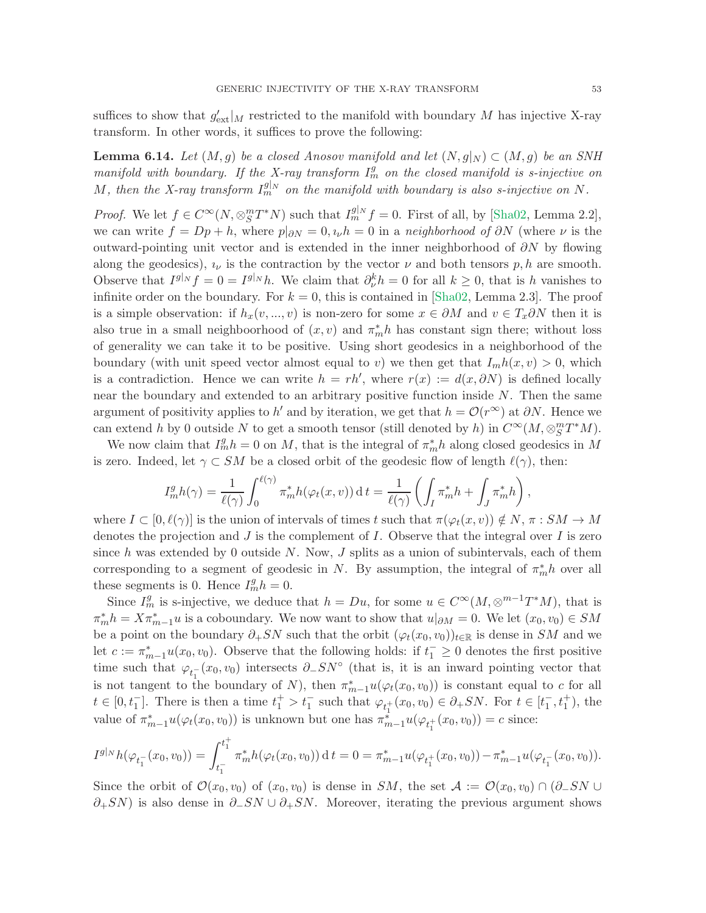suffices to show that  $g'_{\text{ext}}|_M$  restricted to the manifold with boundary M has injective X-ray transform. In other words, it suffices to prove the following:

**Lemma 6.14.** Let  $(M, g)$  be a closed Anosov manifold and let  $(N, g|_N) \subset (M, g)$  be an SNH manifold with boundary. If the X-ray transform  $I_m^g$  on the closed manifold is s-injective on M, then the X-ray transform  $I_m^{g|_N}$  on the manifold with boundary is also s-injective on N.

*Proof.* We let  $f \in C^{\infty}(N, \otimes_S^m T^*N)$  such that  $I_m^{g|_N} f = 0$ . First of all, by [\[Sha02,](#page-55-24) Lemma 2.2], we can write  $f = Dp + h$ , where  $p|_{\partial N} = 0$ ,  $\iota_{\nu} h = 0$  in a neighborhood of  $\partial N$  (where  $\nu$  is the outward-pointing unit vector and is extended in the inner neighborhood of  $\partial N$  by flowing along the geodesics),  $i_{\nu}$  is the contraction by the vector  $\nu$  and both tensors  $p, h$  are smooth. Observe that  $I^{g|_N} f = 0 = I^{g|_N} h$ . We claim that  $\partial_{\nu}^k h = 0$  for all  $k \geq 0$ , that is h vanishes to infinite order on the boundary. For  $k = 0$ , this is contained in [\[Sha02,](#page-55-24) Lemma 2.3]. The proof is a simple observation: if  $h_x(v, ..., v)$  is non-zero for some  $x \in \partial M$  and  $v \in T_x \partial N$  then it is also true in a small neighboorhood of  $(x, v)$  and  $\pi_m^* h$  has constant sign there; without loss of generality we can take it to be positive. Using short geodesics in a neighborhood of the boundary (with unit speed vector almost equal to v) we then get that  $I_m h(x, v) > 0$ , which is a contradiction. Hence we can write  $h = rh'$ , where  $r(x) := d(x, \partial N)$  is defined locally near the boundary and extended to an arbitrary positive function inside  $N$ . Then the same argument of positivity applies to h' and by iteration, we get that  $h = \mathcal{O}(r^{\infty})$  at  $\partial N$ . Hence we can extend h by 0 outside N to get a smooth tensor (still denoted by h) in  $C^{\infty}(M, \otimes_S^m T^*M)$ .

We now claim that  $I_m^g h = 0$  on M, that is the integral of  $\pi_m^* h$  along closed geodesics in M is zero. Indeed, let  $\gamma \subset SM$  be a closed orbit of the geodesic flow of length  $\ell(\gamma)$ , then:

$$
I_m^g h(\gamma) = \frac{1}{\ell(\gamma)} \int_0^{\ell(\gamma)} \pi_m^* h(\varphi_t(x, v)) dt = \frac{1}{\ell(\gamma)} \left( \int_I \pi_m^* h + \int_J \pi_m^* h \right),
$$

where  $I \subset [0, \ell(\gamma)]$  is the union of intervals of times t such that  $\pi(\varphi_t(x, v)) \notin N$ ,  $\pi : SM \to M$ denotes the projection and  $J$  is the complement of  $I$ . Observe that the integral over  $I$  is zero since h was extended by 0 outside N. Now,  $J$  splits as a union of subintervals, each of them corresponding to a segment of geodesic in N. By assumption, the integral of  $\pi_m^* h$  over all these segments is 0. Hence  $I_m^gh = 0$ .

Since  $I_m^g$  is s-injective, we deduce that  $h = Du$ , for some  $u \in C^{\infty}(M, \otimes^{m-1}T^*M)$ , that is  $\pi_m^* h = X \pi_{m-1}^* u$  is a coboundary. We now want to show that  $u|_{\partial M} = 0$ . We let  $(x_0, v_0) \in SM$ be a point on the boundary  $\partial_+ SN$  such that the orbit  $(\varphi_t(x_0, v_0))_{t \in \mathbb{R}}$  is dense in SM and we let  $c := \pi_{m-1}^* u(x_0, v_0)$ . Observe that the following holds: if  $t_1 \geq 0$  denotes the first positive time such that  $\varphi_{t_1^-}(x_0, v_0)$  intersects  $\partial_- SN^\circ$  (that is, it is an inward pointing vector that is not tangent to the boundary of N), then  $\pi_{m-1}^* u(\varphi_t(x_0, v_0))$  is constant equal to c for all  $t \in [0, t_1^-]$ . There is then a time  $t_1^+ > t_1^-$  such that  $\varphi_{t_1^+}(x_0, v_0) \in \partial_+ SN$ . For  $t \in [t_1^-, t_1^+)$ , the value of  $\pi_{m-1}^* u(\varphi_t(x_0, v_0))$  is unknown but one has  $\pi_{m-1}^* u(\varphi_{t_1^+}(x_0, v_0)) = c$  since:

$$
I^{g|_N}h(\varphi_{t_1^-}(x_0, v_0)) = \int_{t_1^-}^{t_1^+} \pi_m^*h(\varphi_t(x_0, v_0)) \, \mathrm{d}\, t = 0 = \pi_{m-1}^* u(\varphi_{t_1^+}(x_0, v_0)) - \pi_{m-1}^* u(\varphi_{t_1^-}(x_0, v_0)).
$$

Since the orbit of  $\mathcal{O}(x_0, v_0)$  of  $(x_0, v_0)$  is dense in SM, the set  $\mathcal{A} := \mathcal{O}(x_0, v_0) \cap (\partial_- SN \cup$  $\partial_{+}SN$ ) is also dense in  $\partial_{-}SN \cup \partial_{+}SN$ . Moreover, iterating the previous argument shows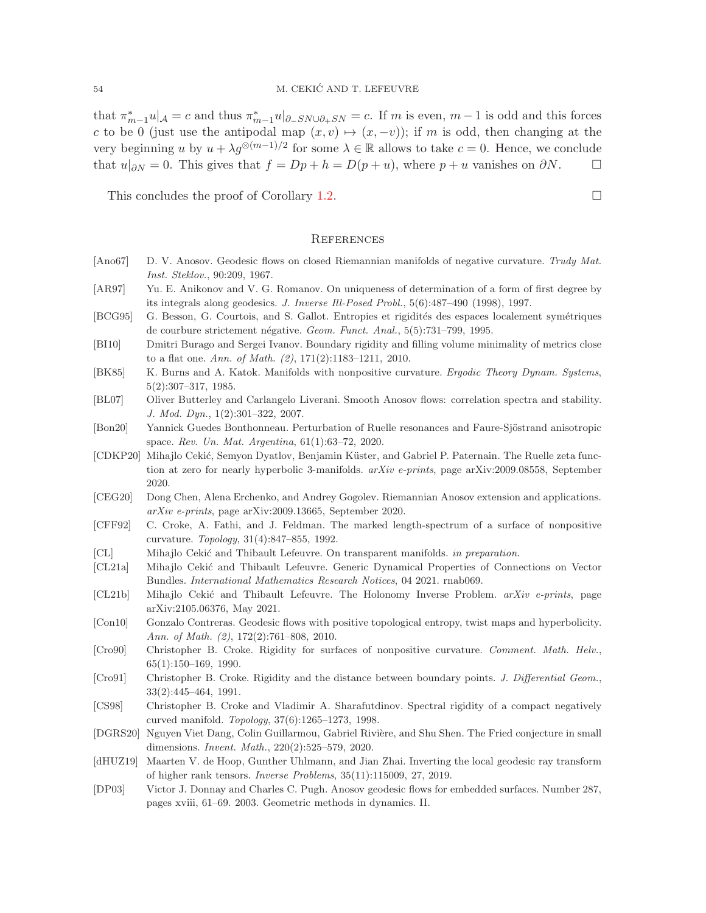that  $\pi_{m-1}^* u|_{\mathcal{A}} = c$  and thus  $\pi_{m-1}^* u|_{\partial_- SN \cup \partial_+ SN} = c$ . If m is even,  $m-1$  is odd and this forces c to be 0 (just use the antipodal map  $(x, v) \mapsto (x, -v)$ ); if m is odd, then changing at the very beginning u by  $u + \lambda g^{\otimes (m-1)/2}$  for some  $\lambda \in \mathbb{R}$  allows to take  $c = 0$ . Hence, we conclude that  $u|_{\partial N} = 0$ . This gives that  $f = Dp + h = D(p + u)$ , where  $p + u$  vanishes on  $\partial N$ .  $\Box$ 

This concludes the proof of Corollary [1.2.](#page-4-1)  $\Box$ 

#### <span id="page-53-2"></span>**REFERENCES**

- <span id="page-53-3"></span>[Ano67] D. V. Anosov. Geodesic flows on closed Riemannian manifolds of negative curvature. Trudy Mat. Inst. Steklov., 90:209, 1967.
- <span id="page-53-8"></span>[AR97] Yu. E. Anikonov and V. G. Romanov. On uniqueness of determination of a form of first degree by its integrals along geodesics. J. Inverse Ill-Posed Probl., 5(6):487–490 (1998), 1997.
- <span id="page-53-12"></span>[BCG95] G. Besson, G. Courtois, and S. Gallot. Entropies et rigidités des espaces localement symétriques de courbure strictement négative. Geom. Funct. Anal., 5(5):731–799, 1995.
- <span id="page-53-15"></span>[BI10] Dmitri Burago and Sergei Ivanov. Boundary rigidity and filling volume minimality of metrics close to a flat one. Ann. of Math. (2), 171(2):1183–1211, 2010.
- <span id="page-53-10"></span>[BK85] K. Burns and A. Katok. Manifolds with nonpositive curvature. Ergodic Theory Dynam. Systems, 5(2):307–317, 1985.
- <span id="page-53-17"></span>[BL07] Oliver Butterley and Carlangelo Liverani. Smooth Anosov flows: correlation spectra and stability. J. Mod. Dyn., 1(2):301–322, 2007.
- <span id="page-53-18"></span>[Bon20] Yannick Guedes Bonthonneau. Perturbation of Ruelle resonances and Faure-Sjöstrand anisotropic space. Rev. Un. Mat. Argentina, 61(1):63–72, 2020.
- <span id="page-53-20"></span>[CDKP20] Mihajlo Cekić, Semyon Dyatlov, Benjamin Küster, and Gabriel P. Paternain. The Ruelle zeta function at zero for nearly hyperbolic 3-manifolds.  $arXiv$  e-prints, page arXiv:2009.08558, September 2020.
- <span id="page-53-7"></span>[CEG20] Dong Chen, Alena Erchenko, and Andrey Gogolev. Riemannian Anosov extension and applications. arXiv e-prints, page arXiv:2009.13665, September 2020.
- <span id="page-53-11"></span>[CFF92] C. Croke, A. Fathi, and J. Feldman. The marked length-spectrum of a surface of nonpositive curvature. Topology, 31(4):847–855, 1992.
- <span id="page-53-16"></span>[CL] Mihajlo Cekić and Thibault Lefeuvre. On transparent manifolds. in preparation.
- <span id="page-53-0"></span>[CL21a] Mihajlo Cekić and Thibault Lefeuvre. Generic Dynamical Properties of Connections on Vector Bundles. International Mathematics Research Notices, 04 2021. rnab069.
- <span id="page-53-1"></span>[CL21b] Mihajlo Cekić and Thibault Lefeuvre. The Holonomy Inverse Problem. arXiv e-prints, page arXiv:2105.06376, May 2021.
- <span id="page-53-5"></span>[Con10] Gonzalo Contreras. Geodesic flows with positive topological entropy, twist maps and hyperbolicity. Ann. of Math. (2), 172(2):761–808, 2010.
- <span id="page-53-13"></span>[Cro90] Christopher B. Croke. Rigidity for surfaces of nonpositive curvature. Comment. Math. Helv., 65(1):150–169, 1990.
- <span id="page-53-14"></span>[Cro91] Christopher B. Croke. Rigidity and the distance between boundary points. J. Differential Geom., 33(2):445–464, 1991.
- <span id="page-53-6"></span>[CS98] Christopher B. Croke and Vladimir A. Sharafutdinov. Spectral rigidity of a compact negatively curved manifold. Topology, 37(6):1265–1273, 1998.
- <span id="page-53-19"></span>[DGRS20] Nguyen Viet Dang, Colin Guillarmou, Gabriel Rivière, and Shu Shen. The Fried conjecture in small dimensions. Invent. Math., 220(2):525–579, 2020.
- <span id="page-53-9"></span>[dHUZ19] Maarten V. de Hoop, Gunther Uhlmann, and Jian Zhai. Inverting the local geodesic ray transform of higher rank tensors. Inverse Problems, 35(11):115009, 27, 2019.
- <span id="page-53-4"></span>[DP03] Victor J. Donnay and Charles C. Pugh. Anosov geodesic flows for embedded surfaces. Number 287, pages xviii, 61–69. 2003. Geometric methods in dynamics. II.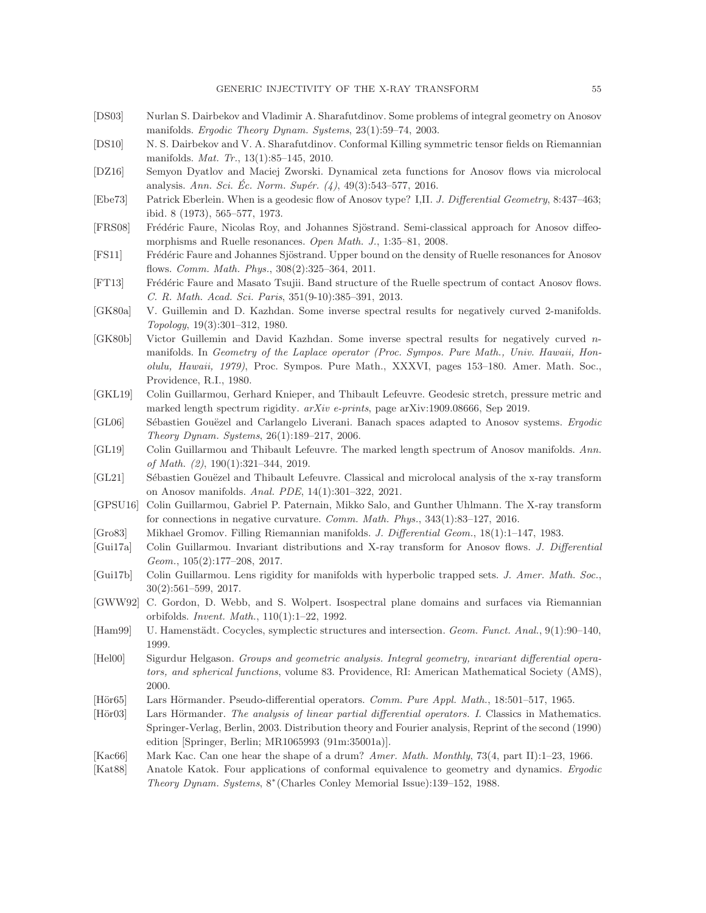- <span id="page-54-3"></span>[DS03] Nurlan S. Dairbekov and Vladimir A. Sharafutdinov. Some problems of integral geometry on Anosov manifolds. Ergodic Theory Dynam. Systems, 23(1):59–74, 2003.
- <span id="page-54-14"></span>[DS10] N. S. Dairbekov and V. A. Sharafutdinov. Conformal Killing symmetric tensor fields on Riemannian manifolds. Mat. Tr., 13(1):85–145, 2010.
- <span id="page-54-20"></span>[DZ16] Semyon Dyatlov and Maciej Zworski. Dynamical zeta functions for Anosov flows via microlocal analysis. Ann. Sci. Éc. Norm. Supér.  $(4)$ , 49 $(3)$ :543–577, 2016.
- <span id="page-54-2"></span>[Ebe73] Patrick Eberlein. When is a geodesic flow of Anosov type? I,II. J. Differential Geometry, 8:437–463; ibid. 8 (1973), 565–577, 1973.
- <span id="page-54-17"></span>[FRS08] Frédéric Faure, Nicolas Roy, and Johannes Sjöstrand. Semi-classical approach for Anosov diffeomorphisms and Ruelle resonances. Open Math. J., 1:35–81, 2008.
- <span id="page-54-18"></span>[FS11] Frédéric Faure and Johannes Sjöstrand. Upper bound on the density of Ruelle resonances for Anosov flows. Comm. Math. Phys., 308(2):325–364, 2011.
- <span id="page-54-19"></span>[FT13] Frédéric Faure and Masato Tsujii. Band structure of the Ruelle spectrum of contact Anosov flows. C. R. Math. Acad. Sci. Paris, 351(9-10):385–391, 2013.
- <span id="page-54-4"></span>[GK80a] V. Guillemin and D. Kazhdan. Some inverse spectral results for negatively curved 2-manifolds. Topology, 19(3):301–312, 1980.
- <span id="page-54-10"></span>[GK80b] Victor Guillemin and David Kazhdan. Some inverse spectral results for negatively curved nmanifolds. In Geometry of the Laplace operator (Proc. Sympos. Pure Math., Univ. Hawaii, Honolulu, Hawaii, 1979), Proc. Sympos. Pure Math., XXXVI, pages 153–180. Amer. Math. Soc., Providence, R.I., 1980.
- <span id="page-54-1"></span>[GKL19] Colin Guillarmou, Gerhard Knieper, and Thibault Lefeuvre. Geodesic stretch, pressure metric and marked length spectrum rigidity. arXiv e-prints, page arXiv:1909.08666, Sep 2019.
- <span id="page-54-16"></span>[GL06] Sébastien Gouëzel and Carlangelo Liverani. Banach spaces adapted to Anosov systems. Ergodic Theory Dynam. Systems, 26(1):189–217, 2006.
- <span id="page-54-0"></span>[GL19] Colin Guillarmou and Thibault Lefeuvre. The marked length spectrum of Anosov manifolds. Ann. of Math. (2), 190(1):321–344, 2019.
- <span id="page-54-15"></span>[GL21] Sébastien Gouëzel and Thibault Lefeuvre. Classical and microlocal analysis of the x-ray transform on Anosov manifolds. Anal. PDE, 14(1):301–322, 2021.
- <span id="page-54-13"></span>[GPSU16] Colin Guillarmou, Gabriel P. Paternain, Mikko Salo, and Gunther Uhlmann. The X-ray transform for connections in negative curvature. Comm. Math. Phys., 343(1):83–127, 2016.
- <span id="page-54-12"></span>[Gro83] Mikhael Gromov. Filling Riemannian manifolds. J. Differential Geom., 18(1):1–147, 1983.
- <span id="page-54-5"></span>[Gui17a] Colin Guillarmou. Invariant distributions and X-ray transform for Anosov flows. J. Differential Geom., 105(2):177–208, 2017.
- <span id="page-54-6"></span>[Gui17b] Colin Guillarmou. Lens rigidity for manifolds with hyperbolic trapped sets. J. Amer. Math. Soc., 30(2):561–599, 2017.
- <span id="page-54-11"></span>[GWW92] C. Gordon, D. Webb, and S. Wolpert. Isospectral plane domains and surfaces via Riemannian orbifolds. Invent. Math., 110(1):1–22, 1992.
- <span id="page-54-8"></span>[Ham99] U. Hamenstädt. Cocycles, symplectic structures and intersection. Geom. Funct. Anal., 9(1):90–140, 1999.
- <span id="page-54-21"></span>[Hel00] Sigurdur Helgason. Groups and geometric analysis. Integral geometry, invariant differential operators, and spherical functions, volume 83. Providence, RI: American Mathematical Society (AMS), 2000.
- <span id="page-54-23"></span>[Hör65] Lars Hörmander. Pseudo-differential operators. Comm. Pure Appl. Math., 18:501–517, 1965.
- <span id="page-54-22"></span>[Hör03] Lars Hörmander. The analysis of linear partial differential operators. I. Classics in Mathematics. Springer-Verlag, Berlin, 2003. Distribution theory and Fourier analysis, Reprint of the second (1990) edition [Springer, Berlin; MR1065993 (91m:35001a)].
- <span id="page-54-9"></span>[Kac66] Mark Kac. Can one hear the shape of a drum? Amer. Math. Monthly, 73(4, part II):1–23, 1966.
- <span id="page-54-7"></span>[Kat88] Anatole Katok. Four applications of conformal equivalence to geometry and dynamics. Ergodic Theory Dynam. Systems, 8<sup>∗</sup> (Charles Conley Memorial Issue):139–152, 1988.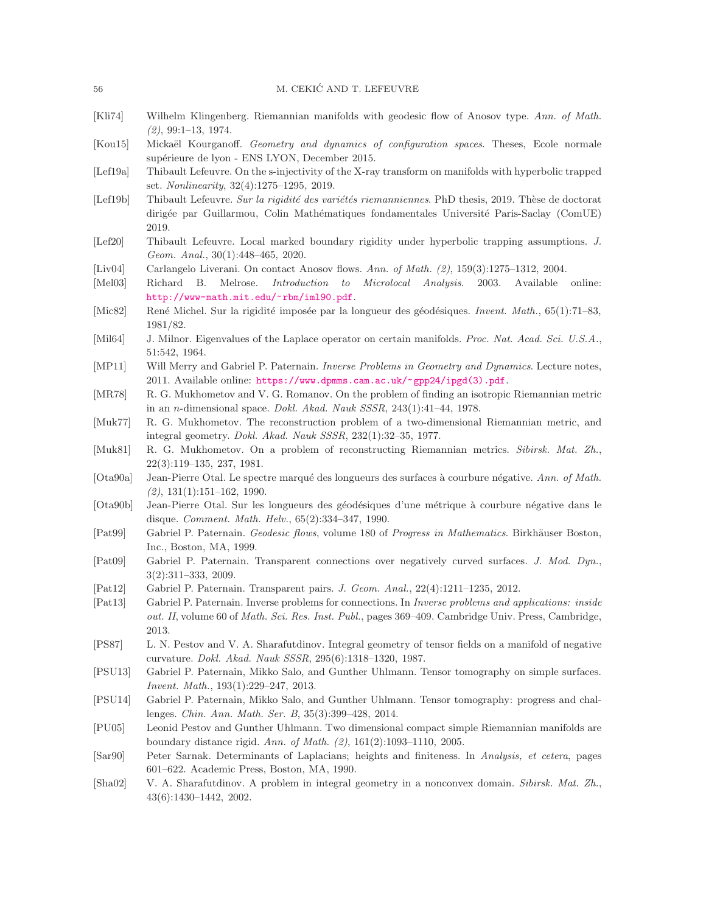#### 56 M. CEKIĆ AND T. LEFEUVRE

- <span id="page-55-1"></span>[Kli74] Wilhelm Klingenberg. Riemannian manifolds with geodesic flow of Anosov type. Ann. of Math.  $(2), 99:1-13, 1974.$
- <span id="page-55-0"></span>[Kou15] Mickaël Kourganoff. Geometry and dynamics of configuration spaces. Theses, Ecole normale supérieure de lyon - ENS LYON, December 2015.
- <span id="page-55-6"></span>[Lef19a] Thibault Lefeuvre. On the s-injectivity of the X-ray transform on manifolds with hyperbolic trapped set. Nonlinearity, 32(4):1275–1295, 2019.
- <span id="page-55-21"></span>[Lef19b] Thibault Lefeuvre. Sur la rigidité des variétés riemanniennes. PhD thesis, 2019. Thèse de doctorat dirigée par Guillarmou, Colin Mathématiques fondamentales Université Paris-Saclay (ComUE) 2019.
- <span id="page-55-16"></span>[Lef20] Thibault Lefeuvre. Local marked boundary rigidity under hyperbolic trapping assumptions. J. Geom. Anal., 30(1):448–465, 2020.
- <span id="page-55-22"></span>[Liv04] Carlangelo Liverani. On contact Anosov flows. Ann. of Math. (2), 159(3):1275–1312, 2004.
- <span id="page-55-23"></span>[Mel03] Richard B. Melrose. Introduction to Microlocal Analysis. 2003. Available online: <http://www-math.mit.edu/~rbm/iml90.pdf>.
- <span id="page-55-10"></span>[Mic82] René Michel. Sur la rigidité imposée par la longueur des géodésiques. Invent. Math., 65(1):71–83, 1981/82.
- <span id="page-55-8"></span>[Mil64] J. Milnor. Eigenvalues of the Laplace operator on certain manifolds. Proc. Nat. Acad. Sci. U.S.A., 51:542, 1964.
- <span id="page-55-2"></span>[MP11] Will Merry and Gabriel P. Paternain. Inverse Problems in Geometry and Dynamics. Lecture notes, 2011. Available online: [https://www.dpmms.cam.ac.uk/~gpp24/ipgd\(3\).pdf](https://www.dpmms.cam.ac.uk/~gpp24/ipgd(3).pdf).
- <span id="page-55-13"></span>[MR78] R. G. Mukhometov and V. G. Romanov. On the problem of finding an isotropic Riemannian metric in an n-dimensional space. Dokl. Akad. Nauk SSSR, 243(1):41–44, 1978.
- <span id="page-55-11"></span>[Muk77] R. G. Mukhometov. The reconstruction problem of a two-dimensional Riemannian metric, and integral geometry. Dokl. Akad. Nauk SSSR, 232(1):32–35, 1977.
- <span id="page-55-12"></span>[Muk81] R. G. Mukhometov. On a problem of reconstructing Riemannian metrics. Sibirsk. Mat. Zh., 22(3):119–135, 237, 1981.
- <span id="page-55-7"></span>[Ota90a] Jean-Pierre Otal. Le spectre marqué des longueurs des surfaces à courbure négative. Ann. of Math. (2), 131(1):151–162, 1990.
- <span id="page-55-14"></span>[Ota90b] Jean-Pierre Otal. Sur les longueurs des géodésiques d'une métrique à courbure négative dans le disque. Comment. Math. Helv., 65(2):334–347, 1990.
- <span id="page-55-20"></span>[Pat99] Gabriel P. Paternain. Geodesic flows, volume 180 of Progress in Mathematics. Birkhäuser Boston, Inc., Boston, MA, 1999.
- <span id="page-55-17"></span>[Pat09] Gabriel P. Paternain. Transparent connections over negatively curved surfaces. J. Mod. Dyn., 3(2):311–333, 2009.
- <span id="page-55-18"></span>[Pat12] Gabriel P. Paternain. Transparent pairs. J. Geom. Anal., 22(4):1211–1235, 2012.
- <span id="page-55-19"></span>[Pat13] Gabriel P. Paternain. Inverse problems for connections. In Inverse problems and applications: inside out. II, volume 60 of *Math. Sci. Res. Inst. Publ.*, pages 369–409. Cambridge Univ. Press, Cambridge, 2013.
- <span id="page-55-4"></span>[PS87] L. N. Pestov and V. A. Sharafutdinov. Integral geometry of tensor fields on a manifold of negative curvature. Dokl. Akad. Nauk SSSR, 295(6):1318–1320, 1987.
- <span id="page-55-5"></span>[PSU13] Gabriel P. Paternain, Mikko Salo, and Gunther Uhlmann. Tensor tomography on simple surfaces. Invent. Math., 193(1):229–247, 2013.
- <span id="page-55-3"></span>[PSU14] Gabriel P. Paternain, Mikko Salo, and Gunther Uhlmann. Tensor tomography: progress and challenges. Chin. Ann. Math. Ser. B, 35(3):399–428, 2014.
- <span id="page-55-15"></span>[PU05] Leonid Pestov and Gunther Uhlmann. Two dimensional compact simple Riemannian manifolds are boundary distance rigid. Ann. of Math. (2), 161(2):1093–1110, 2005.
- <span id="page-55-9"></span>[Sar90] Peter Sarnak. Determinants of Laplacians; heights and finiteness. In Analysis, et cetera, pages 601–622. Academic Press, Boston, MA, 1990.
- <span id="page-55-24"></span>[Sha02] V. A. Sharafutdinov. A problem in integral geometry in a nonconvex domain. Sibirsk. Mat. Zh., 43(6):1430–1442, 2002.